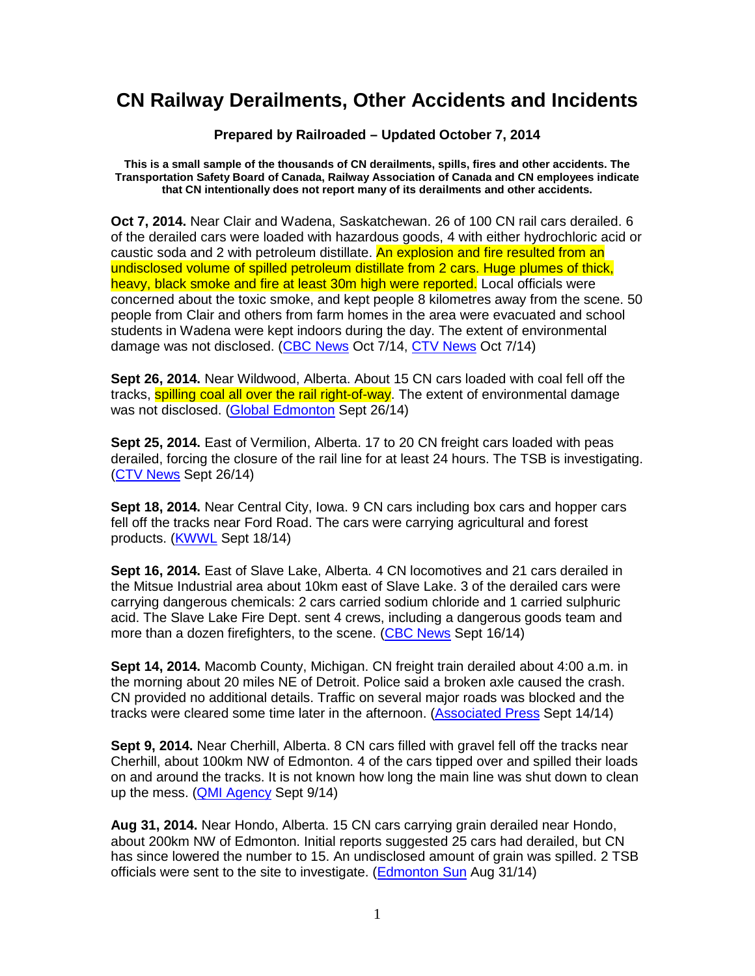## **CN Railway Derailments, Other Accidents and Incidents**

**Prepared by Railroaded – Updated October 7, 2014** 

**This is a small sample of the thousands of CN derailments, spills, fires and other accidents. The Transportation Safety Board of Canada, Railway Association of Canada and CN employees indicate that CN intentionally does not report many of its derailments and other accidents.** 

**Oct 7, 2014.** Near Clair and Wadena, Saskatchewan. 26 of 100 CN rail cars derailed. 6 of the derailed cars were loaded with hazardous goods, 4 with either hydrochloric acid or caustic soda and 2 with petroleum distillate. An explosion and fire resulted from an undisclosed volume of spilled petroleum distillate from 2 cars. Huge plumes of thick, heavy, black smoke and fire at least 30m high were reported. Local officials were concerned about the toxic smoke, and kept people 8 kilometres away from the scene. 50 people from Clair and others from farm homes in the area were evacuated and school students in Wadena were kept indoors during the day. The extent of environmental damage was not disclosed. (CBC News Oct 7/14, CTV News Oct 7/14)

**Sept 26, 2014.** Near Wildwood, Alberta. About 15 CN cars loaded with coal fell off the tracks, **spilling coal all over the rail right-of-way**. The extent of environmental damage was not disclosed. (Global Edmonton Sept 26/14)

**Sept 25, 2014.** East of Vermilion, Alberta. 17 to 20 CN freight cars loaded with peas derailed, forcing the closure of the rail line for at least 24 hours. The TSB is investigating. (CTV News Sept 26/14)

**Sept 18, 2014.** Near Central City, Iowa. 9 CN cars including box cars and hopper cars fell off the tracks near Ford Road. The cars were carrying agricultural and forest products. (KWWL Sept 18/14)

**Sept 16, 2014.** East of Slave Lake, Alberta. 4 CN locomotives and 21 cars derailed in the Mitsue Industrial area about 10km east of Slave Lake. 3 of the derailed cars were carrying dangerous chemicals: 2 cars carried sodium chloride and 1 carried sulphuric acid. The Slave Lake Fire Dept. sent 4 crews, including a dangerous goods team and more than a dozen firefighters, to the scene. (CBC News Sept 16/14)

**Sept 14, 2014.** Macomb County, Michigan. CN freight train derailed about 4:00 a.m. in the morning about 20 miles NE of Detroit. Police said a broken axle caused the crash. CN provided no additional details. Traffic on several major roads was blocked and the tracks were cleared some time later in the afternoon. (Associated Press Sept 14/14)

**Sept 9, 2014.** Near Cherhill, Alberta. 8 CN cars filled with gravel fell off the tracks near Cherhill, about 100km NW of Edmonton. 4 of the cars tipped over and spilled their loads on and around the tracks. It is not known how long the main line was shut down to clean up the mess. (QMI Agency Sept 9/14)

**Aug 31, 2014.** Near Hondo, Alberta. 15 CN cars carrying grain derailed near Hondo, about 200km NW of Edmonton. Initial reports suggested 25 cars had derailed, but CN has since lowered the number to 15. An undisclosed amount of grain was spilled. 2 TSB officials were sent to the site to investigate. (Edmonton Sun Aug 31/14)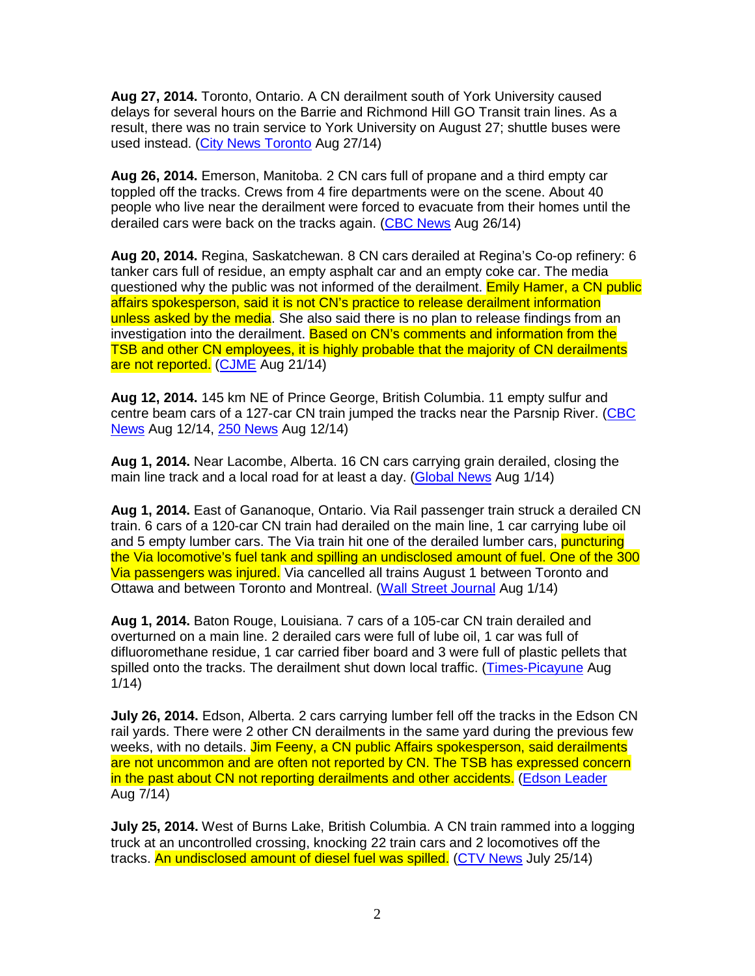**Aug 27, 2014.** Toronto, Ontario. A CN derailment south of York University caused delays for several hours on the Barrie and Richmond Hill GO Transit train lines. As a result, there was no train service to York University on August 27; shuttle buses were used instead. (City News Toronto Aug 27/14)

**Aug 26, 2014.** Emerson, Manitoba. 2 CN cars full of propane and a third empty car toppled off the tracks. Crews from 4 fire departments were on the scene. About 40 people who live near the derailment were forced to evacuate from their homes until the derailed cars were back on the tracks again. (CBC News Aug 26/14)

**Aug 20, 2014.** Regina, Saskatchewan. 8 CN cars derailed at Regina's Co-op refinery: 6 tanker cars full of residue, an empty asphalt car and an empty coke car. The media questioned why the public was not informed of the derailment. Emily Hamer, a CN public affairs spokesperson, said it is not CN's practice to release derailment information unless asked by the media. She also said there is no plan to release findings from an investigation into the derailment. Based on CN's comments and information from the TSB and other CN employees, it is highly probable that the majority of CN derailments are not reported. (CJME Aug 21/14)

**Aug 12, 2014.** 145 km NE of Prince George, British Columbia. 11 empty sulfur and centre beam cars of a 127-car CN train jumped the tracks near the Parsnip River. (CBC News Aug 12/14, 250 News Aug 12/14)

**Aug 1, 2014.** Near Lacombe, Alberta. 16 CN cars carrying grain derailed, closing the main line track and a local road for at least a day. (Global News Aug 1/14)

**Aug 1, 2014.** East of Gananoque, Ontario. Via Rail passenger train struck a derailed CN train. 6 cars of a 120-car CN train had derailed on the main line, 1 car carrying lube oil and 5 empty lumber cars. The Via train hit one of the derailed lumber cars, puncturing the Via locomotive's fuel tank and spilling an undisclosed amount of fuel. One of the 300 Via passengers was injured. Via cancelled all trains August 1 between Toronto and Ottawa and between Toronto and Montreal. (Wall Street Journal Aug 1/14)

**Aug 1, 2014.** Baton Rouge, Louisiana. 7 cars of a 105-car CN train derailed and overturned on a main line. 2 derailed cars were full of lube oil, 1 car was full of difluoromethane residue, 1 car carried fiber board and 3 were full of plastic pellets that spilled onto the tracks. The derailment shut down local traffic. (Times-Picayune Aug 1/14)

**July 26, 2014.** Edson, Alberta. 2 cars carrying lumber fell off the tracks in the Edson CN rail yards. There were 2 other CN derailments in the same yard during the previous few weeks, with no details, Jim Feeny, a CN public Affairs spokesperson, said derailments are not uncommon and are often not reported by CN. The TSB has expressed concern in the past about CN not reporting derailments and other accidents. (Edson Leader Aug 7/14)

**July 25, 2014.** West of Burns Lake, British Columbia. A CN train rammed into a logging truck at an uncontrolled crossing, knocking 22 train cars and 2 locomotives off the tracks. An undisclosed amount of diesel fuel was spilled. (CTV News July 25/14)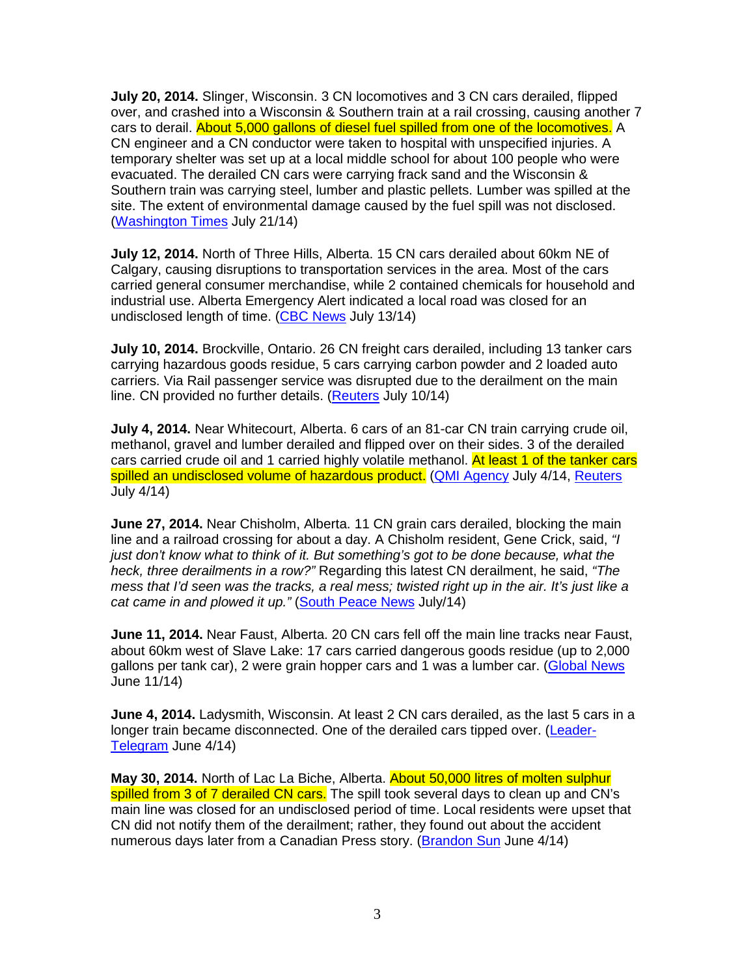**July 20, 2014.** Slinger, Wisconsin. 3 CN locomotives and 3 CN cars derailed, flipped over, and crashed into a Wisconsin & Southern train at a rail crossing, causing another 7 cars to derail. About 5,000 gallons of diesel fuel spilled from one of the locomotives. A CN engineer and a CN conductor were taken to hospital with unspecified injuries. A temporary shelter was set up at a local middle school for about 100 people who were evacuated. The derailed CN cars were carrying frack sand and the Wisconsin & Southern train was carrying steel, lumber and plastic pellets. Lumber was spilled at the site. The extent of environmental damage caused by the fuel spill was not disclosed. (Washington Times July 21/14)

**July 12, 2014.** North of Three Hills, Alberta. 15 CN cars derailed about 60km NE of Calgary, causing disruptions to transportation services in the area. Most of the cars carried general consumer merchandise, while 2 contained chemicals for household and industrial use. Alberta Emergency Alert indicated a local road was closed for an undisclosed length of time. (CBC News July 13/14)

**July 10, 2014.** Brockville, Ontario. 26 CN freight cars derailed, including 13 tanker cars carrying hazardous goods residue, 5 cars carrying carbon powder and 2 loaded auto carriers. Via Rail passenger service was disrupted due to the derailment on the main line. CN provided no further details. (Reuters July 10/14)

**July 4, 2014.** Near Whitecourt, Alberta. 6 cars of an 81-car CN train carrying crude oil, methanol, gravel and lumber derailed and flipped over on their sides. 3 of the derailed cars carried crude oil and 1 carried highly volatile methanol. At least 1 of the tanker cars spilled an undisclosed volume of hazardous product. (QMI Agency July 4/14, Reuters July 4/14)

**June 27, 2014.** Near Chisholm, Alberta. 11 CN grain cars derailed, blocking the main line and a railroad crossing for about a day. A Chisholm resident, Gene Crick, said, "I just don't know what to think of it. But something's got to be done because, what the heck, three derailments in a row?" Regarding this latest CN derailment, he said, "The mess that I'd seen was the tracks, a real mess; twisted right up in the air. It's just like a cat came in and plowed it up." (South Peace News July/14)

**June 11, 2014.** Near Faust, Alberta. 20 CN cars fell off the main line tracks near Faust, about 60km west of Slave Lake: 17 cars carried dangerous goods residue (up to 2,000 gallons per tank car), 2 were grain hopper cars and 1 was a lumber car. (Global News June 11/14)

**June 4, 2014.** Ladysmith, Wisconsin. At least 2 CN cars derailed, as the last 5 cars in a longer train became disconnected. One of the derailed cars tipped over. (Leader-Telegram June 4/14)

**May 30, 2014.** North of Lac La Biche, Alberta. About 50,000 litres of molten sulphur spilled from 3 of 7 derailed CN cars. The spill took several days to clean up and CN's main line was closed for an undisclosed period of time. Local residents were upset that CN did not notify them of the derailment; rather, they found out about the accident numerous days later from a Canadian Press story. (Brandon Sun June 4/14)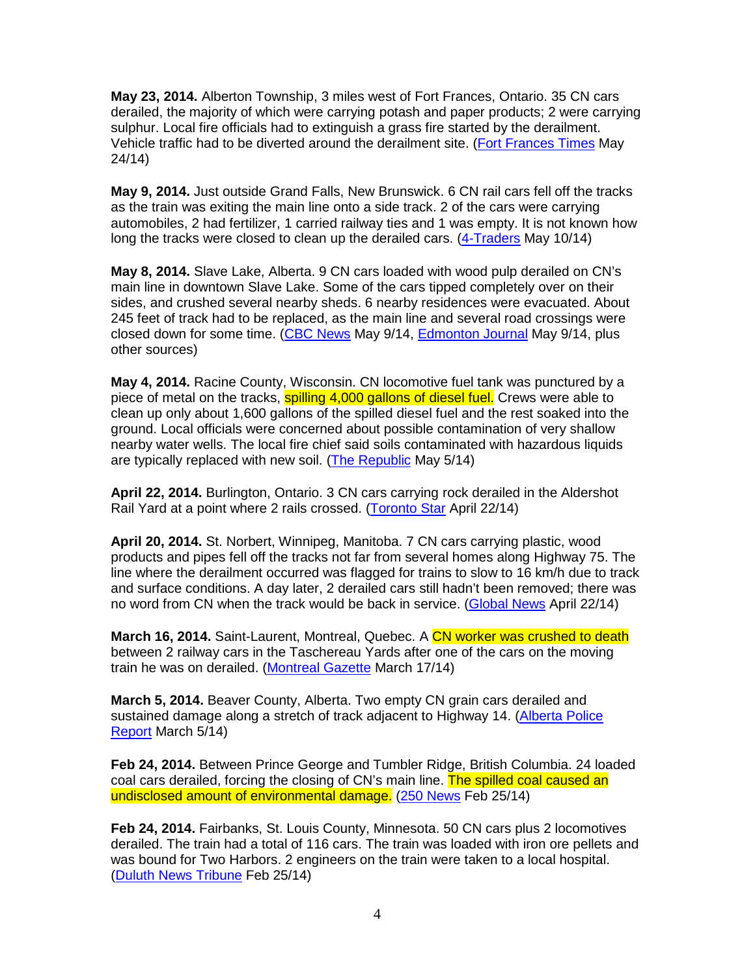**May 23, 2014.** Alberton Township, 3 miles west of Fort Frances, Ontario. 35 CN cars derailed, the majority of which were carrying potash and paper products; 2 were carrying sulphur. Local fire officials had to extinguish a grass fire started by the derailment. Vehicle traffic had to be diverted around the derailment site. (Fort Frances Times May 24/14)

**May 9, 2014.** Just outside Grand Falls, New Brunswick. 6 CN rail cars fell off the tracks as the train was exiting the main line onto a side track. 2 of the cars were carrying automobiles, 2 had fertilizer, 1 carried railway ties and 1 was empty. It is not known how long the tracks were closed to clean up the derailed cars. (4-Traders May 10/14)

**May 8, 2014.** Slave Lake, Alberta. 9 CN cars loaded with wood pulp derailed on CN's main line in downtown Slave Lake. Some of the cars tipped completely over on their sides, and crushed several nearby sheds. 6 nearby residences were evacuated. About 245 feet of track had to be replaced, as the main line and several road crossings were closed down for some time. (CBC News May 9/14, Edmonton Journal May 9/14, plus other sources)

**May 4, 2014.** Racine County, Wisconsin. CN locomotive fuel tank was punctured by a piece of metal on the tracks, **spilling 4,000 gallons of diesel fuel.** Crews were able to clean up only about 1,600 gallons of the spilled diesel fuel and the rest soaked into the ground. Local officials were concerned about possible contamination of very shallow nearby water wells. The local fire chief said soils contaminated with hazardous liquids are typically replaced with new soil. (The Republic May 5/14)

**April 22, 2014.** Burlington, Ontario. 3 CN cars carrying rock derailed in the Aldershot Rail Yard at a point where 2 rails crossed. (Toronto Star April 22/14)

**April 20, 2014.** St. Norbert, Winnipeg, Manitoba. 7 CN cars carrying plastic, wood products and pipes fell off the tracks not far from several homes along Highway 75. The line where the derailment occurred was flagged for trains to slow to 16 km/h due to track and surface conditions. A day later, 2 derailed cars still hadn't been removed; there was no word from CN when the track would be back in service. (Global News April 22/14)

**March 16, 2014.** Saint-Laurent, Montreal, Quebec. A CN worker was crushed to death between 2 railway cars in the Taschereau Yards after one of the cars on the moving train he was on derailed. (Montreal Gazette March 17/14)

**March 5, 2014.** Beaver County, Alberta. Two empty CN grain cars derailed and sustained damage along a stretch of track adjacent to Highway 14. (Alberta Police Report March 5/14)

**Feb 24, 2014.** Between Prince George and Tumbler Ridge, British Columbia. 24 loaded coal cars derailed, forcing the closing of CN's main line. The spilled coal caused an undisclosed amount of environmental damage. (250 News Feb 25/14)

**Feb 24, 2014.** Fairbanks, St. Louis County, Minnesota. 50 CN cars plus 2 locomotives derailed. The train had a total of 116 cars. The train was loaded with iron ore pellets and was bound for Two Harbors. 2 engineers on the train were taken to a local hospital. (Duluth News Tribune Feb 25/14)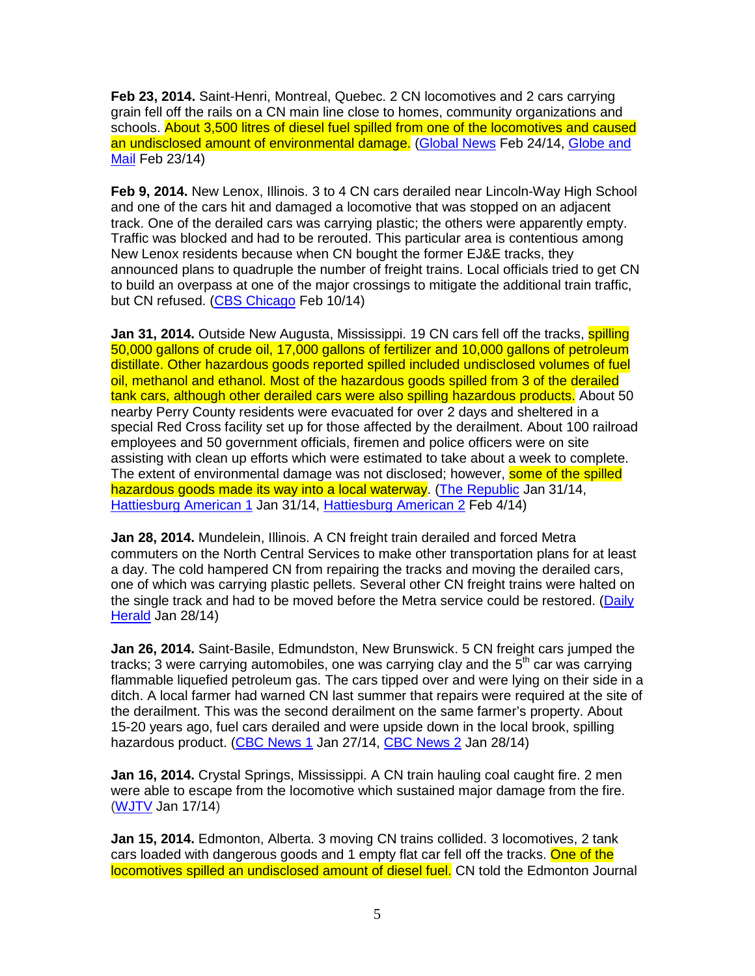**Feb 23, 2014.** Saint-Henri, Montreal, Quebec. 2 CN locomotives and 2 cars carrying grain fell off the rails on a CN main line close to homes, community organizations and schools. About 3,500 litres of diesel fuel spilled from one of the locomotives and caused an undisclosed amount of environmental damage. (Global News Feb 24/14, Globe and Mail Feb 23/14)

**Feb 9, 2014.** New Lenox, Illinois. 3 to 4 CN cars derailed near Lincoln-Way High School and one of the cars hit and damaged a locomotive that was stopped on an adjacent track. One of the derailed cars was carrying plastic; the others were apparently empty. Traffic was blocked and had to be rerouted. This particular area is contentious among New Lenox residents because when CN bought the former EJ&E tracks, they announced plans to quadruple the number of freight trains. Local officials tried to get CN to build an overpass at one of the major crossings to mitigate the additional train traffic, but CN refused. (CBS Chicago Feb 10/14)

**Jan 31, 2014.** Outside New Augusta, Mississippi. 19 CN cars fell off the tracks, **spilling** 50,000 gallons of crude oil, 17,000 gallons of fertilizer and 10,000 gallons of petroleum distillate. Other hazardous goods reported spilled included undisclosed volumes of fuel oil, methanol and ethanol. Most of the hazardous goods spilled from 3 of the derailed tank cars, although other derailed cars were also spilling hazardous products. About 50 nearby Perry County residents were evacuated for over 2 days and sheltered in a special Red Cross facility set up for those affected by the derailment. About 100 railroad employees and 50 government officials, firemen and police officers were on site assisting with clean up efforts which were estimated to take about a week to complete. The extent of environmental damage was not disclosed; however, some of the spilled hazardous goods made its way into a local waterway. (The Republic Jan 31/14, Hattiesburg American 1 Jan 31/14, Hattiesburg American 2 Feb 4/14)

**Jan 28, 2014.** Mundelein, Illinois. A CN freight train derailed and forced Metra commuters on the North Central Services to make other transportation plans for at least a day. The cold hampered CN from repairing the tracks and moving the derailed cars, one of which was carrying plastic pellets. Several other CN freight trains were halted on the single track and had to be moved before the Metra service could be restored. (Daily Herald Jan 28/14)

**Jan 26, 2014.** Saint-Basile, Edmundston, New Brunswick. 5 CN freight cars jumped the tracks; 3 were carrying automobiles, one was carrying clay and the  $5<sup>th</sup>$  car was carrying flammable liquefied petroleum gas. The cars tipped over and were lying on their side in a ditch. A local farmer had warned CN last summer that repairs were required at the site of the derailment. This was the second derailment on the same farmer's property. About 15-20 years ago, fuel cars derailed and were upside down in the local brook, spilling hazardous product. (CBC News 1 Jan 27/14, CBC News 2 Jan 28/14)

**Jan 16, 2014.** Crystal Springs, Mississippi. A CN train hauling coal caught fire. 2 men were able to escape from the locomotive which sustained major damage from the fire. (WJTV Jan 17/14)

**Jan 15, 2014.** Edmonton, Alberta. 3 moving CN trains collided. 3 locomotives, 2 tank cars loaded with dangerous goods and 1 empty flat car fell off the tracks. One of the locomotives spilled an undisclosed amount of diesel fuel. CN told the Edmonton Journal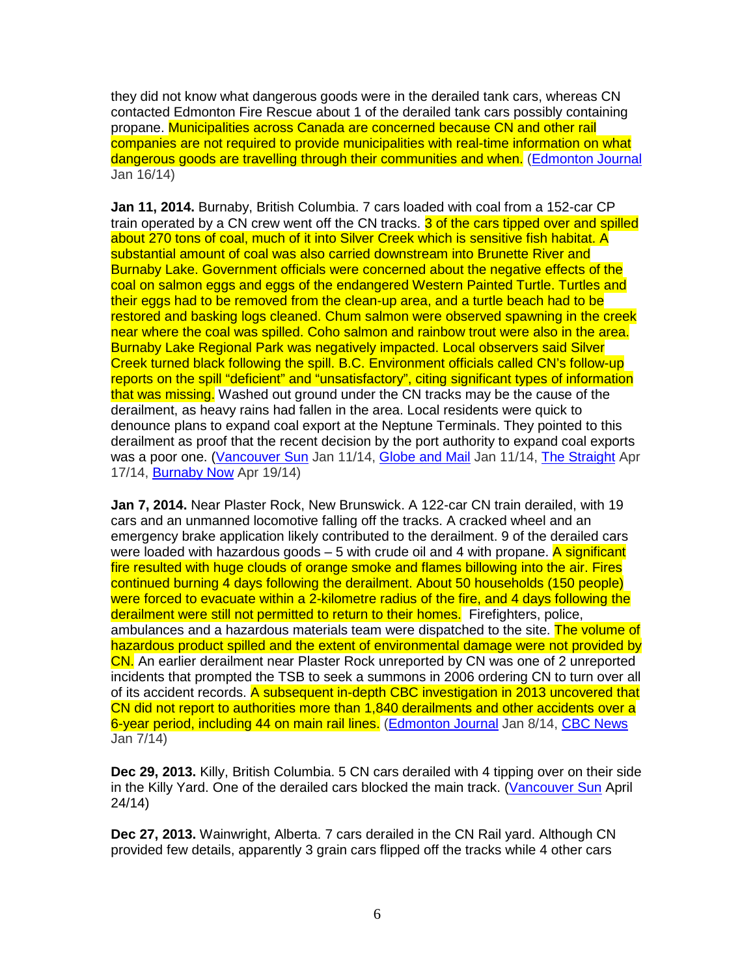they did not know what dangerous goods were in the derailed tank cars, whereas CN contacted Edmonton Fire Rescue about 1 of the derailed tank cars possibly containing propane. Municipalities across Canada are concerned because CN and other rail companies are not required to provide municipalities with real-time information on what dangerous goods are travelling through their communities and when. (Edmonton Journal Jan 16/14)

**Jan 11, 2014.** Burnaby, British Columbia. 7 cars loaded with coal from a 152-car CP train operated by a CN crew went off the CN tracks. 3 of the cars tipped over and spilled about 270 tons of coal, much of it into Silver Creek which is sensitive fish habitat. A substantial amount of coal was also carried downstream into Brunette River and Burnaby Lake. Government officials were concerned about the negative effects of the coal on salmon eggs and eggs of the endangered Western Painted Turtle. Turtles and their eggs had to be removed from the clean-up area, and a turtle beach had to be restored and basking logs cleaned. Chum salmon were observed spawning in the creek near where the coal was spilled. Coho salmon and rainbow trout were also in the area. Burnaby Lake Regional Park was negatively impacted. Local observers said Silver Creek turned black following the spill. B.C. Environment officials called CN's follow-up reports on the spill "deficient" and "unsatisfactory", citing significant types of information that was missing. Washed out ground under the CN tracks may be the cause of the derailment, as heavy rains had fallen in the area. Local residents were quick to denounce plans to expand coal export at the Neptune Terminals. They pointed to this derailment as proof that the recent decision by the port authority to expand coal exports was a poor one. (Vancouver Sun Jan 11/14, Globe and Mail Jan 11/14, The Straight Apr 17/14, Burnaby Now Apr 19/14)

**Jan 7, 2014.** Near Plaster Rock, New Brunswick. A 122-car CN train derailed, with 19 cars and an unmanned locomotive falling off the tracks. A cracked wheel and an emergency brake application likely contributed to the derailment. 9 of the derailed cars were loaded with hazardous goods  $-5$  with crude oil and 4 with propane. A significant fire resulted with huge clouds of orange smoke and flames billowing into the air. Fires continued burning 4 days following the derailment. About 50 households (150 people) were forced to evacuate within a 2-kilometre radius of the fire, and 4 days following the derailment were still not permitted to return to their homes. Firefighters, police, ambulances and a hazardous materials team were dispatched to the site. The volume of hazardous product spilled and the extent of environmental damage were not provided by CN. An earlier derailment near Plaster Rock unreported by CN was one of 2 unreported incidents that prompted the TSB to seek a summons in 2006 ordering CN to turn over all of its accident records. A subsequent in-depth CBC investigation in 2013 uncovered that CN did not report to authorities more than 1,840 derailments and other accidents over a 6-year period, including 44 on main rail lines. (Edmonton Journal Jan 8/14, CBC News Jan 7/14)

**Dec 29, 2013.** Killy, British Columbia. 5 CN cars derailed with 4 tipping over on their side in the Killy Yard. One of the derailed cars blocked the main track. (Vancouver Sun April 24/14)

**Dec 27, 2013.** Wainwright, Alberta. 7 cars derailed in the CN Rail yard. Although CN provided few details, apparently 3 grain cars flipped off the tracks while 4 other cars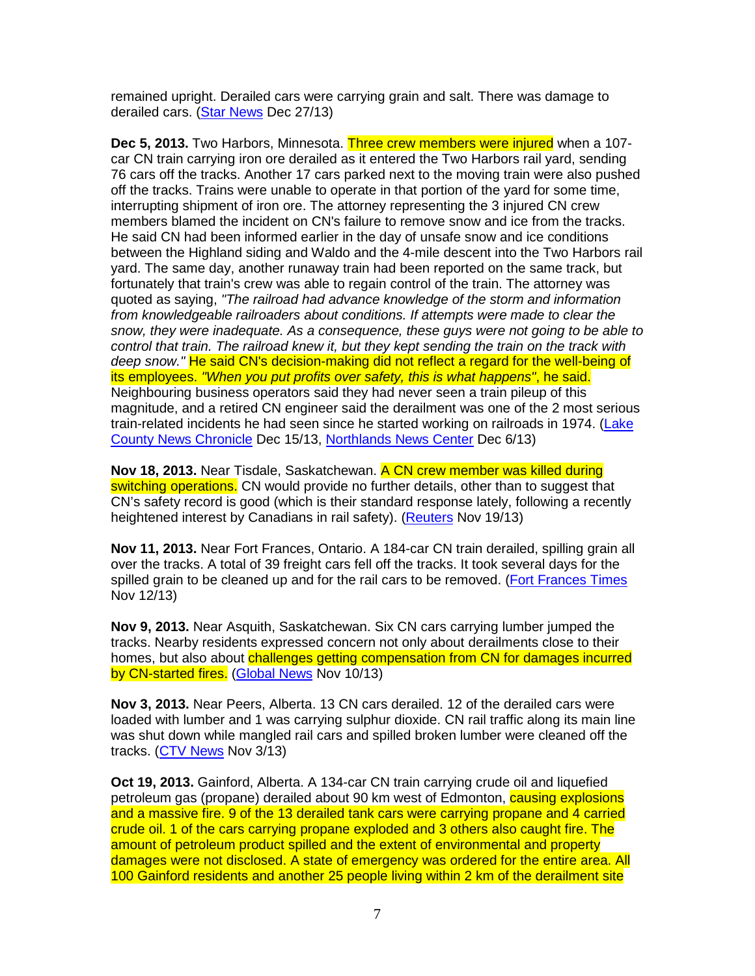remained upright. Derailed cars were carrying grain and salt. There was damage to derailed cars. (Star News Dec 27/13)

**Dec 5, 2013.** Two Harbors, Minnesota. Three crew members were injured when a 107 car CN train carrying iron ore derailed as it entered the Two Harbors rail yard, sending 76 cars off the tracks. Another 17 cars parked next to the moving train were also pushed off the tracks. Trains were unable to operate in that portion of the yard for some time, interrupting shipment of iron ore. The attorney representing the 3 injured CN crew members blamed the incident on CN's failure to remove snow and ice from the tracks. He said CN had been informed earlier in the day of unsafe snow and ice conditions between the Highland siding and Waldo and the 4-mile descent into the Two Harbors rail yard. The same day, another runaway train had been reported on the same track, but fortunately that train's crew was able to regain control of the train. The attorney was quoted as saying, "The railroad had advance knowledge of the storm and information from knowledgeable railroaders about conditions. If attempts were made to clear the snow, they were inadequate. As a consequence, these guys were not going to be able to control that train. The railroad knew it, but they kept sending the train on the track with deep snow." He said CN's decision-making did not reflect a regard for the well-being of its employees. "When you put profits over safety, this is what happens", he said. Neighbouring business operators said they had never seen a train pileup of this magnitude, and a retired CN engineer said the derailment was one of the 2 most serious train-related incidents he had seen since he started working on railroads in 1974. (Lake County News Chronicle Dec 15/13, Northlands News Center Dec 6/13)

**Nov 18, 2013.** Near Tisdale, Saskatchewan. A CN crew member was killed during switching operations. CN would provide no further details, other than to suggest that CN's safety record is good (which is their standard response lately, following a recently heightened interest by Canadians in rail safety). (Reuters Nov 19/13)

**Nov 11, 2013.** Near Fort Frances, Ontario. A 184-car CN train derailed, spilling grain all over the tracks. A total of 39 freight cars fell off the tracks. It took several days for the spilled grain to be cleaned up and for the rail cars to be removed. (Fort Frances Times Nov 12/13)

**Nov 9, 2013.** Near Asquith, Saskatchewan. Six CN cars carrying lumber jumped the tracks. Nearby residents expressed concern not only about derailments close to their homes, but also about challenges getting compensation from CN for damages incurred by CN-started fires. (Global News Nov 10/13)

**Nov 3, 2013.** Near Peers, Alberta. 13 CN cars derailed. 12 of the derailed cars were loaded with lumber and 1 was carrying sulphur dioxide. CN rail traffic along its main line was shut down while mangled rail cars and spilled broken lumber were cleaned off the tracks. (CTV News Nov 3/13)

**Oct 19, 2013.** Gainford, Alberta. A 134-car CN train carrying crude oil and liquefied petroleum gas (propane) derailed about 90 km west of Edmonton, causing explosions and a massive fire. 9 of the 13 derailed tank cars were carrying propane and 4 carried crude oil. 1 of the cars carrying propane exploded and 3 others also caught fire. The amount of petroleum product spilled and the extent of environmental and property damages were not disclosed. A state of emergency was ordered for the entire area. All 100 Gainford residents and another 25 people living within 2 km of the derailment site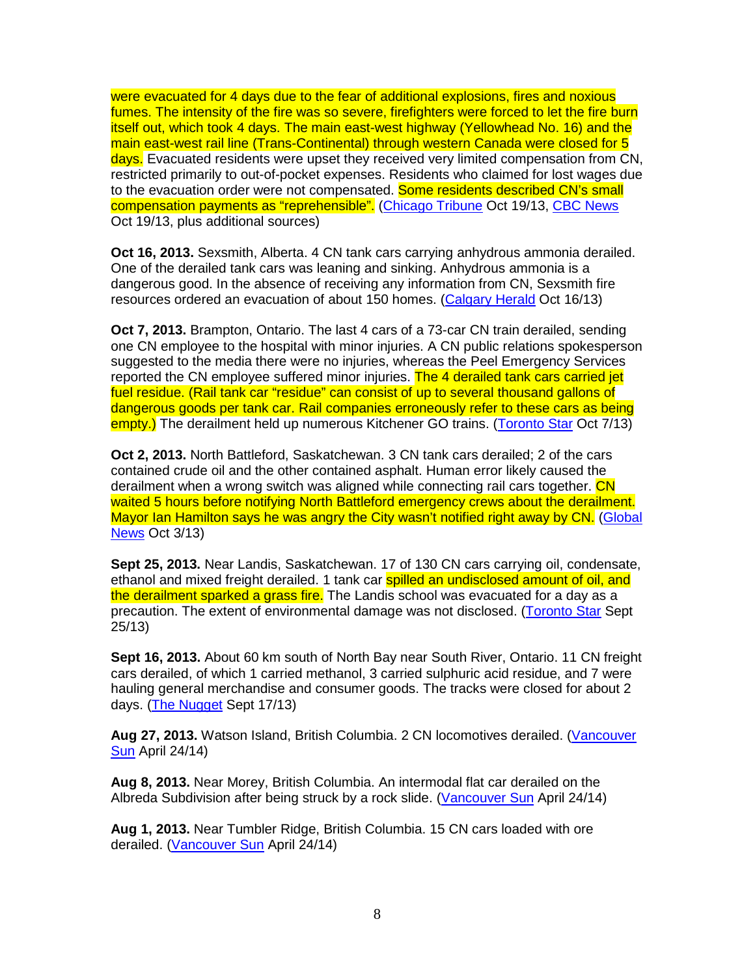were evacuated for 4 days due to the fear of additional explosions, fires and noxious fumes. The intensity of the fire was so severe, firefighters were forced to let the fire burn itself out, which took 4 days. The main east-west highway (Yellowhead No. 16) and the main east-west rail line (Trans-Continental) through western Canada were closed for 5 days. Evacuated residents were upset they received very limited compensation from CN. restricted primarily to out-of-pocket expenses. Residents who claimed for lost wages due to the evacuation order were not compensated. Some residents described CN's small compensation payments as "reprehensible". (Chicago Tribune Oct 19/13, CBC News Oct 19/13, plus additional sources)

**Oct 16, 2013.** Sexsmith, Alberta. 4 CN tank cars carrying anhydrous ammonia derailed. One of the derailed tank cars was leaning and sinking. Anhydrous ammonia is a dangerous good. In the absence of receiving any information from CN, Sexsmith fire resources ordered an evacuation of about 150 homes. (Calgary Herald Oct 16/13)

**Oct 7, 2013.** Brampton, Ontario. The last 4 cars of a 73-car CN train derailed, sending one CN employee to the hospital with minor injuries. A CN public relations spokesperson suggested to the media there were no injuries, whereas the Peel Emergency Services reported the CN employee suffered minor injuries. The 4 derailed tank cars carried jet fuel residue. (Rail tank car "residue" can consist of up to several thousand gallons of dangerous goods per tank car. Rail companies erroneously refer to these cars as being empty.) The derailment held up numerous Kitchener GO trains. (Toronto Star Oct 7/13)

**Oct 2, 2013.** North Battleford, Saskatchewan. 3 CN tank cars derailed; 2 of the cars contained crude oil and the other contained asphalt. Human error likely caused the derailment when a wrong switch was aligned while connecting rail cars together. CN waited 5 hours before notifying North Battleford emergency crews about the derailment. Mayor Ian Hamilton says he was angry the City wasn't notified right away by CN. (Global News Oct 3/13)

**Sept 25, 2013.** Near Landis, Saskatchewan. 17 of 130 CN cars carrying oil, condensate, ethanol and mixed freight derailed. 1 tank car **spilled an undisclosed amount of oil, and** the derailment sparked a grass fire. The Landis school was evacuated for a day as a precaution. The extent of environmental damage was not disclosed. (Toronto Star Sept 25/13)

**Sept 16, 2013.** About 60 km south of North Bay near South River, Ontario. 11 CN freight cars derailed, of which 1 carried methanol, 3 carried sulphuric acid residue, and 7 were hauling general merchandise and consumer goods. The tracks were closed for about 2 days. (The Nugget Sept 17/13)

**Aug 27, 2013.** Watson Island, British Columbia. 2 CN locomotives derailed. (Vancouver Sun April 24/14)

**Aug 8, 2013.** Near Morey, British Columbia. An intermodal flat car derailed on the Albreda Subdivision after being struck by a rock slide. (Vancouver Sun April 24/14)

**Aug 1, 2013.** Near Tumbler Ridge, British Columbia. 15 CN cars loaded with ore derailed. (Vancouver Sun April 24/14)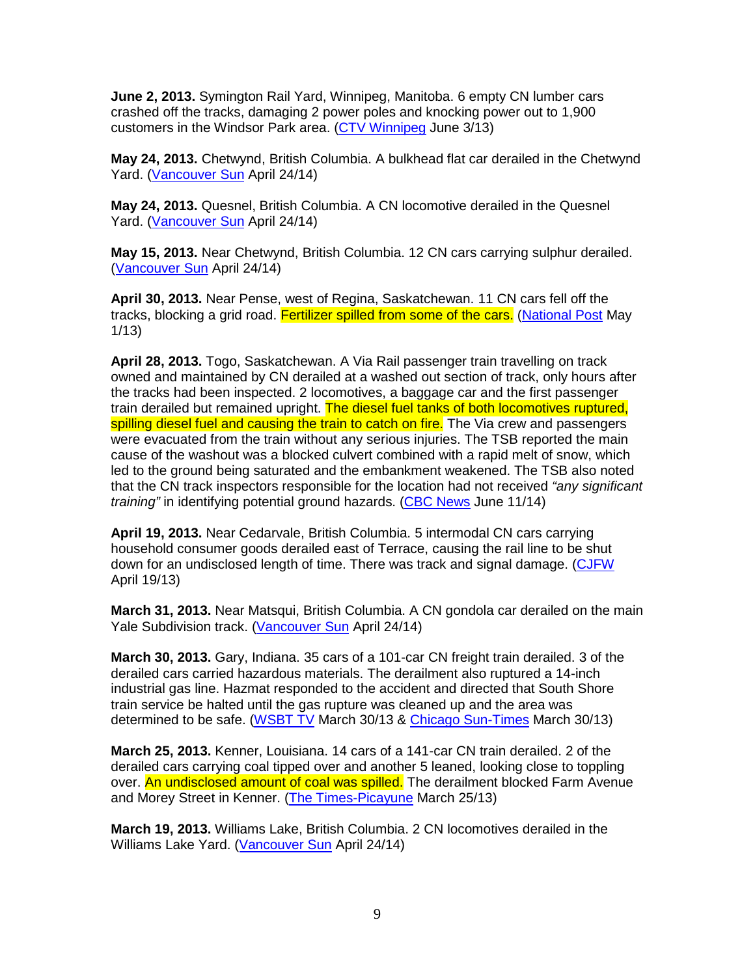**June 2, 2013.** Symington Rail Yard, Winnipeg, Manitoba. 6 empty CN lumber cars crashed off the tracks, damaging 2 power poles and knocking power out to 1,900 customers in the Windsor Park area. (CTV Winnipeg June 3/13)

**May 24, 2013.** Chetwynd, British Columbia. A bulkhead flat car derailed in the Chetwynd Yard. (Vancouver Sun April 24/14)

**May 24, 2013.** Quesnel, British Columbia. A CN locomotive derailed in the Quesnel Yard. (Vancouver Sun April 24/14)

**May 15, 2013.** Near Chetwynd, British Columbia. 12 CN cars carrying sulphur derailed. (Vancouver Sun April 24/14)

**April 30, 2013.** Near Pense, west of Regina, Saskatchewan. 11 CN cars fell off the tracks, blocking a grid road. Fertilizer spilled from some of the cars. (National Post May 1/13)

**April 28, 2013.** Togo, Saskatchewan. A Via Rail passenger train travelling on track owned and maintained by CN derailed at a washed out section of track, only hours after the tracks had been inspected. 2 locomotives, a baggage car and the first passenger train derailed but remained upright. The diesel fuel tanks of both locomotives ruptured. spilling diesel fuel and causing the train to catch on fire. The Via crew and passengers were evacuated from the train without any serious injuries. The TSB reported the main cause of the washout was a blocked culvert combined with a rapid melt of snow, which led to the ground being saturated and the embankment weakened. The TSB also noted that the CN track inspectors responsible for the location had not received "any significant" training" in identifying potential ground hazards. (CBC News June 11/14)

**April 19, 2013.** Near Cedarvale, British Columbia. 5 intermodal CN cars carrying household consumer goods derailed east of Terrace, causing the rail line to be shut down for an undisclosed length of time. There was track and signal damage. (CJFW April 19/13)

**March 31, 2013.** Near Matsqui, British Columbia. A CN gondola car derailed on the main Yale Subdivision track. (Vancouver Sun April 24/14)

**March 30, 2013.** Gary, Indiana. 35 cars of a 101-car CN freight train derailed. 3 of the derailed cars carried hazardous materials. The derailment also ruptured a 14-inch industrial gas line. Hazmat responded to the accident and directed that South Shore train service be halted until the gas rupture was cleaned up and the area was determined to be safe. (WSBT TV March 30/13 & Chicago Sun-Times March 30/13)

**March 25, 2013.** Kenner, Louisiana. 14 cars of a 141-car CN train derailed. 2 of the derailed cars carrying coal tipped over and another 5 leaned, looking close to toppling over. An undisclosed amount of coal was spilled. The derailment blocked Farm Avenue and Morey Street in Kenner. (The Times-Picayune March 25/13)

**March 19, 2013.** Williams Lake, British Columbia. 2 CN locomotives derailed in the Williams Lake Yard. (Vancouver Sun April 24/14)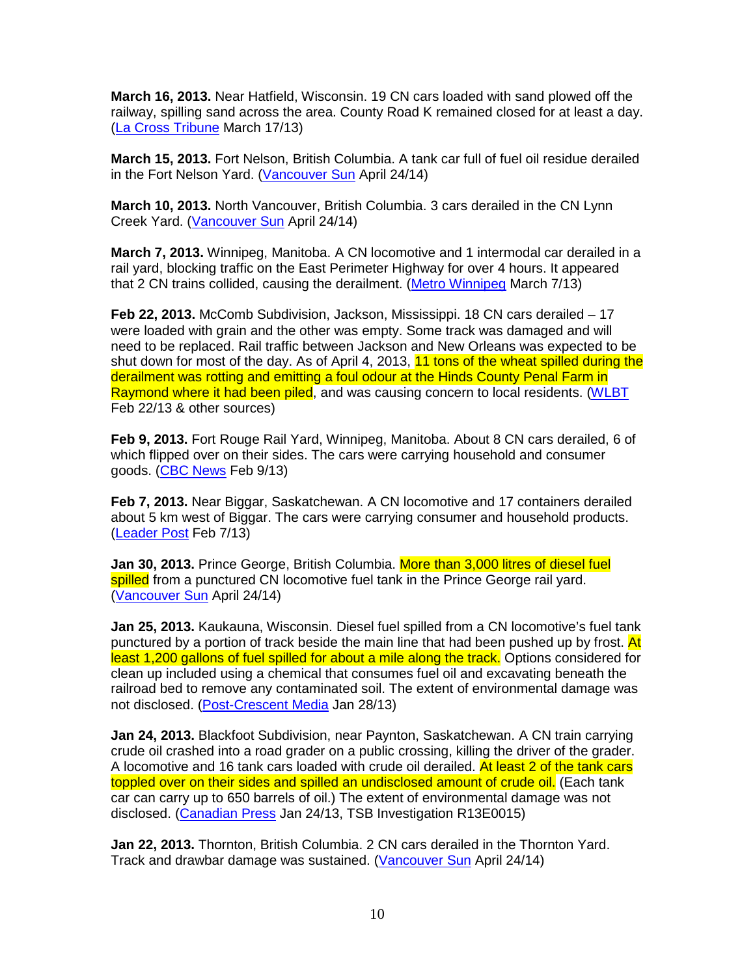**March 16, 2013.** Near Hatfield, Wisconsin. 19 CN cars loaded with sand plowed off the railway, spilling sand across the area. County Road K remained closed for at least a day. (La Cross Tribune March 17/13)

**March 15, 2013.** Fort Nelson, British Columbia. A tank car full of fuel oil residue derailed in the Fort Nelson Yard. (Vancouver Sun April 24/14)

**March 10, 2013.** North Vancouver, British Columbia. 3 cars derailed in the CN Lynn Creek Yard. (Vancouver Sun April 24/14)

**March 7, 2013.** Winnipeg, Manitoba. A CN locomotive and 1 intermodal car derailed in a rail yard, blocking traffic on the East Perimeter Highway for over 4 hours. It appeared that 2 CN trains collided, causing the derailment. (Metro Winnipeg March 7/13)

**Feb 22, 2013.** McComb Subdivision, Jackson, Mississippi. 18 CN cars derailed – 17 were loaded with grain and the other was empty. Some track was damaged and will need to be replaced. Rail traffic between Jackson and New Orleans was expected to be shut down for most of the day. As of April 4, 2013, 11 tons of the wheat spilled during the derailment was rotting and emitting a foul odour at the Hinds County Penal Farm in Raymond where it had been piled, and was causing concern to local residents. (WLBT Feb 22/13 & other sources)

**Feb 9, 2013.** Fort Rouge Rail Yard, Winnipeg, Manitoba. About 8 CN cars derailed, 6 of which flipped over on their sides. The cars were carrying household and consumer goods. (CBC News Feb 9/13)

**Feb 7, 2013.** Near Biggar, Saskatchewan. A CN locomotive and 17 containers derailed about 5 km west of Biggar. The cars were carrying consumer and household products. (Leader Post Feb 7/13)

**Jan 30, 2013.** Prince George, British Columbia. More than 3,000 litres of diesel fuel spilled from a punctured CN locomotive fuel tank in the Prince George rail vard. (Vancouver Sun April 24/14)

**Jan 25, 2013.** Kaukauna, Wisconsin. Diesel fuel spilled from a CN locomotive's fuel tank punctured by a portion of track beside the main line that had been pushed up by frost. At least 1,200 gallons of fuel spilled for about a mile along the track. Options considered for clean up included using a chemical that consumes fuel oil and excavating beneath the railroad bed to remove any contaminated soil. The extent of environmental damage was not disclosed. (Post-Crescent Media Jan 28/13)

**Jan 24, 2013.** Blackfoot Subdivision, near Paynton, Saskatchewan. A CN train carrying crude oil crashed into a road grader on a public crossing, killing the driver of the grader. A locomotive and 16 tank cars loaded with crude oil derailed. At least 2 of the tank cars toppled over on their sides and spilled an undisclosed amount of crude oil. (Each tank car can carry up to 650 barrels of oil.) The extent of environmental damage was not disclosed. (Canadian Press Jan 24/13, TSB Investigation R13E0015)

**Jan 22, 2013.** Thornton, British Columbia. 2 CN cars derailed in the Thornton Yard. Track and drawbar damage was sustained. (Vancouver Sun April 24/14)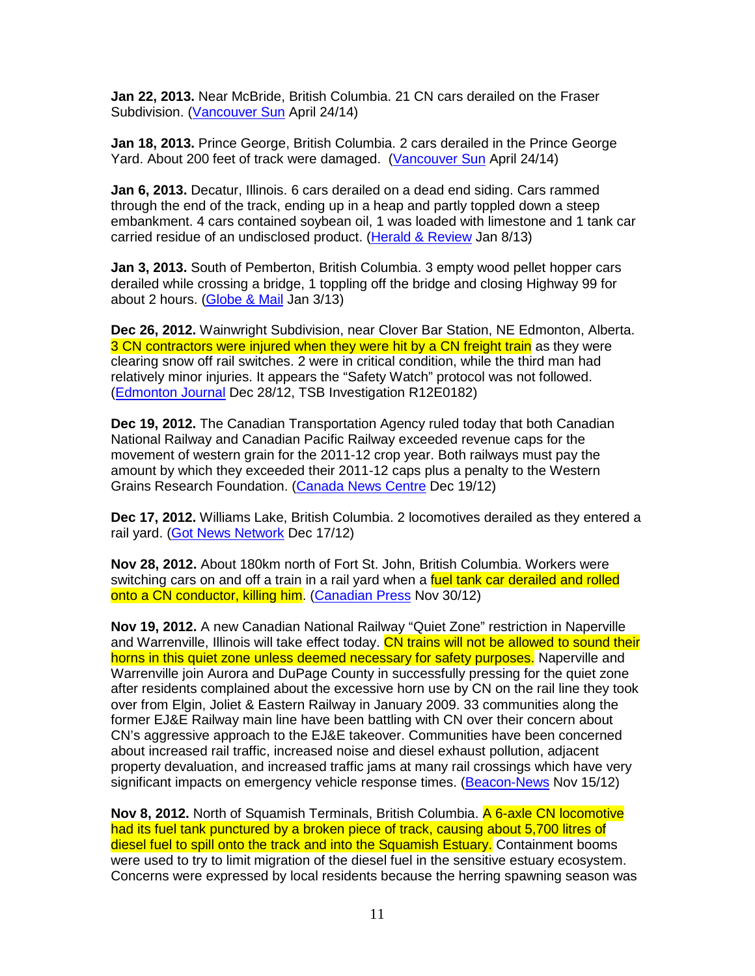**Jan 22, 2013.** Near McBride, British Columbia. 21 CN cars derailed on the Fraser Subdivision. (Vancouver Sun April 24/14)

**Jan 18, 2013.** Prince George, British Columbia. 2 cars derailed in the Prince George Yard. About 200 feet of track were damaged. (Vancouver Sun April 24/14)

**Jan 6, 2013.** Decatur, Illinois. 6 cars derailed on a dead end siding. Cars rammed through the end of the track, ending up in a heap and partly toppled down a steep embankment. 4 cars contained soybean oil, 1 was loaded with limestone and 1 tank car carried residue of an undisclosed product. (Herald & Review Jan 8/13)

**Jan 3, 2013.** South of Pemberton, British Columbia. 3 empty wood pellet hopper cars derailed while crossing a bridge, 1 toppling off the bridge and closing Highway 99 for about 2 hours. (Globe & Mail Jan 3/13)

**Dec 26, 2012.** Wainwright Subdivision, near Clover Bar Station, NE Edmonton, Alberta. 3 CN contractors were injured when they were hit by a CN freight train as they were clearing snow off rail switches. 2 were in critical condition, while the third man had relatively minor injuries. It appears the "Safety Watch" protocol was not followed. (Edmonton Journal Dec 28/12, TSB Investigation R12E0182)

**Dec 19, 2012.** The Canadian Transportation Agency ruled today that both Canadian National Railway and Canadian Pacific Railway exceeded revenue caps for the movement of western grain for the 2011-12 crop year. Both railways must pay the amount by which they exceeded their 2011-12 caps plus a penalty to the Western Grains Research Foundation. (Canada News Centre Dec 19/12)

**Dec 17, 2012.** Williams Lake, British Columbia. 2 locomotives derailed as they entered a rail yard. (Got News Network Dec 17/12)

**Nov 28, 2012.** About 180km north of Fort St. John, British Columbia. Workers were switching cars on and off a train in a rail yard when a fuel tank car derailed and rolled onto a CN conductor, killing him. (Canadian Press Nov 30/12)

**Nov 19, 2012.** A new Canadian National Railway "Quiet Zone" restriction in Naperville and Warrenville, Illinois will take effect today. CN trains will not be allowed to sound their horns in this quiet zone unless deemed necessary for safety purposes. Naperville and Warrenville join Aurora and DuPage County in successfully pressing for the quiet zone after residents complained about the excessive horn use by CN on the rail line they took over from Elgin, Joliet & Eastern Railway in January 2009. 33 communities along the former EJ&E Railway main line have been battling with CN over their concern about CN's aggressive approach to the EJ&E takeover. Communities have been concerned about increased rail traffic, increased noise and diesel exhaust pollution, adjacent property devaluation, and increased traffic jams at many rail crossings which have very significant impacts on emergency vehicle response times. (Beacon-News Nov 15/12)

**Nov 8, 2012.** North of Squamish Terminals, British Columbia. A 6-axle CN locomotive had its fuel tank punctured by a broken piece of track, causing about 5,700 litres of diesel fuel to spill onto the track and into the Squamish Estuary. Containment booms were used to try to limit migration of the diesel fuel in the sensitive estuary ecosystem. Concerns were expressed by local residents because the herring spawning season was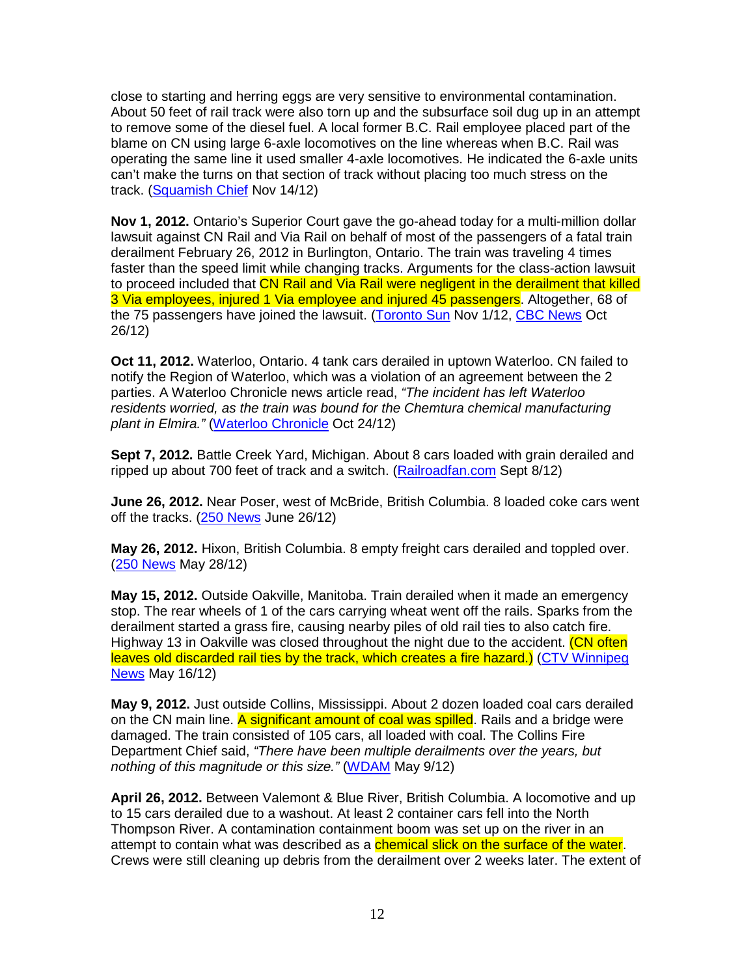close to starting and herring eggs are very sensitive to environmental contamination. About 50 feet of rail track were also torn up and the subsurface soil dug up in an attempt to remove some of the diesel fuel. A local former B.C. Rail employee placed part of the blame on CN using large 6-axle locomotives on the line whereas when B.C. Rail was operating the same line it used smaller 4-axle locomotives. He indicated the 6-axle units can't make the turns on that section of track without placing too much stress on the track. (Squamish Chief Nov 14/12)

**Nov 1, 2012.** Ontario's Superior Court gave the go-ahead today for a multi-million dollar lawsuit against CN Rail and Via Rail on behalf of most of the passengers of a fatal train derailment February 26, 2012 in Burlington, Ontario. The train was traveling 4 times faster than the speed limit while changing tracks. Arguments for the class-action lawsuit to proceed included that CN Rail and Via Rail were negligent in the derailment that killed 3 Via employees, injured 1 Via employee and injured 45 passengers. Altogether, 68 of the 75 passengers have joined the lawsuit. (Toronto Sun Nov 1/12, CBC News Oct 26/12)

**Oct 11, 2012.** Waterloo, Ontario. 4 tank cars derailed in uptown Waterloo. CN failed to notify the Region of Waterloo, which was a violation of an agreement between the 2 parties. A Waterloo Chronicle news article read, "The incident has left Waterloo residents worried, as the train was bound for the Chemtura chemical manufacturing plant in Elmira." (Waterloo Chronicle Oct 24/12)

**Sept 7, 2012.** Battle Creek Yard, Michigan. About 8 cars loaded with grain derailed and ripped up about 700 feet of track and a switch. (Railroadfan.com Sept 8/12)

**June 26, 2012.** Near Poser, west of McBride, British Columbia. 8 loaded coke cars went off the tracks. (250 News June 26/12)

**May 26, 2012.** Hixon, British Columbia. 8 empty freight cars derailed and toppled over. (250 News May 28/12)

**May 15, 2012.** Outside Oakville, Manitoba. Train derailed when it made an emergency stop. The rear wheels of 1 of the cars carrying wheat went off the rails. Sparks from the derailment started a grass fire, causing nearby piles of old rail ties to also catch fire. Highway 13 in Oakville was closed throughout the night due to the accident. (CN often leaves old discarded rail ties by the track, which creates a fire hazard.) (CTV Winnipeg News May 16/12)

**May 9, 2012.** Just outside Collins, Mississippi. About 2 dozen loaded coal cars derailed on the CN main line. A significant amount of coal was spilled. Rails and a bridge were damaged. The train consisted of 105 cars, all loaded with coal. The Collins Fire Department Chief said, "There have been multiple derailments over the years, but nothing of this magnitude or this size." (WDAM May 9/12)

**April 26, 2012.** Between Valemont & Blue River, British Columbia. A locomotive and up to 15 cars derailed due to a washout. At least 2 container cars fell into the North Thompson River. A contamination containment boom was set up on the river in an attempt to contain what was described as a *chemical slick on the surface of the water*. Crews were still cleaning up debris from the derailment over 2 weeks later. The extent of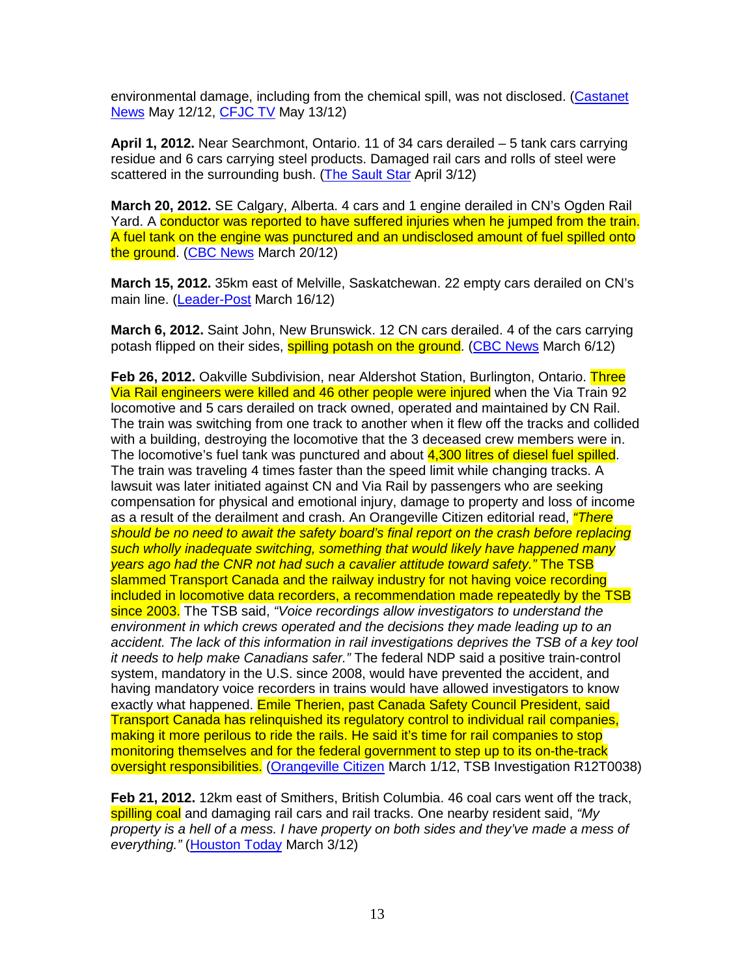environmental damage, including from the chemical spill, was not disclosed. (Castanet News May 12/12, CFJC TV May 13/12)

**April 1, 2012.** Near Searchmont, Ontario. 11 of 34 cars derailed – 5 tank cars carrying residue and 6 cars carrying steel products. Damaged rail cars and rolls of steel were scattered in the surrounding bush. (The Sault Star April 3/12)

**March 20, 2012.** SE Calgary, Alberta. 4 cars and 1 engine derailed in CN's Ogden Rail Yard. A conductor was reported to have suffered injuries when he jumped from the train. A fuel tank on the engine was punctured and an undisclosed amount of fuel spilled onto the ground. (CBC News March 20/12)

**March 15, 2012.** 35km east of Melville, Saskatchewan. 22 empty cars derailed on CN's main line. (Leader-Post March 16/12)

**March 6, 2012.** Saint John, New Brunswick. 12 CN cars derailed. 4 of the cars carrying potash flipped on their sides, **spilling potash on the ground. (CBC News March 6/12)** 

**Feb 26, 2012.** Oakville Subdivision, near Aldershot Station, Burlington, Ontario. Three Via Rail engineers were killed and 46 other people were injured when the Via Train 92 locomotive and 5 cars derailed on track owned, operated and maintained by CN Rail. The train was switching from one track to another when it flew off the tracks and collided with a building, destroying the locomotive that the 3 deceased crew members were in. The locomotive's fuel tank was punctured and about 4,300 litres of diesel fuel spilled. The train was traveling 4 times faster than the speed limit while changing tracks. A lawsuit was later initiated against CN and Via Rail by passengers who are seeking compensation for physical and emotional injury, damage to property and loss of income as a result of the derailment and crash. An Orangeville Citizen editorial read, *"There* should be no need to await the safety board's final report on the crash before replacing such wholly inadequate switching, something that would likely have happened many years ago had the CNR not had such a cavalier attitude toward safety." The TSB slammed Transport Canada and the railway industry for not having voice recording included in locomotive data recorders, a recommendation made repeatedly by the TSB since 2003. The TSB said, "Voice recordings allow investigators to understand the environment in which crews operated and the decisions they made leading up to an accident. The lack of this information in rail investigations deprives the TSB of a key tool it needs to help make Canadians safer." The federal NDP said a positive train-control system, mandatory in the U.S. since 2008, would have prevented the accident, and having mandatory voice recorders in trains would have allowed investigators to know exactly what happened. Emile Therien, past Canada Safety Council President, said Transport Canada has relinquished its regulatory control to individual rail companies, making it more perilous to ride the rails. He said it's time for rail companies to stop monitoring themselves and for the federal government to step up to its on-the-track oversight responsibilities. (Orangeville Citizen March 1/12, TSB Investigation R12T0038)

**Feb 21, 2012.** 12km east of Smithers, British Columbia. 46 coal cars went off the track, spilling coal and damaging rail cars and rail tracks. One nearby resident said, "My property is a hell of a mess. I have property on both sides and they've made a mess of everything." (Houston Today March 3/12)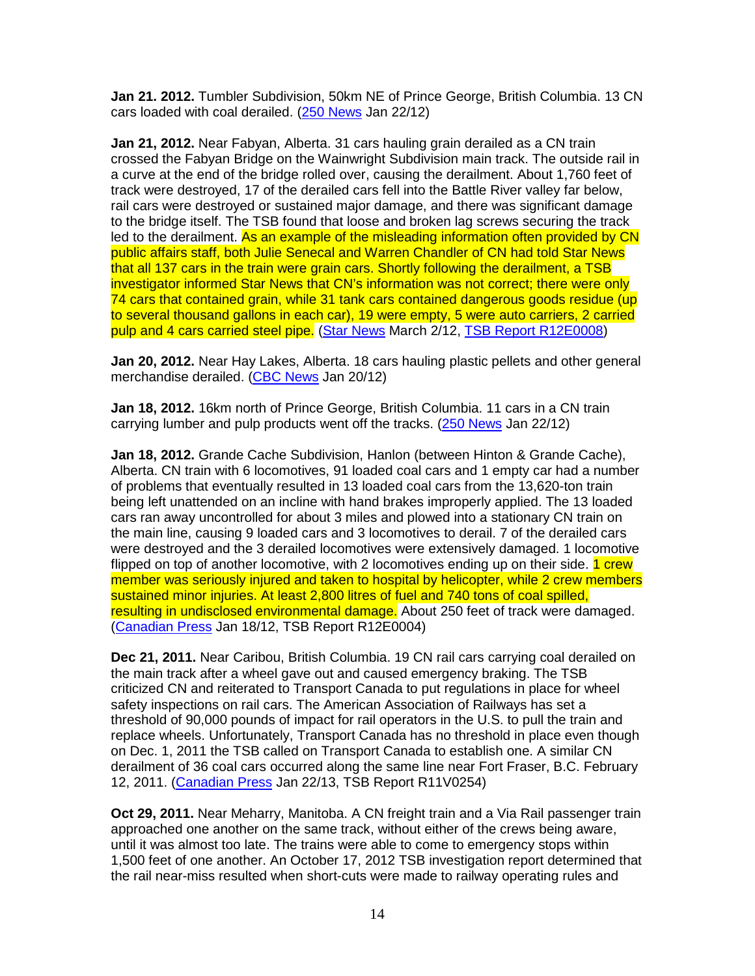**Jan 21. 2012.** Tumbler Subdivision, 50km NE of Prince George, British Columbia. 13 CN cars loaded with coal derailed. (250 News Jan 22/12)

**Jan 21, 2012.** Near Fabyan, Alberta. 31 cars hauling grain derailed as a CN train crossed the Fabyan Bridge on the Wainwright Subdivision main track. The outside rail in a curve at the end of the bridge rolled over, causing the derailment. About 1,760 feet of track were destroyed, 17 of the derailed cars fell into the Battle River valley far below, rail cars were destroyed or sustained major damage, and there was significant damage to the bridge itself. The TSB found that loose and broken lag screws securing the track led to the derailment. As an example of the misleading information often provided by CN public affairs staff, both Julie Senecal and Warren Chandler of CN had told Star News that all 137 cars in the train were grain cars. Shortly following the derailment, a TSB investigator informed Star News that CN's information was not correct; there were only 74 cars that contained grain, while 31 tank cars contained dangerous goods residue (up to several thousand gallons in each car), 19 were empty, 5 were auto carriers, 2 carried pulp and 4 cars carried steel pipe. (Star News March 2/12, TSB Report R12E0008)

**Jan 20, 2012.** Near Hay Lakes, Alberta. 18 cars hauling plastic pellets and other general merchandise derailed. (CBC News Jan 20/12)

**Jan 18, 2012.** 16km north of Prince George, British Columbia. 11 cars in a CN train carrying lumber and pulp products went off the tracks. (250 News Jan 22/12)

**Jan 18, 2012.** Grande Cache Subdivision, Hanlon (between Hinton & Grande Cache), Alberta. CN train with 6 locomotives, 91 loaded coal cars and 1 empty car had a number of problems that eventually resulted in 13 loaded coal cars from the 13,620-ton train being left unattended on an incline with hand brakes improperly applied. The 13 loaded cars ran away uncontrolled for about 3 miles and plowed into a stationary CN train on the main line, causing 9 loaded cars and 3 locomotives to derail. 7 of the derailed cars were destroyed and the 3 derailed locomotives were extensively damaged. 1 locomotive flipped on top of another locomotive, with 2 locomotives ending up on their side. 1 crew member was seriously injured and taken to hospital by helicopter, while 2 crew members sustained minor injuries. At least 2,800 litres of fuel and 740 tons of coal spilled, resulting in undisclosed environmental damage. About 250 feet of track were damaged. (Canadian Press Jan 18/12, TSB Report R12E0004)

**Dec 21, 2011.** Near Caribou, British Columbia. 19 CN rail cars carrying coal derailed on the main track after a wheel gave out and caused emergency braking. The TSB criticized CN and reiterated to Transport Canada to put regulations in place for wheel safety inspections on rail cars. The American Association of Railways has set a threshold of 90,000 pounds of impact for rail operators in the U.S. to pull the train and replace wheels. Unfortunately, Transport Canada has no threshold in place even though on Dec. 1, 2011 the TSB called on Transport Canada to establish one. A similar CN derailment of 36 coal cars occurred along the same line near Fort Fraser, B.C. February 12, 2011. (Canadian Press Jan 22/13, TSB Report R11V0254)

**Oct 29, 2011.** Near Meharry, Manitoba. A CN freight train and a Via Rail passenger train approached one another on the same track, without either of the crews being aware, until it was almost too late. The trains were able to come to emergency stops within 1,500 feet of one another. An October 17, 2012 TSB investigation report determined that the rail near-miss resulted when short-cuts were made to railway operating rules and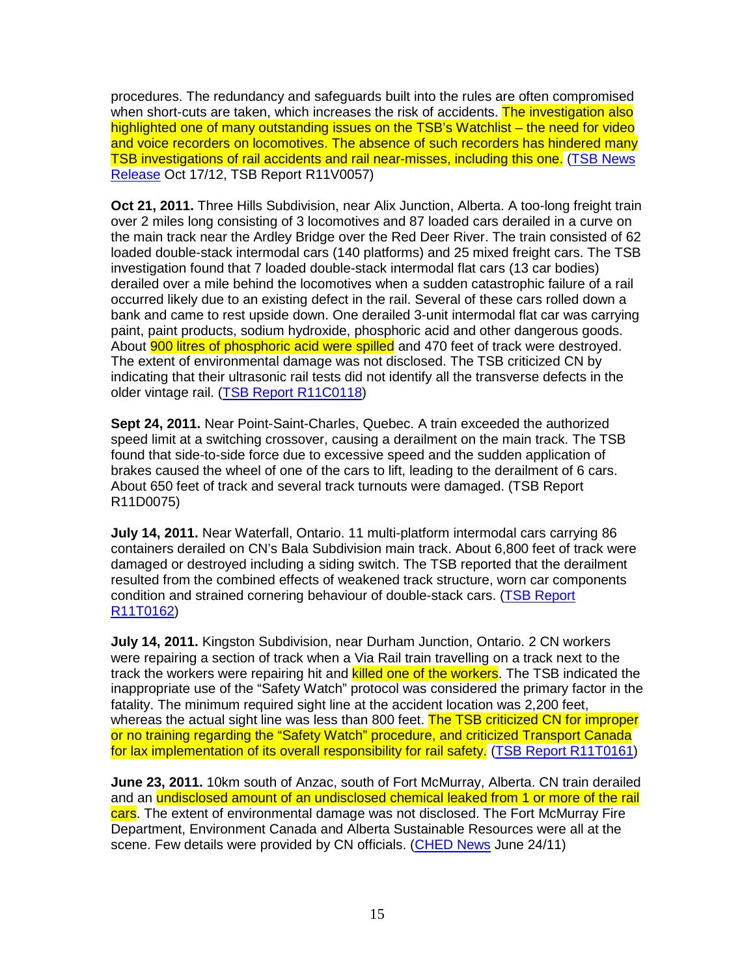procedures. The redundancy and safeguards built into the rules are often compromised when short-cuts are taken, which increases the risk of accidents. The investigation also highlighted one of many outstanding issues on the TSB's Watchlist – the need for video and voice recorders on locomotives. The absence of such recorders has hindered many TSB investigations of rail accidents and rail near-misses, including this one. (TSB News Release Oct 17/12, TSB Report R11V0057)

**Oct 21, 2011.** Three Hills Subdivision, near Alix Junction, Alberta. A too-long freight train over 2 miles long consisting of 3 locomotives and 87 loaded cars derailed in a curve on the main track near the Ardley Bridge over the Red Deer River. The train consisted of 62 loaded double-stack intermodal cars (140 platforms) and 25 mixed freight cars. The TSB investigation found that 7 loaded double-stack intermodal flat cars (13 car bodies) derailed over a mile behind the locomotives when a sudden catastrophic failure of a rail occurred likely due to an existing defect in the rail. Several of these cars rolled down a bank and came to rest upside down. One derailed 3-unit intermodal flat car was carrying paint, paint products, sodium hydroxide, phosphoric acid and other dangerous goods. About **900 litres of phosphoric acid were spilled** and 470 feet of track were destroyed. The extent of environmental damage was not disclosed. The TSB criticized CN by indicating that their ultrasonic rail tests did not identify all the transverse defects in the older vintage rail. (TSB Report R11C0118)

**Sept 24, 2011.** Near Point-Saint-Charles, Quebec. A train exceeded the authorized speed limit at a switching crossover, causing a derailment on the main track. The TSB found that side-to-side force due to excessive speed and the sudden application of brakes caused the wheel of one of the cars to lift, leading to the derailment of 6 cars. About 650 feet of track and several track turnouts were damaged. (TSB Report R11D0075)

**July 14, 2011.** Near Waterfall, Ontario. 11 multi-platform intermodal cars carrying 86 containers derailed on CN's Bala Subdivision main track. About 6,800 feet of track were damaged or destroyed including a siding switch. The TSB reported that the derailment resulted from the combined effects of weakened track structure, worn car components condition and strained cornering behaviour of double-stack cars. (TSB Report R11T0162)

**July 14, 2011.** Kingston Subdivision, near Durham Junction, Ontario. 2 CN workers were repairing a section of track when a Via Rail train travelling on a track next to the track the workers were repairing hit and killed one of the workers. The TSB indicated the inappropriate use of the "Safety Watch" protocol was considered the primary factor in the fatality. The minimum required sight line at the accident location was 2,200 feet, whereas the actual sight line was less than 800 feet. The TSB criticized CN for improper or no training regarding the "Safety Watch" procedure, and criticized Transport Canada for lax implementation of its overall responsibility for rail safety. (TSB Report R11T0161)

**June 23, 2011.** 10km south of Anzac, south of Fort McMurray, Alberta. CN train derailed and an undisclosed amount of an undisclosed chemical leaked from 1 or more of the rail cars. The extent of environmental damage was not disclosed. The Fort McMurray Fire Department, Environment Canada and Alberta Sustainable Resources were all at the scene. Few details were provided by CN officials. (CHED News June 24/11)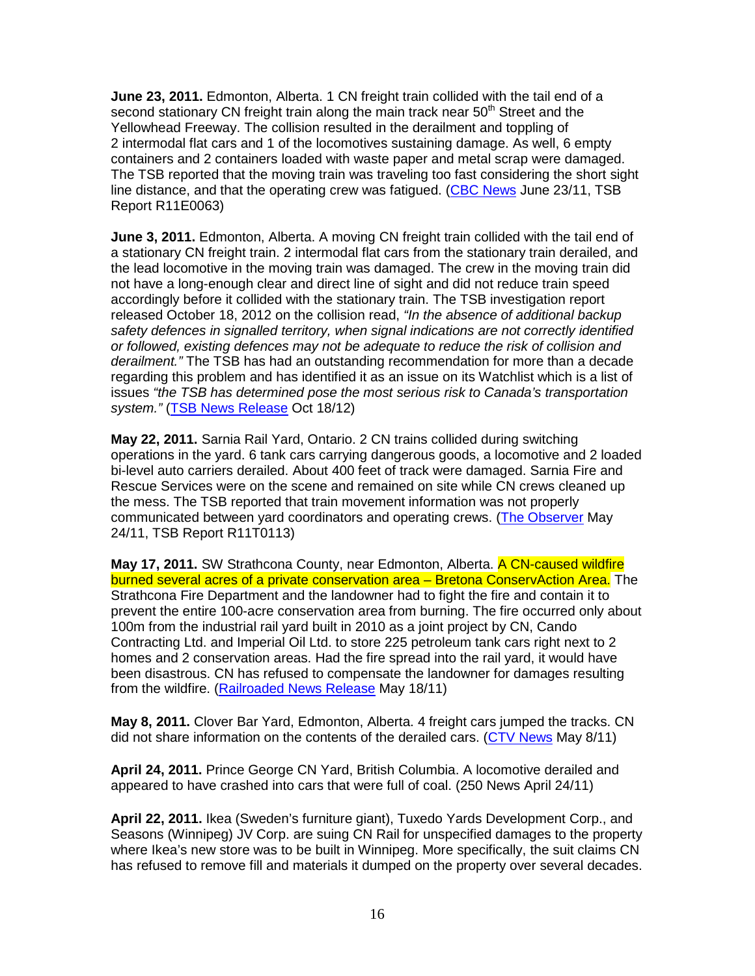**June 23, 2011.** Edmonton, Alberta. 1 CN freight train collided with the tail end of a second stationary CN freight train along the main track near  $50<sup>th</sup>$  Street and the Yellowhead Freeway. The collision resulted in the derailment and toppling of 2 intermodal flat cars and 1 of the locomotives sustaining damage. As well, 6 empty containers and 2 containers loaded with waste paper and metal scrap were damaged. The TSB reported that the moving train was traveling too fast considering the short sight line distance, and that the operating crew was fatigued. (CBC News June 23/11, TSB Report R11E0063)

**June 3, 2011.** Edmonton, Alberta. A moving CN freight train collided with the tail end of a stationary CN freight train. 2 intermodal flat cars from the stationary train derailed, and the lead locomotive in the moving train was damaged. The crew in the moving train did not have a long-enough clear and direct line of sight and did not reduce train speed accordingly before it collided with the stationary train. The TSB investigation report released October 18, 2012 on the collision read, "In the absence of additional backup safety defences in signalled territory, when signal indications are not correctly identified or followed, existing defences may not be adequate to reduce the risk of collision and derailment." The TSB has had an outstanding recommendation for more than a decade regarding this problem and has identified it as an issue on its Watchlist which is a list of issues "the TSB has determined pose the most serious risk to Canada's transportation system." (TSB News Release Oct 18/12)

**May 22, 2011.** Sarnia Rail Yard, Ontario. 2 CN trains collided during switching operations in the yard. 6 tank cars carrying dangerous goods, a locomotive and 2 loaded bi-level auto carriers derailed. About 400 feet of track were damaged. Sarnia Fire and Rescue Services were on the scene and remained on site while CN crews cleaned up the mess. The TSB reported that train movement information was not properly communicated between yard coordinators and operating crews. (The Observer May 24/11, TSB Report R11T0113)

**May 17, 2011.** SW Strathcona County, near Edmonton, Alberta. A CN-caused wildfire burned several acres of a private conservation area - Bretona ConservAction Area. The Strathcona Fire Department and the landowner had to fight the fire and contain it to prevent the entire 100-acre conservation area from burning. The fire occurred only about 100m from the industrial rail yard built in 2010 as a joint project by CN, Cando Contracting Ltd. and Imperial Oil Ltd. to store 225 petroleum tank cars right next to 2 homes and 2 conservation areas. Had the fire spread into the rail yard, it would have been disastrous. CN has refused to compensate the landowner for damages resulting from the wildfire. (Railroaded News Release May 18/11)

**May 8, 2011.** Clover Bar Yard, Edmonton, Alberta. 4 freight cars jumped the tracks. CN did not share information on the contents of the derailed cars. (CTV News May 8/11)

**April 24, 2011.** Prince George CN Yard, British Columbia. A locomotive derailed and appeared to have crashed into cars that were full of coal. (250 News April 24/11)

**April 22, 2011.** Ikea (Sweden's furniture giant), Tuxedo Yards Development Corp., and Seasons (Winnipeg) JV Corp. are suing CN Rail for unspecified damages to the property where Ikea's new store was to be built in Winnipeg. More specifically, the suit claims CN has refused to remove fill and materials it dumped on the property over several decades.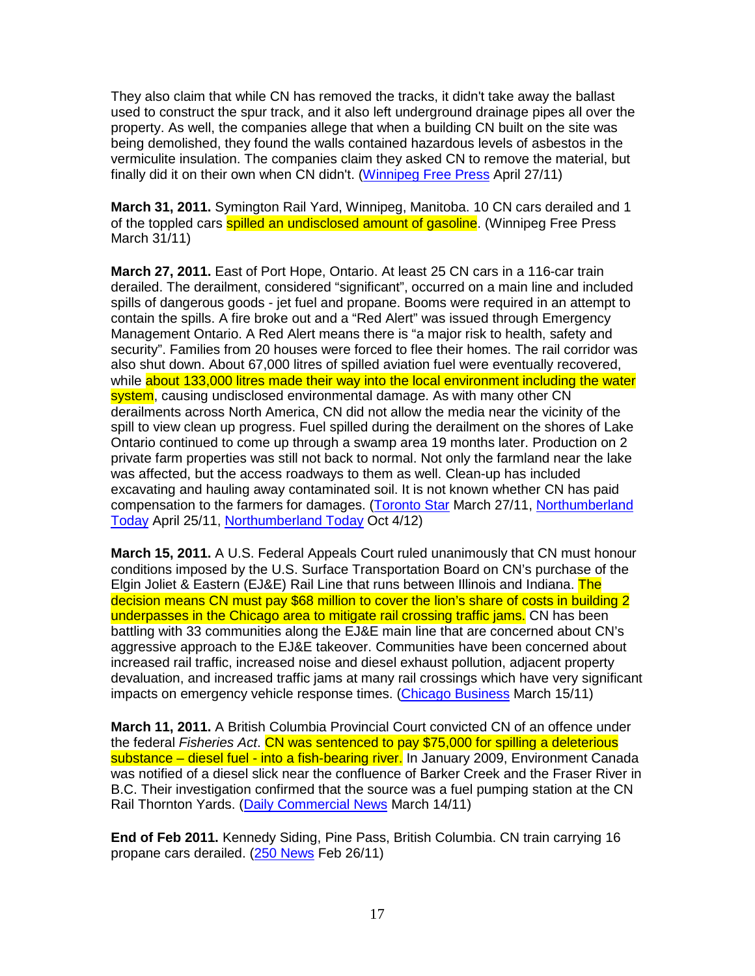They also claim that while CN has removed the tracks, it didn't take away the ballast used to construct the spur track, and it also left underground drainage pipes all over the property. As well, the companies allege that when a building CN built on the site was being demolished, they found the walls contained hazardous levels of asbestos in the vermiculite insulation. The companies claim they asked CN to remove the material, but finally did it on their own when CN didn't. (Winnipeg Free Press April 27/11)

**March 31, 2011.** Symington Rail Yard, Winnipeg, Manitoba. 10 CN cars derailed and 1 of the toppled cars spilled an undisclosed amount of gasoline. (Winnipeg Free Press March 31/11)

**March 27, 2011.** East of Port Hope, Ontario. At least 25 CN cars in a 116-car train derailed. The derailment, considered "significant", occurred on a main line and included spills of dangerous goods - jet fuel and propane. Booms were required in an attempt to contain the spills. A fire broke out and a "Red Alert" was issued through Emergency Management Ontario. A Red Alert means there is "a major risk to health, safety and security". Families from 20 houses were forced to flee their homes. The rail corridor was also shut down. About 67,000 litres of spilled aviation fuel were eventually recovered, while about 133,000 litres made their way into the local environment including the water system, causing undisclosed environmental damage. As with many other CN derailments across North America, CN did not allow the media near the vicinity of the spill to view clean up progress. Fuel spilled during the derailment on the shores of Lake Ontario continued to come up through a swamp area 19 months later. Production on 2 private farm properties was still not back to normal. Not only the farmland near the lake was affected, but the access roadways to them as well. Clean-up has included excavating and hauling away contaminated soil. It is not known whether CN has paid compensation to the farmers for damages. (Toronto Star March 27/11, Northumberland Today April 25/11, Northumberland Today Oct 4/12)

**March 15, 2011.** A U.S. Federal Appeals Court ruled unanimously that CN must honour conditions imposed by the U.S. Surface Transportation Board on CN's purchase of the Elgin Joliet & Eastern (EJ&E) Rail Line that runs between Illinois and Indiana. The decision means CN must pay \$68 million to cover the lion's share of costs in building 2 underpasses in the Chicago area to mitigate rail crossing traffic jams. CN has been battling with 33 communities along the EJ&E main line that are concerned about CN's aggressive approach to the EJ&E takeover. Communities have been concerned about increased rail traffic, increased noise and diesel exhaust pollution, adjacent property devaluation, and increased traffic jams at many rail crossings which have very significant impacts on emergency vehicle response times. (Chicago Business March 15/11)

**March 11, 2011.** A British Columbia Provincial Court convicted CN of an offence under the federal Fisheries Act. CN was sentenced to pay \$75,000 for spilling a deleterious substance – diesel fuel - into a fish-bearing river. In January 2009, Environment Canada was notified of a diesel slick near the confluence of Barker Creek and the Fraser River in B.C. Their investigation confirmed that the source was a fuel pumping station at the CN Rail Thornton Yards. (Daily Commercial News March 14/11)

**End of Feb 2011.** Kennedy Siding, Pine Pass, British Columbia. CN train carrying 16 propane cars derailed. (250 News Feb 26/11)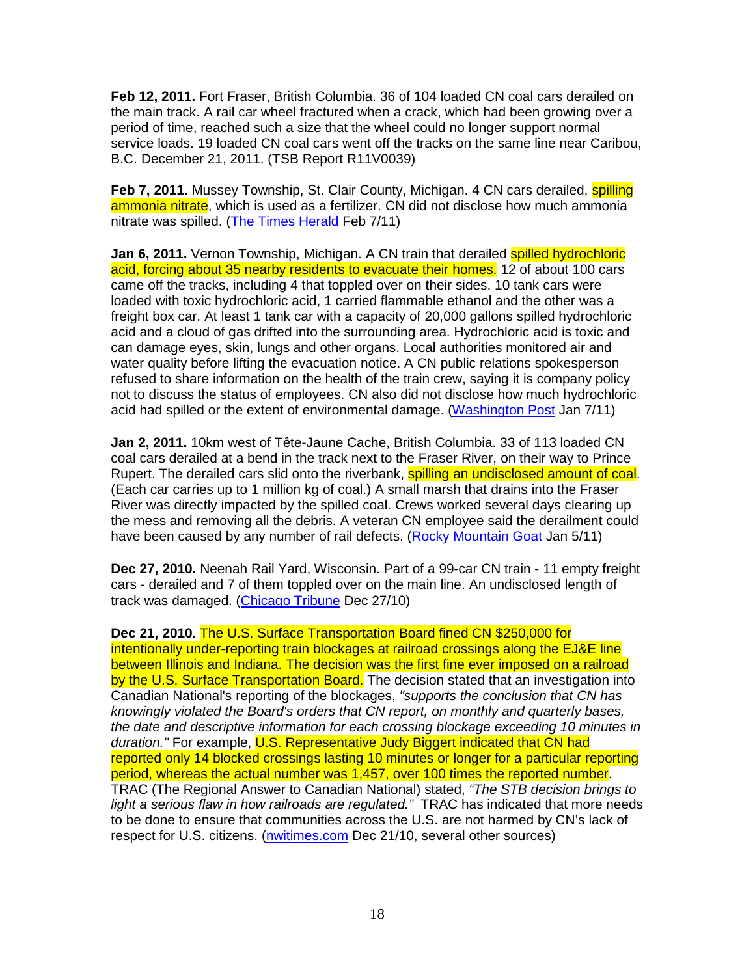**Feb 12, 2011.** Fort Fraser, British Columbia. 36 of 104 loaded CN coal cars derailed on the main track. A rail car wheel fractured when a crack, which had been growing over a period of time, reached such a size that the wheel could no longer support normal service loads. 19 loaded CN coal cars went off the tracks on the same line near Caribou, B.C. December 21, 2011. (TSB Report R11V0039)

Feb 7, 2011. Mussey Township, St. Clair County, Michigan. 4 CN cars derailed, **spilling** ammonia nitrate, which is used as a fertilizer. CN did not disclose how much ammonia nitrate was spilled. (The Times Herald Feb 7/11)

**Jan 6, 2011.** Vernon Township, Michigan. A CN train that derailed spilled hydrochloric acid, forcing about 35 nearby residents to evacuate their homes. 12 of about 100 cars came off the tracks, including 4 that toppled over on their sides. 10 tank cars were loaded with toxic hydrochloric acid, 1 carried flammable ethanol and the other was a freight box car. At least 1 tank car with a capacity of 20,000 gallons spilled hydrochloric acid and a cloud of gas drifted into the surrounding area. Hydrochloric acid is toxic and can damage eyes, skin, lungs and other organs. Local authorities monitored air and water quality before lifting the evacuation notice. A CN public relations spokesperson refused to share information on the health of the train crew, saying it is company policy not to discuss the status of employees. CN also did not disclose how much hydrochloric acid had spilled or the extent of environmental damage. (Washington Post Jan 7/11)

**Jan 2, 2011.** 10km west of Tête-Jaune Cache, British Columbia. 33 of 113 loaded CN coal cars derailed at a bend in the track next to the Fraser River, on their way to Prince Rupert. The derailed cars slid onto the riverbank, **spilling an undisclosed amount of coal**. (Each car carries up to 1 million kg of coal.) A small marsh that drains into the Fraser River was directly impacted by the spilled coal. Crews worked several days clearing up the mess and removing all the debris. A veteran CN employee said the derailment could have been caused by any number of rail defects. (Rocky Mountain Goat Jan 5/11)

**Dec 27, 2010.** Neenah Rail Yard, Wisconsin. Part of a 99-car CN train - 11 empty freight cars - derailed and 7 of them toppled over on the main line. An undisclosed length of track was damaged. (Chicago Tribune Dec 27/10)

**Dec 21, 2010.** The U.S. Surface Transportation Board fined CN \$250,000 for intentionally under-reporting train blockages at railroad crossings along the EJ&E line between Illinois and Indiana. The decision was the first fine ever imposed on a railroad by the U.S. Surface Transportation Board. The decision stated that an investigation into Canadian National's reporting of the blockages, "supports the conclusion that CN has knowingly violated the Board's orders that CN report, on monthly and quarterly bases, the date and descriptive information for each crossing blockage exceeding 10 minutes in duration." For example, U.S. Representative Judy Biggert indicated that CN had reported only 14 blocked crossings lasting 10 minutes or longer for a particular reporting period, whereas the actual number was 1,457, over 100 times the reported number. TRAC (The Regional Answer to Canadian National) stated, "The STB decision brings to light a serious flaw in how railroads are regulated." TRAC has indicated that more needs to be done to ensure that communities across the U.S. are not harmed by CN's lack of respect for U.S. citizens. (nwitimes.com Dec 21/10, several other sources)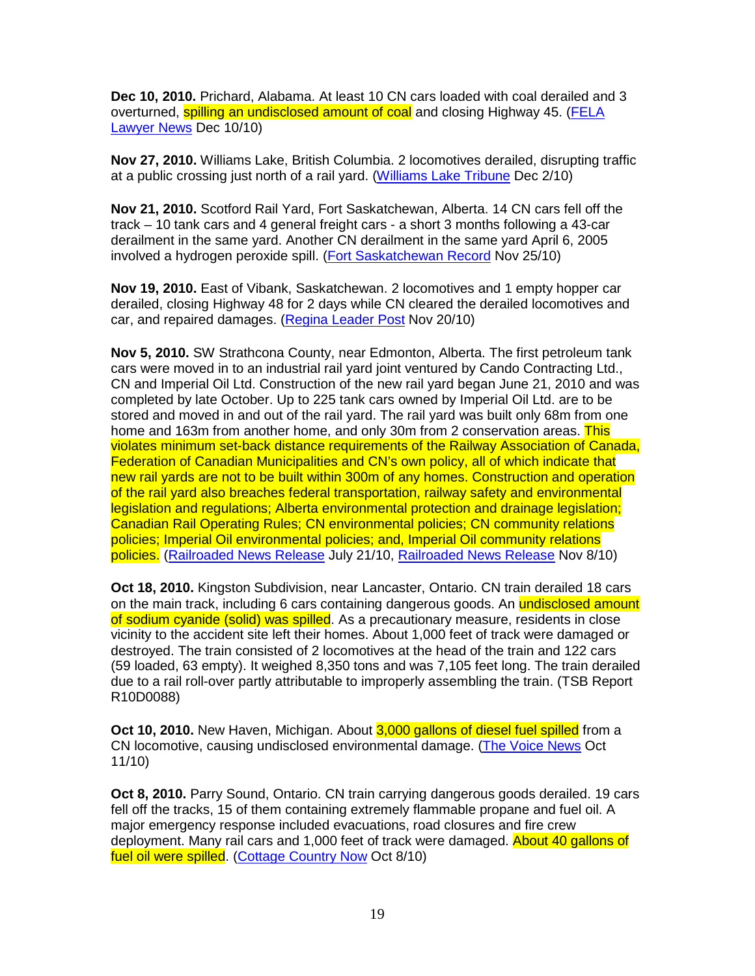**Dec 10, 2010.** Prichard, Alabama. At least 10 CN cars loaded with coal derailed and 3 overturned, **spilling an undisclosed amount of coal** and closing Highway 45. (FELA Lawyer News Dec 10/10)

**Nov 27, 2010.** Williams Lake, British Columbia. 2 locomotives derailed, disrupting traffic at a public crossing just north of a rail yard. (Williams Lake Tribune Dec 2/10)

**Nov 21, 2010.** Scotford Rail Yard, Fort Saskatchewan, Alberta. 14 CN cars fell off the track – 10 tank cars and 4 general freight cars - a short 3 months following a 43-car derailment in the same yard. Another CN derailment in the same yard April 6, 2005 involved a hydrogen peroxide spill. (Fort Saskatchewan Record Nov 25/10)

**Nov 19, 2010.** East of Vibank, Saskatchewan. 2 locomotives and 1 empty hopper car derailed, closing Highway 48 for 2 days while CN cleared the derailed locomotives and car, and repaired damages. (Regina Leader Post Nov 20/10)

**Nov 5, 2010.** SW Strathcona County, near Edmonton, Alberta. The first petroleum tank cars were moved in to an industrial rail yard joint ventured by Cando Contracting Ltd., CN and Imperial Oil Ltd. Construction of the new rail yard began June 21, 2010 and was completed by late October. Up to 225 tank cars owned by Imperial Oil Ltd. are to be stored and moved in and out of the rail yard. The rail yard was built only 68m from one home and 163m from another home, and only 30m from 2 conservation areas. This violates minimum set-back distance requirements of the Railway Association of Canada, Federation of Canadian Municipalities and CN's own policy, all of which indicate that new rail yards are not to be built within 300m of any homes. Construction and operation of the rail yard also breaches federal transportation, railway safety and environmental legislation and regulations; Alberta environmental protection and drainage legislation; Canadian Rail Operating Rules; CN environmental policies; CN community relations policies; Imperial Oil environmental policies; and, Imperial Oil community relations policies. (Railroaded News Release July 21/10, Railroaded News Release Nov 8/10)

**Oct 18, 2010.** Kingston Subdivision, near Lancaster, Ontario. CN train derailed 18 cars on the main track, including 6 cars containing dangerous goods. An undisclosed amount of sodium cyanide (solid) was spilled. As a precautionary measure, residents in close vicinity to the accident site left their homes. About 1,000 feet of track were damaged or destroyed. The train consisted of 2 locomotives at the head of the train and 122 cars (59 loaded, 63 empty). It weighed 8,350 tons and was 7,105 feet long. The train derailed due to a rail roll-over partly attributable to improperly assembling the train. (TSB Report R10D0088)

**Oct 10, 2010.** New Haven, Michigan. About 3,000 gallons of diesel fuel spilled from a CN locomotive, causing undisclosed environmental damage. (The Voice News Oct 11/10)

**Oct 8, 2010.** Parry Sound, Ontario. CN train carrying dangerous goods derailed. 19 cars fell off the tracks, 15 of them containing extremely flammable propane and fuel oil. A major emergency response included evacuations, road closures and fire crew deployment. Many rail cars and 1,000 feet of track were damaged. About 40 gallons of fuel oil were spilled. (Cottage Country Now Oct 8/10)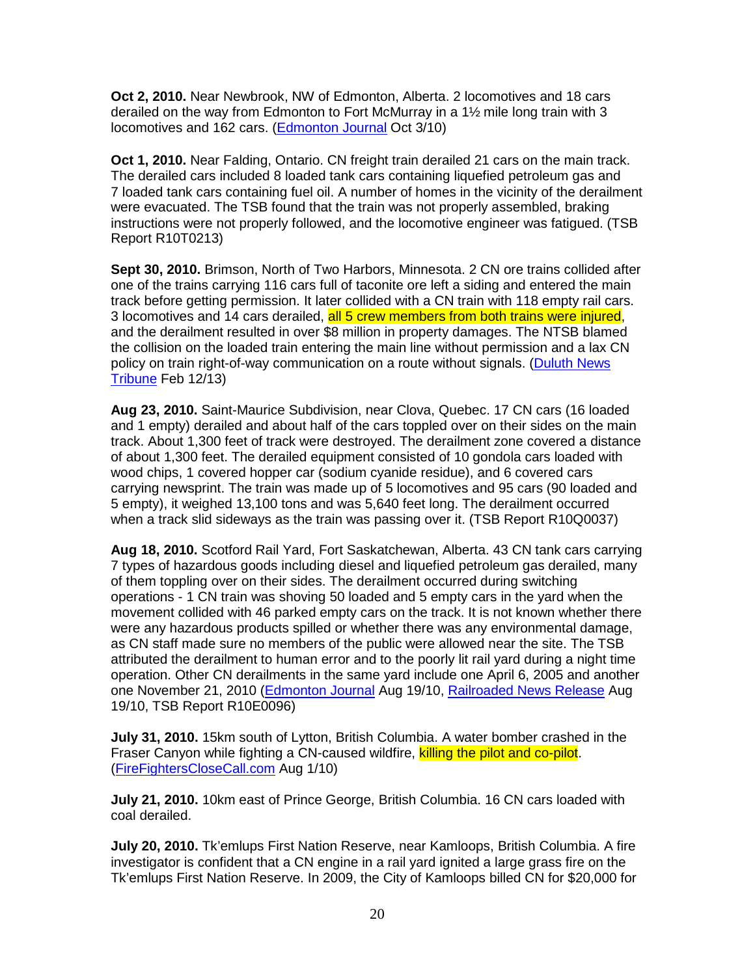**Oct 2, 2010.** Near Newbrook, NW of Edmonton, Alberta. 2 locomotives and 18 cars derailed on the way from Edmonton to Fort McMurray in a 1½ mile long train with 3 locomotives and 162 cars. (Edmonton Journal Oct 3/10)

**Oct 1, 2010.** Near Falding, Ontario. CN freight train derailed 21 cars on the main track. The derailed cars included 8 loaded tank cars containing liquefied petroleum gas and 7 loaded tank cars containing fuel oil. A number of homes in the vicinity of the derailment were evacuated. The TSB found that the train was not properly assembled, braking instructions were not properly followed, and the locomotive engineer was fatigued. (TSB Report R10T0213)

**Sept 30, 2010.** Brimson, North of Two Harbors, Minnesota. 2 CN ore trains collided after one of the trains carrying 116 cars full of taconite ore left a siding and entered the main track before getting permission. It later collided with a CN train with 118 empty rail cars. 3 locomotives and 14 cars derailed, all 5 crew members from both trains were injured, and the derailment resulted in over \$8 million in property damages. The NTSB blamed the collision on the loaded train entering the main line without permission and a lax CN policy on train right-of-way communication on a route without signals. (Duluth News Tribune Feb 12/13)

**Aug 23, 2010.** Saint-Maurice Subdivision, near Clova, Quebec. 17 CN cars (16 loaded and 1 empty) derailed and about half of the cars toppled over on their sides on the main track. About 1,300 feet of track were destroyed. The derailment zone covered a distance of about 1,300 feet. The derailed equipment consisted of 10 gondola cars loaded with wood chips, 1 covered hopper car (sodium cyanide residue), and 6 covered cars carrying newsprint. The train was made up of 5 locomotives and 95 cars (90 loaded and 5 empty), it weighed 13,100 tons and was 5,640 feet long. The derailment occurred when a track slid sideways as the train was passing over it. (TSB Report R10Q0037)

**Aug 18, 2010.** Scotford Rail Yard, Fort Saskatchewan, Alberta. 43 CN tank cars carrying 7 types of hazardous goods including diesel and liquefied petroleum gas derailed, many of them toppling over on their sides. The derailment occurred during switching operations - 1 CN train was shoving 50 loaded and 5 empty cars in the yard when the movement collided with 46 parked empty cars on the track. It is not known whether there were any hazardous products spilled or whether there was any environmental damage, as CN staff made sure no members of the public were allowed near the site. The TSB attributed the derailment to human error and to the poorly lit rail yard during a night time operation. Other CN derailments in the same yard include one April 6, 2005 and another one November 21, 2010 (Edmonton Journal Aug 19/10, Railroaded News Release Aug 19/10, TSB Report R10E0096)

**July 31, 2010.** 15km south of Lytton, British Columbia. A water bomber crashed in the Fraser Canyon while fighting a CN-caused wildfire, killing the pilot and co-pilot. (FireFightersCloseCall.com Aug 1/10)

**July 21, 2010.** 10km east of Prince George, British Columbia. 16 CN cars loaded with coal derailed.

**July 20, 2010.** Tk'emlups First Nation Reserve, near Kamloops, British Columbia. A fire investigator is confident that a CN engine in a rail yard ignited a large grass fire on the Tk'emlups First Nation Reserve. In 2009, the City of Kamloops billed CN for \$20,000 for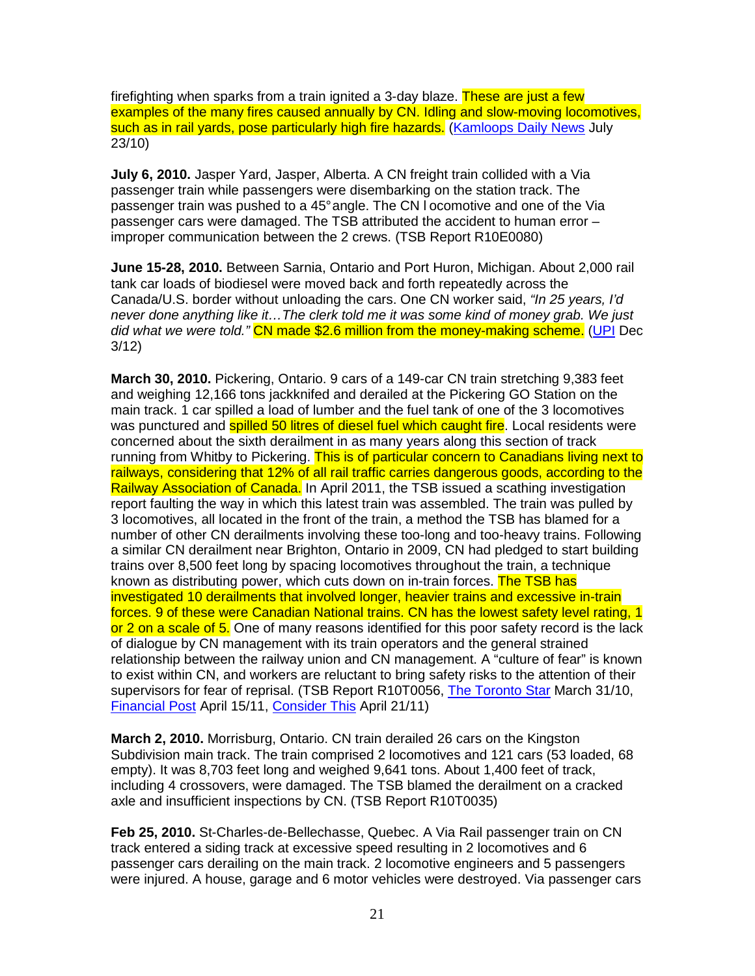firefighting when sparks from a train ignited a 3-day blaze. These are just a few examples of the many fires caused annually by CN. Idling and slow-moving locomotives, such as in rail yards, pose particularly high fire hazards. (Kamloops Daily News July 23/10)

**July 6, 2010.** Jasper Yard, Jasper, Alberta. A CN freight train collided with a Via passenger train while passengers were disembarking on the station track. The passenger train was pushed to a 45° angle. The CN l ocomotive and one of the Via passenger cars were damaged. The TSB attributed the accident to human error – improper communication between the 2 crews. (TSB Report R10E0080)

**June 15-28, 2010.** Between Sarnia, Ontario and Port Huron, Michigan. About 2,000 rail tank car loads of biodiesel were moved back and forth repeatedly across the Canada/U.S. border without unloading the cars. One CN worker said, "In 25 years, I'd never done anything like it…The clerk told me it was some kind of money grab. We just did what we were told." CN made \$2.6 million from the money-making scheme. (UPI Dec 3/12)

**March 30, 2010.** Pickering, Ontario. 9 cars of a 149-car CN train stretching 9,383 feet and weighing 12,166 tons jackknifed and derailed at the Pickering GO Station on the main track. 1 car spilled a load of lumber and the fuel tank of one of the 3 locomotives was punctured and **spilled 50 litres of diesel fuel which caught fire**. Local residents were concerned about the sixth derailment in as many years along this section of track running from Whitby to Pickering. This is of particular concern to Canadians living next to railways, considering that 12% of all rail traffic carries dangerous goods, according to the Railway Association of Canada. In April 2011, the TSB issued a scathing investigation report faulting the way in which this latest train was assembled. The train was pulled by 3 locomotives, all located in the front of the train, a method the TSB has blamed for a number of other CN derailments involving these too-long and too-heavy trains. Following a similar CN derailment near Brighton, Ontario in 2009, CN had pledged to start building trains over 8,500 feet long by spacing locomotives throughout the train, a technique known as distributing power, which cuts down on in-train forces. The TSB has investigated 10 derailments that involved longer, heavier trains and excessive in-train forces. 9 of these were Canadian National trains. CN has the lowest safety level rating, 1 or 2 on a scale of 5. One of many reasons identified for this poor safety record is the lack of dialogue by CN management with its train operators and the general strained relationship between the railway union and CN management. A "culture of fear" is known to exist within CN, and workers are reluctant to bring safety risks to the attention of their supervisors for fear of reprisal. (TSB Report R10T0056, The Toronto Star March 31/10, Financial Post April 15/11, Consider This April 21/11)

**March 2, 2010.** Morrisburg, Ontario. CN train derailed 26 cars on the Kingston Subdivision main track. The train comprised 2 locomotives and 121 cars (53 loaded, 68 empty). It was 8,703 feet long and weighed 9,641 tons. About 1,400 feet of track, including 4 crossovers, were damaged. The TSB blamed the derailment on a cracked axle and insufficient inspections by CN. (TSB Report R10T0035)

**Feb 25, 2010.** St-Charles-de-Bellechasse, Quebec. A Via Rail passenger train on CN track entered a siding track at excessive speed resulting in 2 locomotives and 6 passenger cars derailing on the main track. 2 locomotive engineers and 5 passengers were injured. A house, garage and 6 motor vehicles were destroyed. Via passenger cars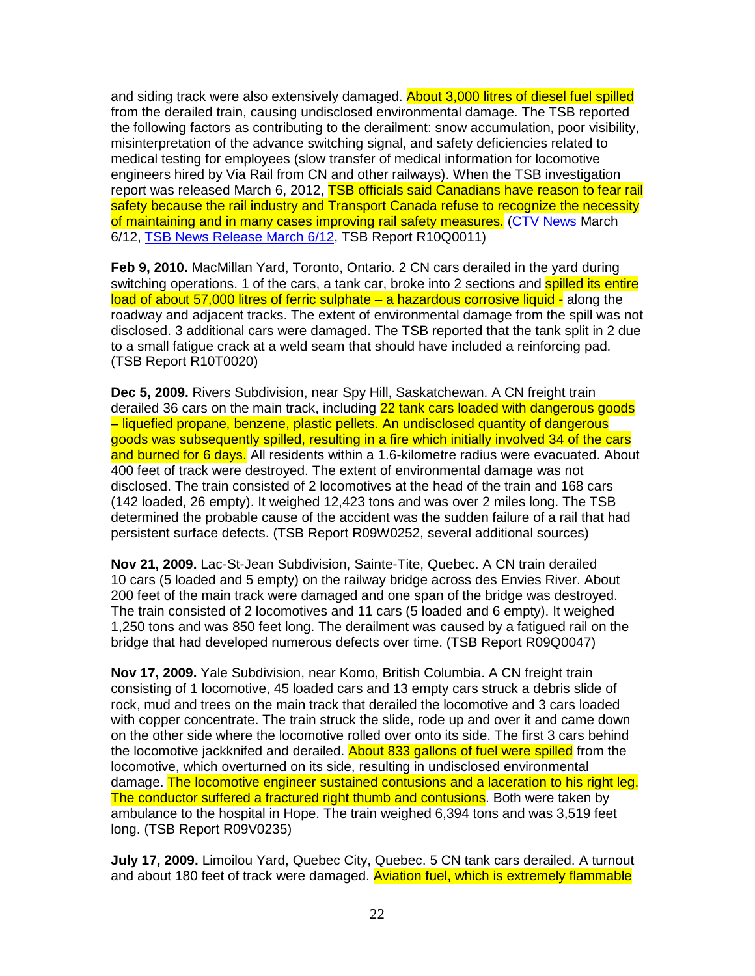and siding track were also extensively damaged. **About 3,000 litres of diesel fuel spilled** from the derailed train, causing undisclosed environmental damage. The TSB reported the following factors as contributing to the derailment: snow accumulation, poor visibility, misinterpretation of the advance switching signal, and safety deficiencies related to medical testing for employees (slow transfer of medical information for locomotive engineers hired by Via Rail from CN and other railways). When the TSB investigation report was released March 6, 2012, TSB officials said Canadians have reason to fear rail safety because the rail industry and Transport Canada refuse to recognize the necessity of maintaining and in many cases improving rail safety measures. (CTV News March 6/12, TSB News Release March 6/12, TSB Report R10Q0011)

**Feb 9, 2010.** MacMillan Yard, Toronto, Ontario. 2 CN cars derailed in the yard during switching operations. 1 of the cars, a tank car, broke into 2 sections and spilled its entire load of about 57,000 litres of ferric sulphate – a hazardous corrosive liquid - along the roadway and adjacent tracks. The extent of environmental damage from the spill was not disclosed. 3 additional cars were damaged. The TSB reported that the tank split in 2 due to a small fatigue crack at a weld seam that should have included a reinforcing pad. (TSB Report R10T0020)

**Dec 5, 2009.** Rivers Subdivision, near Spy Hill, Saskatchewan. A CN freight train derailed 36 cars on the main track, including 22 tank cars loaded with dangerous goods – liquefied propane, benzene, plastic pellets. An undisclosed quantity of dangerous goods was subsequently spilled, resulting in a fire which initially involved 34 of the cars and burned for 6 days. All residents within a 1.6-kilometre radius were evacuated. About 400 feet of track were destroyed. The extent of environmental damage was not disclosed. The train consisted of 2 locomotives at the head of the train and 168 cars (142 loaded, 26 empty). It weighed 12,423 tons and was over 2 miles long. The TSB determined the probable cause of the accident was the sudden failure of a rail that had persistent surface defects. (TSB Report R09W0252, several additional sources)

**Nov 21, 2009.** Lac-St-Jean Subdivision, Sainte-Tite, Quebec. A CN train derailed 10 cars (5 loaded and 5 empty) on the railway bridge across des Envies River. About 200 feet of the main track were damaged and one span of the bridge was destroyed. The train consisted of 2 locomotives and 11 cars (5 loaded and 6 empty). It weighed 1,250 tons and was 850 feet long. The derailment was caused by a fatigued rail on the bridge that had developed numerous defects over time. (TSB Report R09Q0047)

**Nov 17, 2009.** Yale Subdivision, near Komo, British Columbia. A CN freight train consisting of 1 locomotive, 45 loaded cars and 13 empty cars struck a debris slide of rock, mud and trees on the main track that derailed the locomotive and 3 cars loaded with copper concentrate. The train struck the slide, rode up and over it and came down on the other side where the locomotive rolled over onto its side. The first 3 cars behind the locomotive jackknifed and derailed. About 833 gallons of fuel were spilled from the locomotive, which overturned on its side, resulting in undisclosed environmental damage. The locomotive engineer sustained contusions and a laceration to his right leg. The conductor suffered a fractured right thumb and contusions. Both were taken by ambulance to the hospital in Hope. The train weighed 6,394 tons and was 3,519 feet long. (TSB Report R09V0235)

**July 17, 2009.** Limoilou Yard, Quebec City, Quebec. 5 CN tank cars derailed. A turnout and about 180 feet of track were damaged. Aviation fuel, which is extremely flammable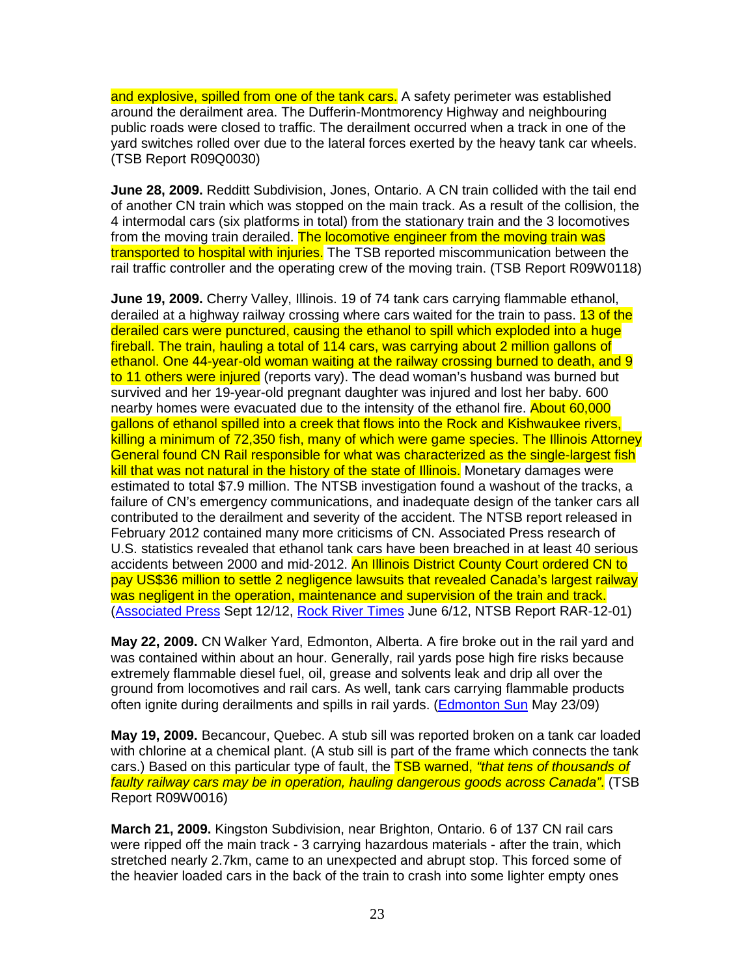and explosive, spilled from one of the tank cars. A safety perimeter was established around the derailment area. The Dufferin-Montmorency Highway and neighbouring public roads were closed to traffic. The derailment occurred when a track in one of the yard switches rolled over due to the lateral forces exerted by the heavy tank car wheels. (TSB Report R09Q0030)

**June 28, 2009.** Redditt Subdivision, Jones, Ontario. A CN train collided with the tail end of another CN train which was stopped on the main track. As a result of the collision, the 4 intermodal cars (six platforms in total) from the stationary train and the 3 locomotives from the moving train derailed. The locomotive engineer from the moving train was transported to hospital with injuries. The TSB reported miscommunication between the rail traffic controller and the operating crew of the moving train. (TSB Report R09W0118)

**June 19, 2009.** Cherry Valley, Illinois. 19 of 74 tank cars carrying flammable ethanol, derailed at a highway railway crossing where cars waited for the train to pass. 13 of the derailed cars were punctured, causing the ethanol to spill which exploded into a huge fireball. The train, hauling a total of 114 cars, was carrying about 2 million gallons of ethanol. One 44-year-old woman waiting at the railway crossing burned to death, and 9 to 11 others were injured (reports vary). The dead woman's husband was burned but survived and her 19-year-old pregnant daughter was injured and lost her baby. 600 nearby homes were evacuated due to the intensity of the ethanol fire. About 60,000 gallons of ethanol spilled into a creek that flows into the Rock and Kishwaukee rivers, killing a minimum of 72,350 fish, many of which were game species. The Illinois Attorney General found CN Rail responsible for what was characterized as the single-largest fish kill that was not natural in the history of the state of Illinois. Monetary damages were estimated to total \$7.9 million. The NTSB investigation found a washout of the tracks, a failure of CN's emergency communications, and inadequate design of the tanker cars all contributed to the derailment and severity of the accident. The NTSB report released in February 2012 contained many more criticisms of CN. Associated Press research of U.S. statistics revealed that ethanol tank cars have been breached in at least 40 serious accidents between 2000 and mid-2012. An Illinois District County Court ordered CN to pay US\$36 million to settle 2 negligence lawsuits that revealed Canada's largest railway was negligent in the operation, maintenance and supervision of the train and track. (Associated Press Sept 12/12, Rock River Times June 6/12, NTSB Report RAR-12-01)

**May 22, 2009.** CN Walker Yard, Edmonton, Alberta. A fire broke out in the rail yard and was contained within about an hour. Generally, rail yards pose high fire risks because extremely flammable diesel fuel, oil, grease and solvents leak and drip all over the ground from locomotives and rail cars. As well, tank cars carrying flammable products often ignite during derailments and spills in rail yards. (Edmonton Sun May 23/09)

**May 19, 2009.** Becancour, Quebec. A stub sill was reported broken on a tank car loaded with chlorine at a chemical plant. (A stub sill is part of the frame which connects the tank cars.) Based on this particular type of fault, the **TSB warned, "that tens of thousands of** faulty railway cars may be in operation, hauling dangerous goods across Canada". (TSB Report R09W0016)

**March 21, 2009.** Kingston Subdivision, near Brighton, Ontario. 6 of 137 CN rail cars were ripped off the main track - 3 carrying hazardous materials - after the train, which stretched nearly 2.7km, came to an unexpected and abrupt stop. This forced some of the heavier loaded cars in the back of the train to crash into some lighter empty ones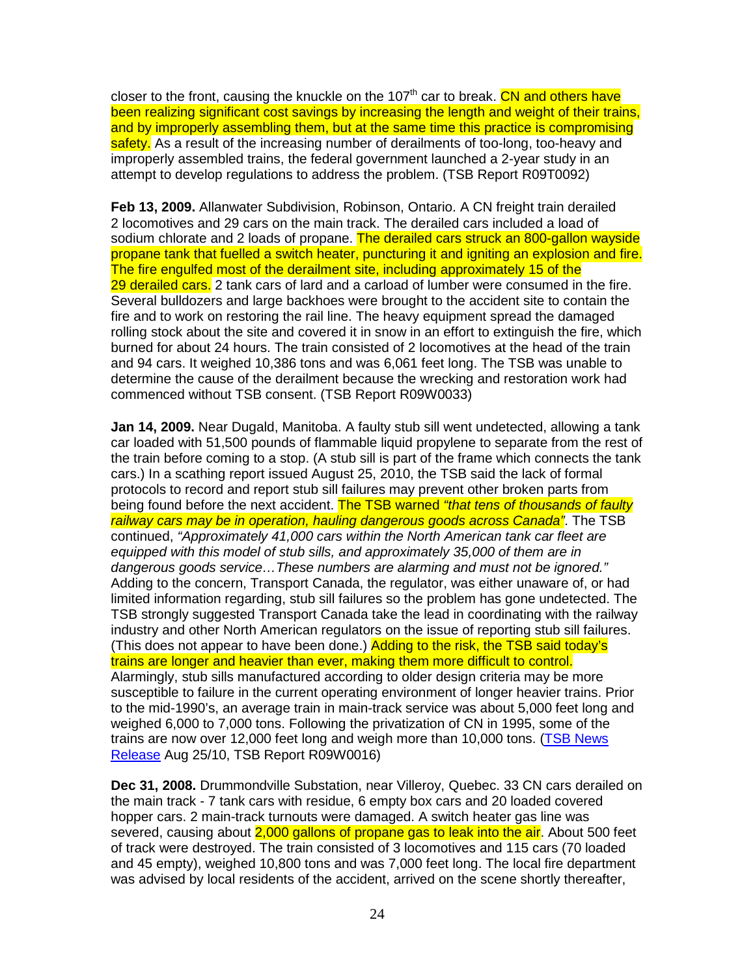closer to the front, causing the knuckle on the 107<sup>th</sup> car to break. CN and others have been realizing significant cost savings by increasing the length and weight of their trains, and by improperly assembling them, but at the same time this practice is compromising safety. As a result of the increasing number of derailments of too-long, too-heavy and improperly assembled trains, the federal government launched a 2-year study in an attempt to develop regulations to address the problem. (TSB Report R09T0092)

**Feb 13, 2009.** Allanwater Subdivision, Robinson, Ontario. A CN freight train derailed 2 locomotives and 29 cars on the main track. The derailed cars included a load of sodium chlorate and 2 loads of propane. The derailed cars struck an 800-gallon wayside propane tank that fuelled a switch heater, puncturing it and igniting an explosion and fire. The fire engulfed most of the derailment site, including approximately 15 of the 29 derailed cars. 2 tank cars of lard and a carload of lumber were consumed in the fire. Several bulldozers and large backhoes were brought to the accident site to contain the fire and to work on restoring the rail line. The heavy equipment spread the damaged rolling stock about the site and covered it in snow in an effort to extinguish the fire, which burned for about 24 hours. The train consisted of 2 locomotives at the head of the train and 94 cars. It weighed 10,386 tons and was 6,061 feet long. The TSB was unable to determine the cause of the derailment because the wrecking and restoration work had commenced without TSB consent. (TSB Report R09W0033)

**Jan 14, 2009.** Near Dugald, Manitoba. A faulty stub sill went undetected, allowing a tank car loaded with 51,500 pounds of flammable liquid propylene to separate from the rest of the train before coming to a stop. (A stub sill is part of the frame which connects the tank cars.) In a scathing report issued August 25, 2010, the TSB said the lack of formal protocols to record and report stub sill failures may prevent other broken parts from being found before the next accident. The TSB warned "that tens of thousands of faulty railway cars may be in operation, hauling dangerous goods across Canada". The TSB continued, "Approximately 41,000 cars within the North American tank car fleet are equipped with this model of stub sills, and approximately 35,000 of them are in dangerous goods service…These numbers are alarming and must not be ignored." Adding to the concern, Transport Canada, the regulator, was either unaware of, or had limited information regarding, stub sill failures so the problem has gone undetected. The TSB strongly suggested Transport Canada take the lead in coordinating with the railway industry and other North American regulators on the issue of reporting stub sill failures. (This does not appear to have been done.) Adding to the risk, the TSB said today's trains are longer and heavier than ever, making them more difficult to control. Alarmingly, stub sills manufactured according to older design criteria may be more susceptible to failure in the current operating environment of longer heavier trains. Prior to the mid-1990's, an average train in main-track service was about 5,000 feet long and weighed 6,000 to 7,000 tons. Following the privatization of CN in 1995, some of the trains are now over 12,000 feet long and weigh more than 10,000 tons. (TSB News Release Aug 25/10, TSB Report R09W0016)

**Dec 31, 2008.** Drummondville Substation, near Villeroy, Quebec. 33 CN cars derailed on the main track - 7 tank cars with residue, 6 empty box cars and 20 loaded covered hopper cars. 2 main-track turnouts were damaged. A switch heater gas line was severed, causing about 2,000 gallons of propane gas to leak into the air. About 500 feet of track were destroyed. The train consisted of 3 locomotives and 115 cars (70 loaded and 45 empty), weighed 10,800 tons and was 7,000 feet long. The local fire department was advised by local residents of the accident, arrived on the scene shortly thereafter,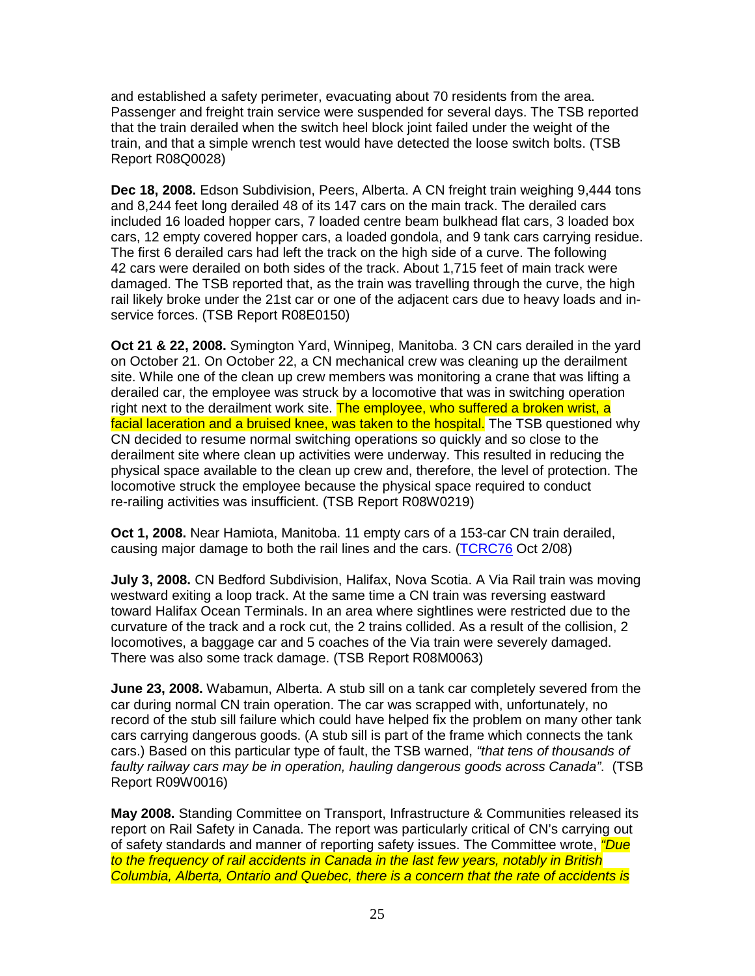and established a safety perimeter, evacuating about 70 residents from the area. Passenger and freight train service were suspended for several days. The TSB reported that the train derailed when the switch heel block joint failed under the weight of the train, and that a simple wrench test would have detected the loose switch bolts. (TSB Report R08Q0028)

**Dec 18, 2008.** Edson Subdivision, Peers, Alberta. A CN freight train weighing 9,444 tons and 8,244 feet long derailed 48 of its 147 cars on the main track. The derailed cars included 16 loaded hopper cars, 7 loaded centre beam bulkhead flat cars, 3 loaded box cars, 12 empty covered hopper cars, a loaded gondola, and 9 tank cars carrying residue. The first 6 derailed cars had left the track on the high side of a curve. The following 42 cars were derailed on both sides of the track. About 1,715 feet of main track were damaged. The TSB reported that, as the train was travelling through the curve, the high rail likely broke under the 21st car or one of the adjacent cars due to heavy loads and inservice forces. (TSB Report R08E0150)

**Oct 21 & 22, 2008.** Symington Yard, Winnipeg, Manitoba. 3 CN cars derailed in the yard on October 21. On October 22, a CN mechanical crew was cleaning up the derailment site. While one of the clean up crew members was monitoring a crane that was lifting a derailed car, the employee was struck by a locomotive that was in switching operation right next to the derailment work site. The employee, who suffered a broken wrist, a facial laceration and a bruised knee, was taken to the hospital. The TSB questioned why CN decided to resume normal switching operations so quickly and so close to the derailment site where clean up activities were underway. This resulted in reducing the physical space available to the clean up crew and, therefore, the level of protection. The locomotive struck the employee because the physical space required to conduct re-railing activities was insufficient. (TSB Report R08W0219)

**Oct 1, 2008.** Near Hamiota, Manitoba. 11 empty cars of a 153-car CN train derailed, causing major damage to both the rail lines and the cars. (TCRC76 Oct 2/08)

**July 3, 2008.** CN Bedford Subdivision, Halifax, Nova Scotia. A Via Rail train was moving westward exiting a loop track. At the same time a CN train was reversing eastward toward Halifax Ocean Terminals. In an area where sightlines were restricted due to the curvature of the track and a rock cut, the 2 trains collided. As a result of the collision, 2 locomotives, a baggage car and 5 coaches of the Via train were severely damaged. There was also some track damage. (TSB Report R08M0063)

**June 23, 2008.** Wabamun, Alberta. A stub sill on a tank car completely severed from the car during normal CN train operation. The car was scrapped with, unfortunately, no record of the stub sill failure which could have helped fix the problem on many other tank cars carrying dangerous goods. (A stub sill is part of the frame which connects the tank cars.) Based on this particular type of fault, the TSB warned, "that tens of thousands of faulty railway cars may be in operation, hauling dangerous goods across Canada". (TSB Report R09W0016)

**May 2008.** Standing Committee on Transport, Infrastructure & Communities released its report on Rail Safety in Canada. The report was particularly critical of CN's carrying out of safety standards and manner of reporting safety issues. The Committee wrote, *"Due* to the frequency of rail accidents in Canada in the last few years, notably in British Columbia, Alberta, Ontario and Quebec, there is a concern that the rate of accidents is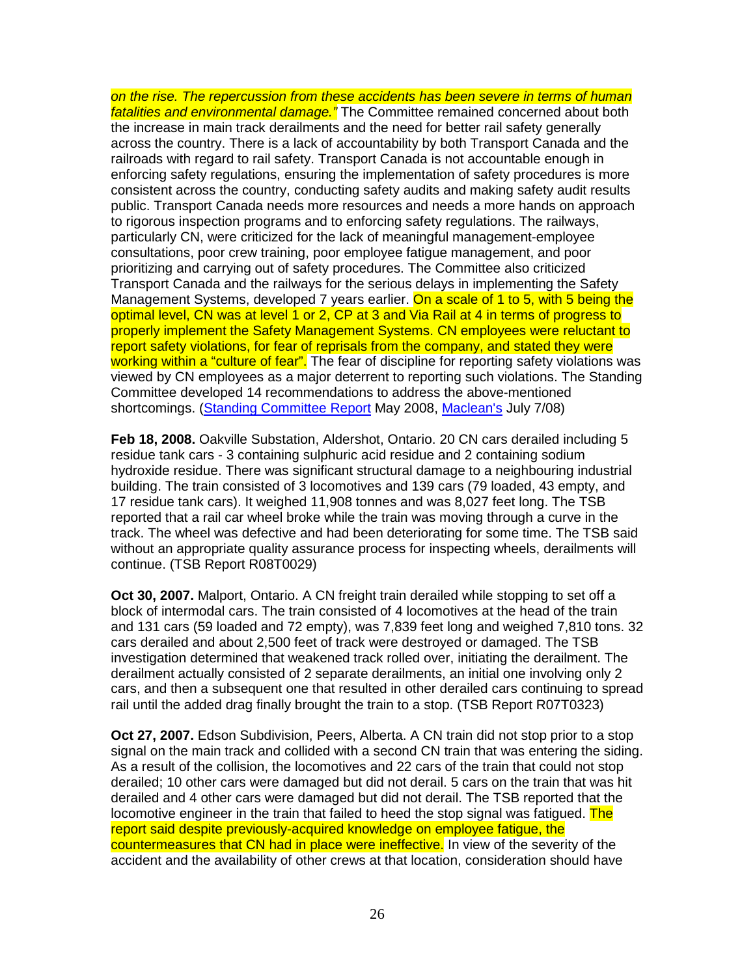on the rise. The repercussion from these accidents has been severe in terms of human fatalities and environmental damage." The Committee remained concerned about both the increase in main track derailments and the need for better rail safety generally across the country. There is a lack of accountability by both Transport Canada and the railroads with regard to rail safety. Transport Canada is not accountable enough in enforcing safety regulations, ensuring the implementation of safety procedures is more consistent across the country, conducting safety audits and making safety audit results public. Transport Canada needs more resources and needs a more hands on approach to rigorous inspection programs and to enforcing safety regulations. The railways, particularly CN, were criticized for the lack of meaningful management-employee consultations, poor crew training, poor employee fatigue management, and poor prioritizing and carrying out of safety procedures. The Committee also criticized Transport Canada and the railways for the serious delays in implementing the Safety Management Systems, developed 7 years earlier. On a scale of 1 to 5, with 5 being the optimal level, CN was at level 1 or 2, CP at 3 and Via Rail at 4 in terms of progress to properly implement the Safety Management Systems. CN employees were reluctant to report safety violations, for fear of reprisals from the company, and stated they were working within a "culture of fear". The fear of discipline for reporting safety violations was viewed by CN employees as a major deterrent to reporting such violations. The Standing Committee developed 14 recommendations to address the above-mentioned shortcomings. (Standing Committee Report May 2008, Maclean's July 7/08)

**Feb 18, 2008.** Oakville Substation, Aldershot, Ontario. 20 CN cars derailed including 5 residue tank cars - 3 containing sulphuric acid residue and 2 containing sodium hydroxide residue. There was significant structural damage to a neighbouring industrial building. The train consisted of 3 locomotives and 139 cars (79 loaded, 43 empty, and 17 residue tank cars). It weighed 11,908 tonnes and was 8,027 feet long. The TSB reported that a rail car wheel broke while the train was moving through a curve in the track. The wheel was defective and had been deteriorating for some time. The TSB said without an appropriate quality assurance process for inspecting wheels, derailments will continue. (TSB Report R08T0029)

**Oct 30, 2007.** Malport, Ontario. A CN freight train derailed while stopping to set off a block of intermodal cars. The train consisted of 4 locomotives at the head of the train and 131 cars (59 loaded and 72 empty), was 7,839 feet long and weighed 7,810 tons. 32 cars derailed and about 2,500 feet of track were destroyed or damaged. The TSB investigation determined that weakened track rolled over, initiating the derailment. The derailment actually consisted of 2 separate derailments, an initial one involving only 2 cars, and then a subsequent one that resulted in other derailed cars continuing to spread rail until the added drag finally brought the train to a stop. (TSB Report R07T0323)

**Oct 27, 2007.** Edson Subdivision, Peers, Alberta. A CN train did not stop prior to a stop signal on the main track and collided with a second CN train that was entering the siding. As a result of the collision, the locomotives and 22 cars of the train that could not stop derailed; 10 other cars were damaged but did not derail. 5 cars on the train that was hit derailed and 4 other cars were damaged but did not derail. The TSB reported that the locomotive engineer in the train that failed to heed the stop signal was fatigued. The report said despite previously-acquired knowledge on employee fatigue, the countermeasures that CN had in place were ineffective. In view of the severity of the accident and the availability of other crews at that location, consideration should have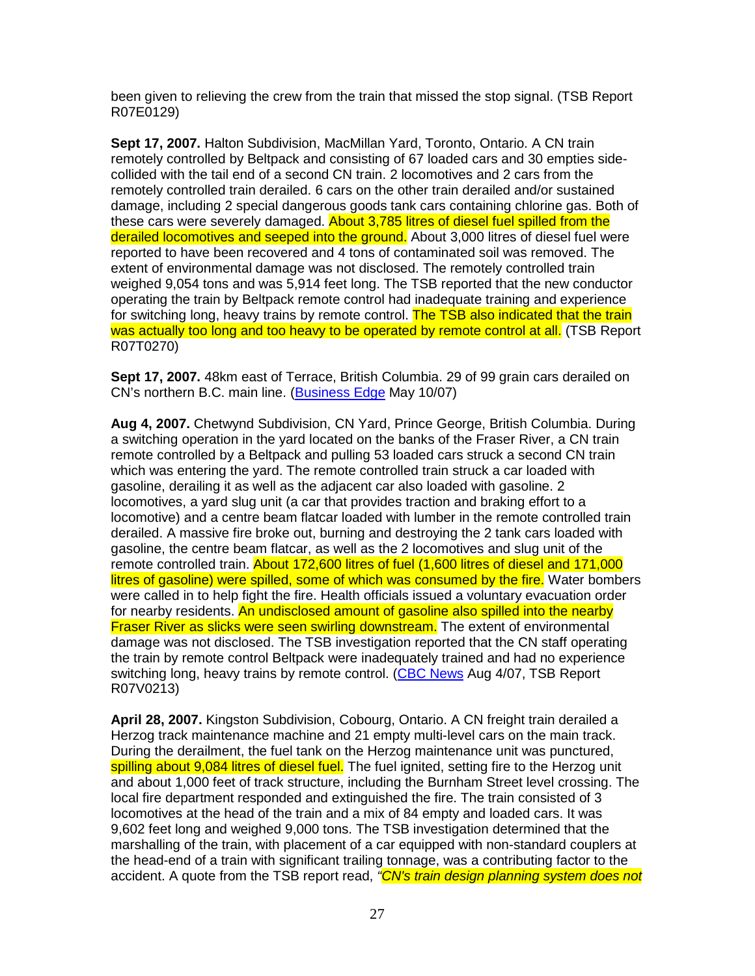been given to relieving the crew from the train that missed the stop signal. (TSB Report R07E0129)

**Sept 17, 2007.** Halton Subdivision, MacMillan Yard, Toronto, Ontario. A CN train remotely controlled by Beltpack and consisting of 67 loaded cars and 30 empties sidecollided with the tail end of a second CN train. 2 locomotives and 2 cars from the remotely controlled train derailed. 6 cars on the other train derailed and/or sustained damage, including 2 special dangerous goods tank cars containing chlorine gas. Both of these cars were severely damaged. About 3,785 litres of diesel fuel spilled from the derailed locomotives and seeped into the ground. About 3,000 litres of diesel fuel were reported to have been recovered and 4 tons of contaminated soil was removed. The extent of environmental damage was not disclosed. The remotely controlled train weighed 9,054 tons and was 5,914 feet long. The TSB reported that the new conductor operating the train by Beltpack remote control had inadequate training and experience for switching long, heavy trains by remote control. The TSB also indicated that the train was actually too long and too heavy to be operated by remote control at all. (TSB Report R07T0270)

**Sept 17, 2007.** 48km east of Terrace, British Columbia. 29 of 99 grain cars derailed on CN's northern B.C. main line. (Business Edge May 10/07)

**Aug 4, 2007.** Chetwynd Subdivision, CN Yard, Prince George, British Columbia. During a switching operation in the yard located on the banks of the Fraser River, a CN train remote controlled by a Beltpack and pulling 53 loaded cars struck a second CN train which was entering the yard. The remote controlled train struck a car loaded with gasoline, derailing it as well as the adjacent car also loaded with gasoline. 2 locomotives, a yard slug unit (a car that provides traction and braking effort to a locomotive) and a centre beam flatcar loaded with lumber in the remote controlled train derailed. A massive fire broke out, burning and destroying the 2 tank cars loaded with gasoline, the centre beam flatcar, as well as the 2 locomotives and slug unit of the remote controlled train. About 172,600 litres of fuel (1,600 litres of diesel and 171,000 litres of gasoline) were spilled, some of which was consumed by the fire. Water bombers were called in to help fight the fire. Health officials issued a voluntary evacuation order for nearby residents. An undisclosed amount of gasoline also spilled into the nearby **Fraser River as slicks were seen swirling downstream.** The extent of environmental damage was not disclosed. The TSB investigation reported that the CN staff operating the train by remote control Beltpack were inadequately trained and had no experience switching long, heavy trains by remote control. (CBC News Aug 4/07, TSB Report R07V0213)

**April 28, 2007.** Kingston Subdivision, Cobourg, Ontario. A CN freight train derailed a Herzog track maintenance machine and 21 empty multi-level cars on the main track. During the derailment, the fuel tank on the Herzog maintenance unit was punctured, spilling about 9,084 litres of diesel fuel. The fuel ignited, setting fire to the Herzog unit and about 1,000 feet of track structure, including the Burnham Street level crossing. The local fire department responded and extinguished the fire. The train consisted of 3 locomotives at the head of the train and a mix of 84 empty and loaded cars. It was 9,602 feet long and weighed 9,000 tons. The TSB investigation determined that the marshalling of the train, with placement of a car equipped with non-standard couplers at the head-end of a train with significant trailing tonnage, was a contributing factor to the accident. A quote from the TSB report read, "CN's train design planning system does not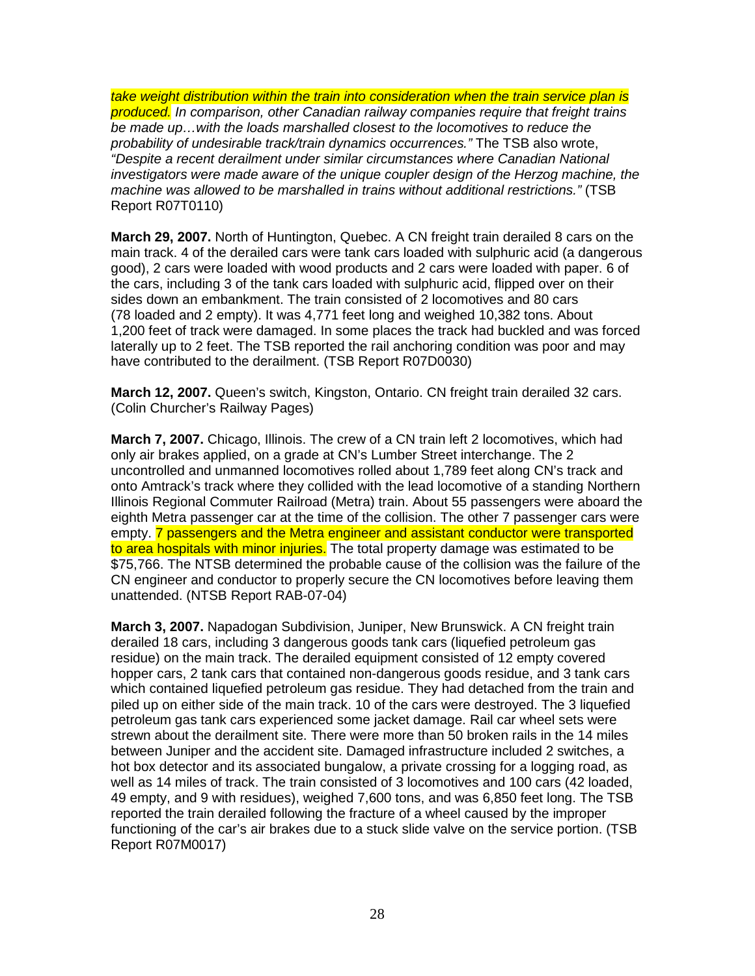take weight distribution within the train into consideration when the train service plan is produced. In comparison, other Canadian railway companies require that freight trains be made up…with the loads marshalled closest to the locomotives to reduce the probability of undesirable track/train dynamics occurrences." The TSB also wrote, "Despite a recent derailment under similar circumstances where Canadian National investigators were made aware of the unique coupler design of the Herzog machine, the machine was allowed to be marshalled in trains without additional restrictions." (TSB Report R07T0110)

**March 29, 2007.** North of Huntington, Quebec. A CN freight train derailed 8 cars on the main track. 4 of the derailed cars were tank cars loaded with sulphuric acid (a dangerous good), 2 cars were loaded with wood products and 2 cars were loaded with paper. 6 of the cars, including 3 of the tank cars loaded with sulphuric acid, flipped over on their sides down an embankment. The train consisted of 2 locomotives and 80 cars (78 loaded and 2 empty). It was 4,771 feet long and weighed 10,382 tons. About 1,200 feet of track were damaged. In some places the track had buckled and was forced laterally up to 2 feet. The TSB reported the rail anchoring condition was poor and may have contributed to the derailment. (TSB Report R07D0030)

**March 12, 2007.** Queen's switch, Kingston, Ontario. CN freight train derailed 32 cars. (Colin Churcher's Railway Pages)

**March 7, 2007.** Chicago, Illinois. The crew of a CN train left 2 locomotives, which had only air brakes applied, on a grade at CN's Lumber Street interchange. The 2 uncontrolled and unmanned locomotives rolled about 1,789 feet along CN's track and onto Amtrack's track where they collided with the lead locomotive of a standing Northern Illinois Regional Commuter Railroad (Metra) train. About 55 passengers were aboard the eighth Metra passenger car at the time of the collision. The other 7 passenger cars were empty. 7 passengers and the Metra engineer and assistant conductor were transported to area hospitals with minor injuries. The total property damage was estimated to be \$75,766. The NTSB determined the probable cause of the collision was the failure of the CN engineer and conductor to properly secure the CN locomotives before leaving them unattended. (NTSB Report RAB-07-04)

**March 3, 2007.** Napadogan Subdivision, Juniper, New Brunswick. A CN freight train derailed 18 cars, including 3 dangerous goods tank cars (liquefied petroleum gas residue) on the main track. The derailed equipment consisted of 12 empty covered hopper cars, 2 tank cars that contained non-dangerous goods residue, and 3 tank cars which contained liquefied petroleum gas residue. They had detached from the train and piled up on either side of the main track. 10 of the cars were destroyed. The 3 liquefied petroleum gas tank cars experienced some jacket damage. Rail car wheel sets were strewn about the derailment site. There were more than 50 broken rails in the 14 miles between Juniper and the accident site. Damaged infrastructure included 2 switches, a hot box detector and its associated bungalow, a private crossing for a logging road, as well as 14 miles of track. The train consisted of 3 locomotives and 100 cars (42 loaded, 49 empty, and 9 with residues), weighed 7,600 tons, and was 6,850 feet long. The TSB reported the train derailed following the fracture of a wheel caused by the improper functioning of the car's air brakes due to a stuck slide valve on the service portion. (TSB Report R07M0017)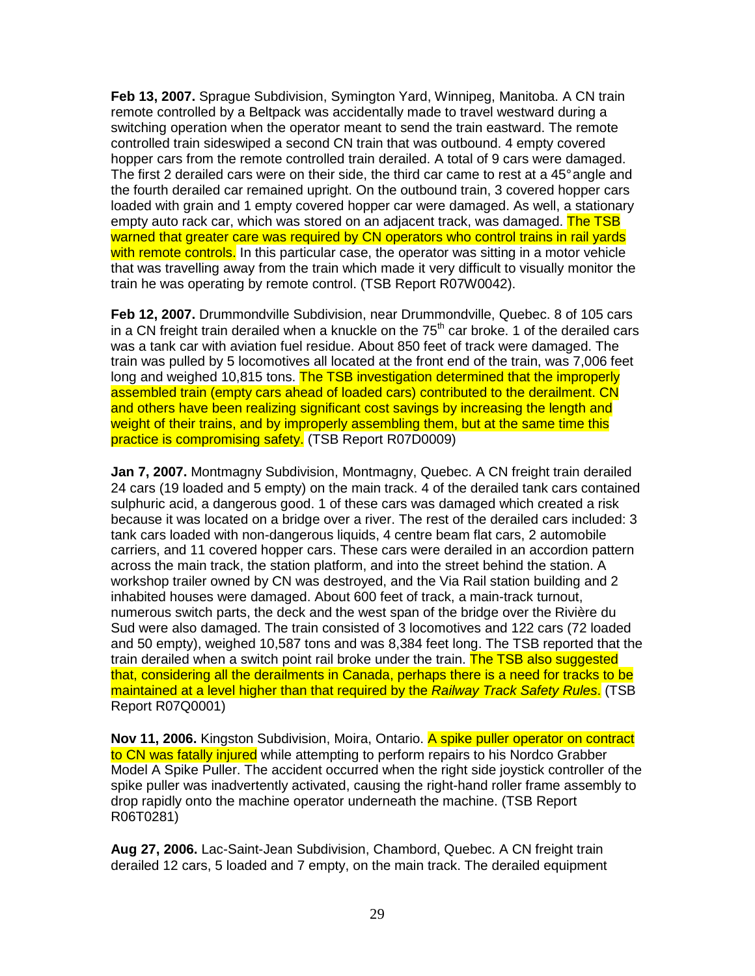**Feb 13, 2007.** Sprague Subdivision, Symington Yard, Winnipeg, Manitoba. A CN train remote controlled by a Beltpack was accidentally made to travel westward during a switching operation when the operator meant to send the train eastward. The remote controlled train sideswiped a second CN train that was outbound. 4 empty covered hopper cars from the remote controlled train derailed. A total of 9 cars were damaged. The first 2 derailed cars were on their side, the third car came to rest at a 45° angle and the fourth derailed car remained upright. On the outbound train, 3 covered hopper cars loaded with grain and 1 empty covered hopper car were damaged. As well, a stationary empty auto rack car, which was stored on an adjacent track, was damaged. The TSB warned that greater care was required by CN operators who control trains in rail yards with remote controls. In this particular case, the operator was sitting in a motor vehicle that was travelling away from the train which made it very difficult to visually monitor the train he was operating by remote control. (TSB Report R07W0042).

**Feb 12, 2007.** Drummondville Subdivision, near Drummondville, Quebec. 8 of 105 cars in a CN freight train derailed when a knuckle on the  $75<sup>th</sup>$  car broke. 1 of the derailed cars was a tank car with aviation fuel residue. About 850 feet of track were damaged. The train was pulled by 5 locomotives all located at the front end of the train, was 7,006 feet long and weighed 10,815 tons. The TSB investigation determined that the improperly assembled train (empty cars ahead of loaded cars) contributed to the derailment. CN and others have been realizing significant cost savings by increasing the length and weight of their trains, and by improperly assembling them, but at the same time this practice is compromising safety. (TSB Report R07D0009)

**Jan 7, 2007.** Montmagny Subdivision, Montmagny, Quebec. A CN freight train derailed 24 cars (19 loaded and 5 empty) on the main track. 4 of the derailed tank cars contained sulphuric acid, a dangerous good. 1 of these cars was damaged which created a risk because it was located on a bridge over a river. The rest of the derailed cars included: 3 tank cars loaded with non-dangerous liquids, 4 centre beam flat cars, 2 automobile carriers, and 11 covered hopper cars. These cars were derailed in an accordion pattern across the main track, the station platform, and into the street behind the station. A workshop trailer owned by CN was destroyed, and the Via Rail station building and 2 inhabited houses were damaged. About 600 feet of track, a main-track turnout, numerous switch parts, the deck and the west span of the bridge over the Rivière du Sud were also damaged. The train consisted of 3 locomotives and 122 cars (72 loaded and 50 empty), weighed 10,587 tons and was 8,384 feet long. The TSB reported that the train derailed when a switch point rail broke under the train. The TSB also suggested that, considering all the derailments in Canada, perhaps there is a need for tracks to be maintained at a level higher than that required by the Railway Track Safety Rules. (TSB Report R07Q0001)

**Nov 11, 2006.** Kingston Subdivision, Moira, Ontario. A spike puller operator on contract to CN was fatally injured while attempting to perform repairs to his Nordco Grabber Model A Spike Puller. The accident occurred when the right side joystick controller of the spike puller was inadvertently activated, causing the right-hand roller frame assembly to drop rapidly onto the machine operator underneath the machine. (TSB Report R06T0281)

**Aug 27, 2006.** Lac-Saint-Jean Subdivision, Chambord, Quebec. A CN freight train derailed 12 cars, 5 loaded and 7 empty, on the main track. The derailed equipment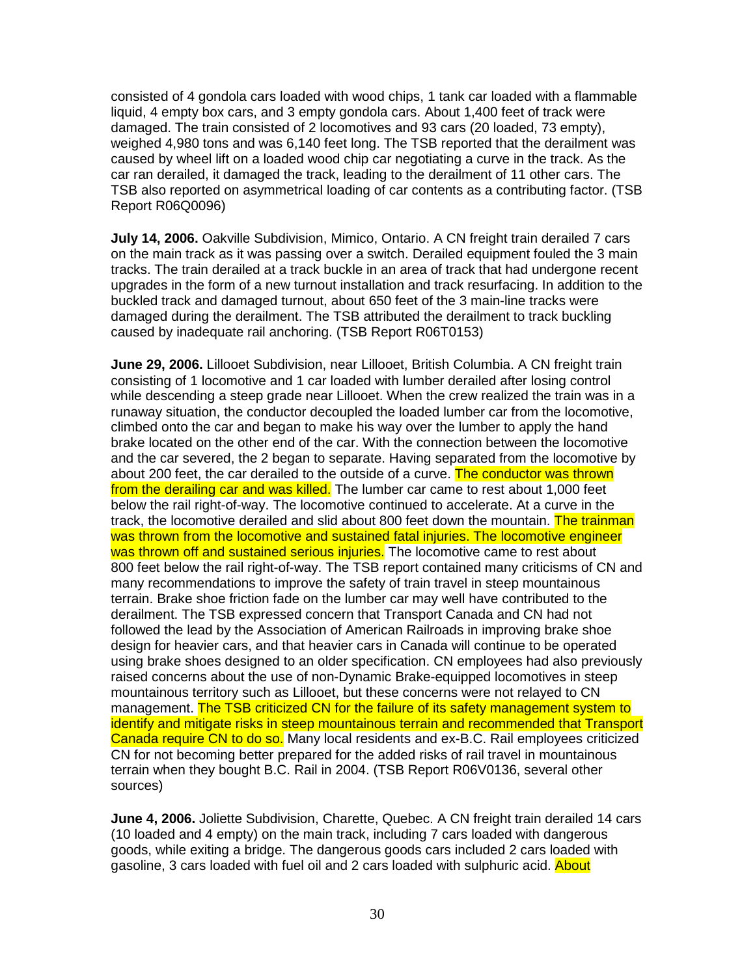consisted of 4 gondola cars loaded with wood chips, 1 tank car loaded with a flammable liquid, 4 empty box cars, and 3 empty gondola cars. About 1,400 feet of track were damaged. The train consisted of 2 locomotives and 93 cars (20 loaded, 73 empty), weighed 4,980 tons and was 6,140 feet long. The TSB reported that the derailment was caused by wheel lift on a loaded wood chip car negotiating a curve in the track. As the car ran derailed, it damaged the track, leading to the derailment of 11 other cars. The TSB also reported on asymmetrical loading of car contents as a contributing factor. (TSB Report R06Q0096)

**July 14, 2006.** Oakville Subdivision, Mimico, Ontario. A CN freight train derailed 7 cars on the main track as it was passing over a switch. Derailed equipment fouled the 3 main tracks. The train derailed at a track buckle in an area of track that had undergone recent upgrades in the form of a new turnout installation and track resurfacing. In addition to the buckled track and damaged turnout, about 650 feet of the 3 main-line tracks were damaged during the derailment. The TSB attributed the derailment to track buckling caused by inadequate rail anchoring. (TSB Report R06T0153)

**June 29, 2006.** Lillooet Subdivision, near Lillooet, British Columbia. A CN freight train consisting of 1 locomotive and 1 car loaded with lumber derailed after losing control while descending a steep grade near Lillooet. When the crew realized the train was in a runaway situation, the conductor decoupled the loaded lumber car from the locomotive, climbed onto the car and began to make his way over the lumber to apply the hand brake located on the other end of the car. With the connection between the locomotive and the car severed, the 2 began to separate. Having separated from the locomotive by about 200 feet, the car derailed to the outside of a curve. The conductor was thrown from the derailing car and was killed. The lumber car came to rest about 1,000 feet below the rail right-of-way. The locomotive continued to accelerate. At a curve in the track, the locomotive derailed and slid about 800 feet down the mountain. The trainman was thrown from the locomotive and sustained fatal injuries. The locomotive engineer was thrown off and sustained serious injuries. The locomotive came to rest about 800 feet below the rail right-of-way. The TSB report contained many criticisms of CN and many recommendations to improve the safety of train travel in steep mountainous terrain. Brake shoe friction fade on the lumber car may well have contributed to the derailment. The TSB expressed concern that Transport Canada and CN had not followed the lead by the Association of American Railroads in improving brake shoe design for heavier cars, and that heavier cars in Canada will continue to be operated using brake shoes designed to an older specification. CN employees had also previously raised concerns about the use of non-Dynamic Brake-equipped locomotives in steep mountainous territory such as Lillooet, but these concerns were not relayed to CN management. The TSB criticized CN for the failure of its safety management system to identify and mitigate risks in steep mountainous terrain and recommended that Transport Canada require CN to do so. Many local residents and ex-B.C. Rail employees criticized CN for not becoming better prepared for the added risks of rail travel in mountainous terrain when they bought B.C. Rail in 2004. (TSB Report R06V0136, several other sources)

**June 4, 2006.** Joliette Subdivision, Charette, Quebec. A CN freight train derailed 14 cars (10 loaded and 4 empty) on the main track, including 7 cars loaded with dangerous goods, while exiting a bridge. The dangerous goods cars included 2 cars loaded with gasoline, 3 cars loaded with fuel oil and 2 cars loaded with sulphuric acid. About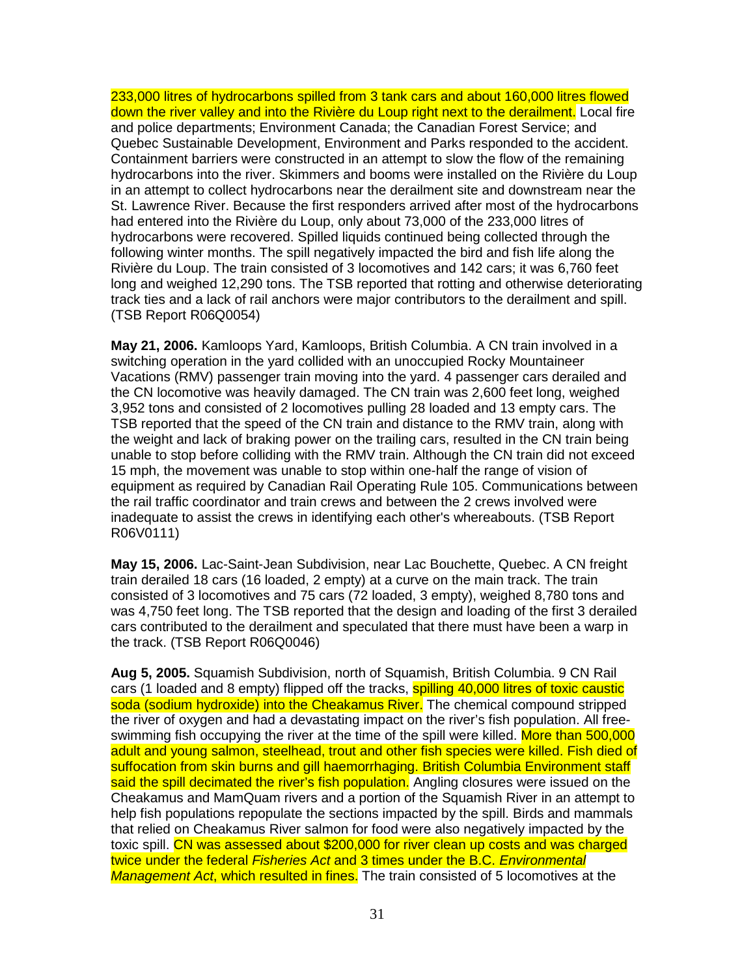233,000 litres of hydrocarbons spilled from 3 tank cars and about 160,000 litres flowed down the river valley and into the Rivière du Loup right next to the derailment. Local fire and police departments; Environment Canada; the Canadian Forest Service; and Quebec Sustainable Development, Environment and Parks responded to the accident. Containment barriers were constructed in an attempt to slow the flow of the remaining hydrocarbons into the river. Skimmers and booms were installed on the Rivière du Loup in an attempt to collect hydrocarbons near the derailment site and downstream near the St. Lawrence River. Because the first responders arrived after most of the hydrocarbons had entered into the Rivière du Loup, only about 73,000 of the 233,000 litres of hydrocarbons were recovered. Spilled liquids continued being collected through the following winter months. The spill negatively impacted the bird and fish life along the Rivière du Loup. The train consisted of 3 locomotives and 142 cars; it was 6,760 feet long and weighed 12,290 tons. The TSB reported that rotting and otherwise deteriorating track ties and a lack of rail anchors were major contributors to the derailment and spill. (TSB Report R06Q0054)

**May 21, 2006.** Kamloops Yard, Kamloops, British Columbia. A CN train involved in a switching operation in the yard collided with an unoccupied Rocky Mountaineer Vacations (RMV) passenger train moving into the yard. 4 passenger cars derailed and the CN locomotive was heavily damaged. The CN train was 2,600 feet long, weighed 3,952 tons and consisted of 2 locomotives pulling 28 loaded and 13 empty cars. The TSB reported that the speed of the CN train and distance to the RMV train, along with the weight and lack of braking power on the trailing cars, resulted in the CN train being unable to stop before colliding with the RMV train. Although the CN train did not exceed 15 mph, the movement was unable to stop within one-half the range of vision of equipment as required by Canadian Rail Operating Rule 105. Communications between the rail traffic coordinator and train crews and between the 2 crews involved were inadequate to assist the crews in identifying each other's whereabouts. (TSB Report R06V0111)

**May 15, 2006.** Lac-Saint-Jean Subdivision, near Lac Bouchette, Quebec. A CN freight train derailed 18 cars (16 loaded, 2 empty) at a curve on the main track. The train consisted of 3 locomotives and 75 cars (72 loaded, 3 empty), weighed 8,780 tons and was 4,750 feet long. The TSB reported that the design and loading of the first 3 derailed cars contributed to the derailment and speculated that there must have been a warp in the track. (TSB Report R06Q0046)

**Aug 5, 2005.** Squamish Subdivision, north of Squamish, British Columbia. 9 CN Rail cars (1 loaded and 8 empty) flipped off the tracks, **spilling 40,000 litres of toxic caustic** soda (sodium hydroxide) into the Cheakamus River. The chemical compound stripped the river of oxygen and had a devastating impact on the river's fish population. All freeswimming fish occupying the river at the time of the spill were killed. More than 500,000 adult and young salmon, steelhead, trout and other fish species were killed. Fish died of suffocation from skin burns and gill haemorrhaging. British Columbia Environment staff said the spill decimated the river's fish population. Angling closures were issued on the Cheakamus and MamQuam rivers and a portion of the Squamish River in an attempt to help fish populations repopulate the sections impacted by the spill. Birds and mammals that relied on Cheakamus River salmon for food were also negatively impacted by the toxic spill. CN was assessed about \$200,000 for river clean up costs and was charged twice under the federal Fisheries Act and 3 times under the B.C. Environmental Management Act, which resulted in fines. The train consisted of 5 locomotives at the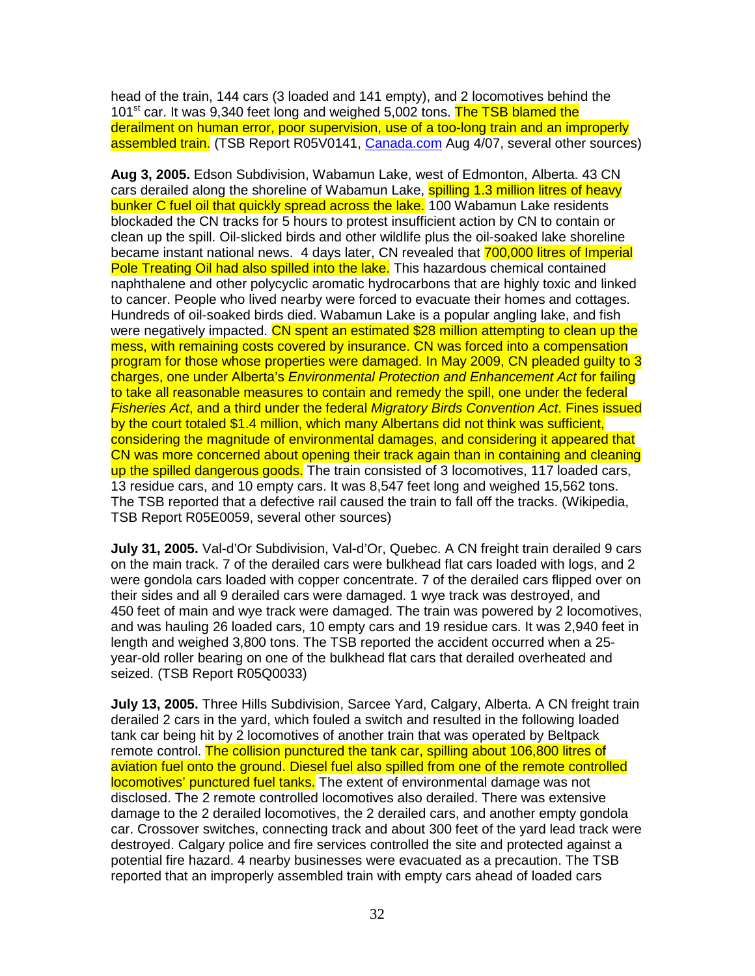head of the train, 144 cars (3 loaded and 141 empty), and 2 locomotives behind the 101<sup>st</sup> car. It was 9,340 feet long and weighed 5,002 tons. The TSB blamed the derailment on human error, poor supervision, use of a too-long train and an improperly assembled train. (TSB Report R05V0141, Canada.com Aug 4/07, several other sources)

**Aug 3, 2005.** Edson Subdivision, Wabamun Lake, west of Edmonton, Alberta. 43 CN cars derailed along the shoreline of Wabamun Lake, spilling 1.3 million litres of heavy bunker C fuel oil that quickly spread across the lake. 100 Wabamun Lake residents blockaded the CN tracks for 5 hours to protest insufficient action by CN to contain or clean up the spill. Oil-slicked birds and other wildlife plus the oil-soaked lake shoreline became instant national news. 4 days later, CN revealed that 700,000 litres of Imperial Pole Treating Oil had also spilled into the lake. This hazardous chemical contained naphthalene and other polycyclic aromatic hydrocarbons that are highly toxic and linked to cancer. People who lived nearby were forced to evacuate their homes and cottages. Hundreds of oil-soaked birds died. Wabamun Lake is a popular angling lake, and fish were negatively impacted. CN spent an estimated \$28 million attempting to clean up the mess, with remaining costs covered by insurance. CN was forced into a compensation program for those whose properties were damaged. In May 2009, CN pleaded guilty to 3 charges, one under Alberta's Environmental Protection and Enhancement Act for failing to take all reasonable measures to contain and remedy the spill, one under the federal Fisheries Act, and a third under the federal Migratory Birds Convention Act. Fines issued by the court totaled \$1.4 million, which many Albertans did not think was sufficient, considering the magnitude of environmental damages, and considering it appeared that CN was more concerned about opening their track again than in containing and cleaning up the spilled dangerous goods. The train consisted of 3 locomotives, 117 loaded cars, 13 residue cars, and 10 empty cars. It was 8,547 feet long and weighed 15,562 tons. The TSB reported that a defective rail caused the train to fall off the tracks. (Wikipedia, TSB Report R05E0059, several other sources)

**July 31, 2005.** Val-d'Or Subdivision, Val-d'Or, Quebec. A CN freight train derailed 9 cars on the main track. 7 of the derailed cars were bulkhead flat cars loaded with logs, and 2 were gondola cars loaded with copper concentrate. 7 of the derailed cars flipped over on their sides and all 9 derailed cars were damaged. 1 wye track was destroyed, and 450 feet of main and wye track were damaged. The train was powered by 2 locomotives, and was hauling 26 loaded cars, 10 empty cars and 19 residue cars. It was 2,940 feet in length and weighed 3,800 tons. The TSB reported the accident occurred when a 25 year-old roller bearing on one of the bulkhead flat cars that derailed overheated and seized. (TSB Report R05Q0033)

**July 13, 2005.** Three Hills Subdivision, Sarcee Yard, Calgary, Alberta. A CN freight train derailed 2 cars in the yard, which fouled a switch and resulted in the following loaded tank car being hit by 2 locomotives of another train that was operated by Beltpack remote control. The collision punctured the tank car, spilling about 106,800 litres of aviation fuel onto the ground. Diesel fuel also spilled from one of the remote controlled locomotives' punctured fuel tanks. The extent of environmental damage was not disclosed. The 2 remote controlled locomotives also derailed. There was extensive damage to the 2 derailed locomotives, the 2 derailed cars, and another empty gondola car. Crossover switches, connecting track and about 300 feet of the yard lead track were destroyed. Calgary police and fire services controlled the site and protected against a potential fire hazard. 4 nearby businesses were evacuated as a precaution. The TSB reported that an improperly assembled train with empty cars ahead of loaded cars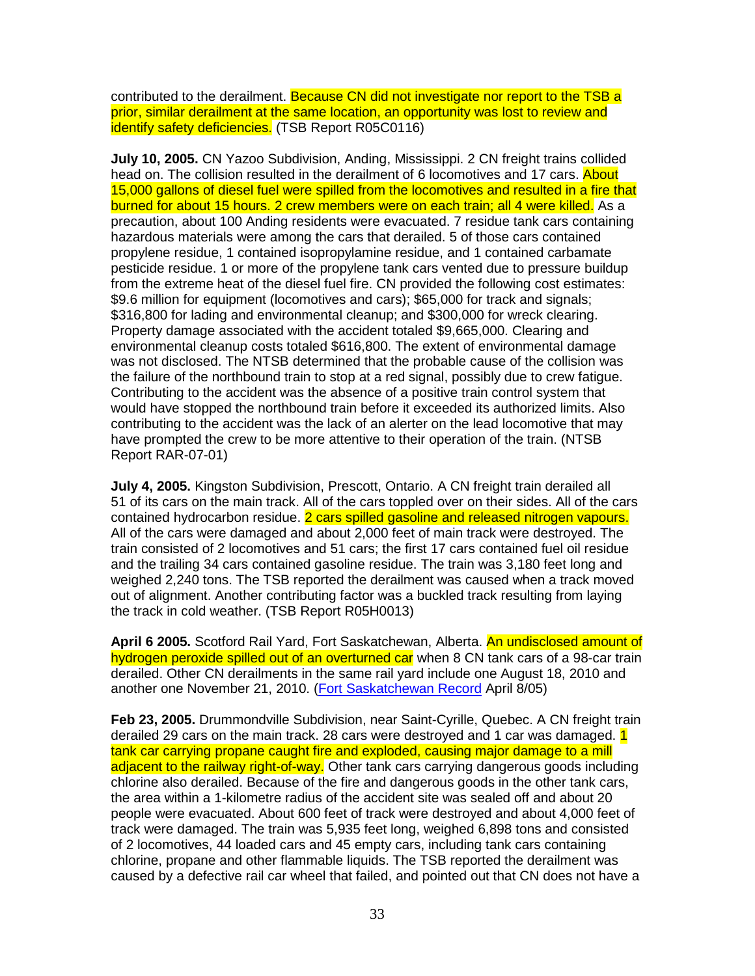contributed to the derailment. Because CN did not investigate nor report to the TSB a prior, similar derailment at the same location, an opportunity was lost to review and identify safety deficiencies. (TSB Report R05C0116)

**July 10, 2005.** CN Yazoo Subdivision, Anding, Mississippi. 2 CN freight trains collided head on. The collision resulted in the derailment of 6 locomotives and 17 cars. About 15,000 gallons of diesel fuel were spilled from the locomotives and resulted in a fire that burned for about 15 hours. 2 crew members were on each train; all 4 were killed. As a precaution, about 100 Anding residents were evacuated. 7 residue tank cars containing hazardous materials were among the cars that derailed. 5 of those cars contained propylene residue, 1 contained isopropylamine residue, and 1 contained carbamate pesticide residue. 1 or more of the propylene tank cars vented due to pressure buildup from the extreme heat of the diesel fuel fire. CN provided the following cost estimates: \$9.6 million for equipment (locomotives and cars); \$65,000 for track and signals; \$316,800 for lading and environmental cleanup; and \$300,000 for wreck clearing. Property damage associated with the accident totaled \$9,665,000. Clearing and environmental cleanup costs totaled \$616,800. The extent of environmental damage was not disclosed. The NTSB determined that the probable cause of the collision was the failure of the northbound train to stop at a red signal, possibly due to crew fatigue. Contributing to the accident was the absence of a positive train control system that would have stopped the northbound train before it exceeded its authorized limits. Also contributing to the accident was the lack of an alerter on the lead locomotive that may have prompted the crew to be more attentive to their operation of the train. (NTSB Report RAR-07-01)

**July 4, 2005.** Kingston Subdivision, Prescott, Ontario. A CN freight train derailed all 51 of its cars on the main track. All of the cars toppled over on their sides. All of the cars contained hydrocarbon residue. 2 cars spilled gasoline and released nitrogen vapours. All of the cars were damaged and about 2,000 feet of main track were destroyed. The train consisted of 2 locomotives and 51 cars; the first 17 cars contained fuel oil residue and the trailing 34 cars contained gasoline residue. The train was 3,180 feet long and weighed 2,240 tons. The TSB reported the derailment was caused when a track moved out of alignment. Another contributing factor was a buckled track resulting from laying the track in cold weather. (TSB Report R05H0013)

**April 6 2005.** Scotford Rail Yard, Fort Saskatchewan, Alberta. An undisclosed amount of hydrogen peroxide spilled out of an overturned car when 8 CN tank cars of a 98-car train derailed. Other CN derailments in the same rail yard include one August 18, 2010 and another one November 21, 2010. (Fort Saskatchewan Record April 8/05)

**Feb 23, 2005.** Drummondville Subdivision, near Saint-Cyrille, Quebec. A CN freight train derailed 29 cars on the main track. 28 cars were destroyed and 1 car was damaged. 1 tank car carrying propane caught fire and exploded, causing major damage to a mill adjacent to the railway right-of-way. Other tank cars carrying dangerous goods including chlorine also derailed. Because of the fire and dangerous goods in the other tank cars, the area within a 1-kilometre radius of the accident site was sealed off and about 20 people were evacuated. About 600 feet of track were destroyed and about 4,000 feet of track were damaged. The train was 5,935 feet long, weighed 6,898 tons and consisted of 2 locomotives, 44 loaded cars and 45 empty cars, including tank cars containing chlorine, propane and other flammable liquids. The TSB reported the derailment was caused by a defective rail car wheel that failed, and pointed out that CN does not have a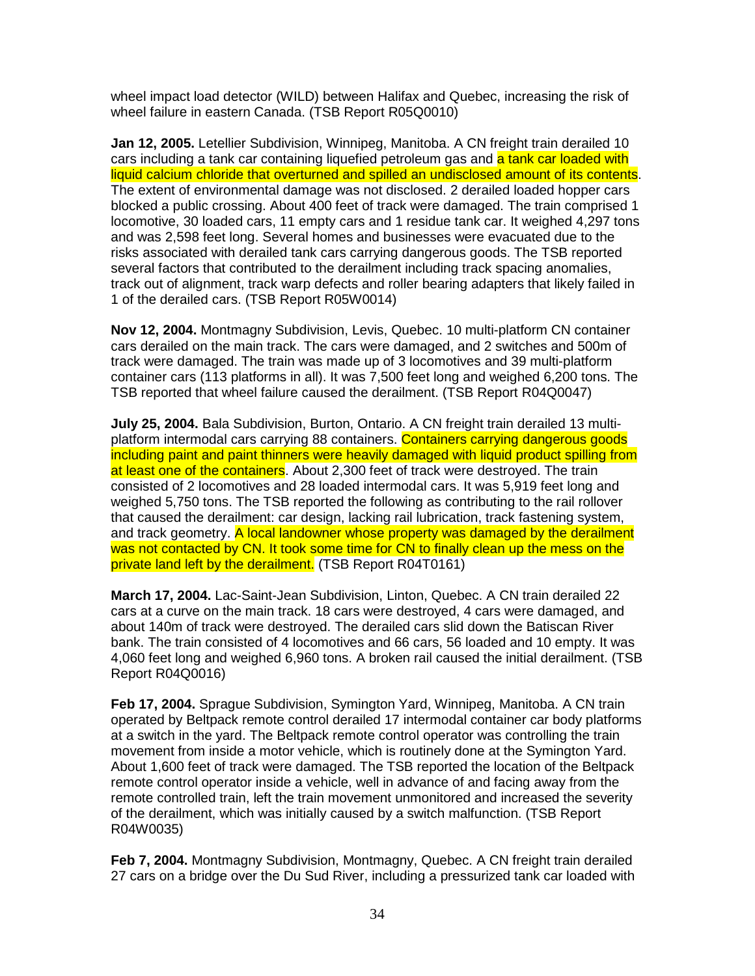wheel impact load detector (WILD) between Halifax and Quebec, increasing the risk of wheel failure in eastern Canada. (TSB Report R05Q0010)

**Jan 12, 2005.** Letellier Subdivision, Winnipeg, Manitoba. A CN freight train derailed 10 cars including a tank car containing liquefied petroleum gas and a tank car loaded with liquid calcium chloride that overturned and spilled an undisclosed amount of its contents. The extent of environmental damage was not disclosed. 2 derailed loaded hopper cars blocked a public crossing. About 400 feet of track were damaged. The train comprised 1 locomotive, 30 loaded cars, 11 empty cars and 1 residue tank car. It weighed 4,297 tons and was 2,598 feet long. Several homes and businesses were evacuated due to the risks associated with derailed tank cars carrying dangerous goods. The TSB reported several factors that contributed to the derailment including track spacing anomalies, track out of alignment, track warp defects and roller bearing adapters that likely failed in 1 of the derailed cars. (TSB Report R05W0014)

**Nov 12, 2004.** Montmagny Subdivision, Levis, Quebec. 10 multi-platform CN container cars derailed on the main track. The cars were damaged, and 2 switches and 500m of track were damaged. The train was made up of 3 locomotives and 39 multi-platform container cars (113 platforms in all). It was 7,500 feet long and weighed 6,200 tons. The TSB reported that wheel failure caused the derailment. (TSB Report R04Q0047)

**July 25, 2004.** Bala Subdivision, Burton, Ontario. A CN freight train derailed 13 multiplatform intermodal cars carrying 88 containers. Containers carrying dangerous goods including paint and paint thinners were heavily damaged with liquid product spilling from at least one of the containers. About 2,300 feet of track were destroyed. The train consisted of 2 locomotives and 28 loaded intermodal cars. It was 5,919 feet long and weighed 5,750 tons. The TSB reported the following as contributing to the rail rollover that caused the derailment: car design, lacking rail lubrication, track fastening system, and track geometry. A local landowner whose property was damaged by the derailment was not contacted by CN. It took some time for CN to finally clean up the mess on the private land left by the derailment. (TSB Report R04T0161)

**March 17, 2004.** Lac-Saint-Jean Subdivision, Linton, Quebec. A CN train derailed 22 cars at a curve on the main track. 18 cars were destroyed, 4 cars were damaged, and about 140m of track were destroyed. The derailed cars slid down the Batiscan River bank. The train consisted of 4 locomotives and 66 cars, 56 loaded and 10 empty. It was 4,060 feet long and weighed 6,960 tons. A broken rail caused the initial derailment. (TSB Report R04Q0016)

**Feb 17, 2004.** Sprague Subdivision, Symington Yard, Winnipeg, Manitoba. A CN train operated by Beltpack remote control derailed 17 intermodal container car body platforms at a switch in the yard. The Beltpack remote control operator was controlling the train movement from inside a motor vehicle, which is routinely done at the Symington Yard. About 1,600 feet of track were damaged. The TSB reported the location of the Beltpack remote control operator inside a vehicle, well in advance of and facing away from the remote controlled train, left the train movement unmonitored and increased the severity of the derailment, which was initially caused by a switch malfunction. (TSB Report R04W0035)

**Feb 7, 2004.** Montmagny Subdivision, Montmagny, Quebec. A CN freight train derailed 27 cars on a bridge over the Du Sud River, including a pressurized tank car loaded with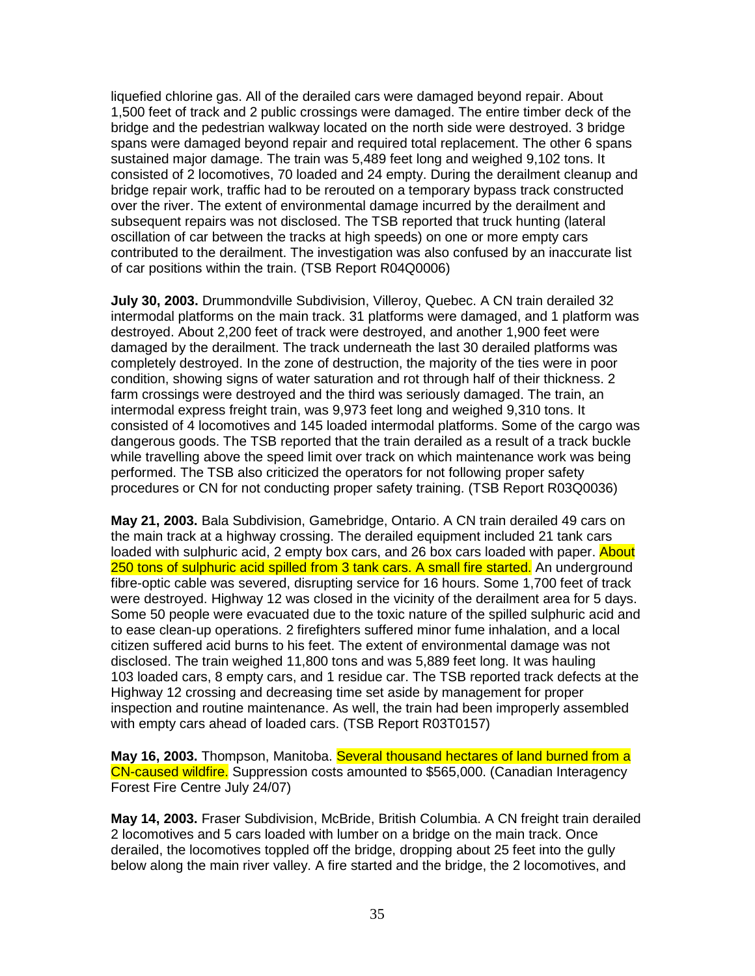liquefied chlorine gas. All of the derailed cars were damaged beyond repair. About 1,500 feet of track and 2 public crossings were damaged. The entire timber deck of the bridge and the pedestrian walkway located on the north side were destroyed. 3 bridge spans were damaged beyond repair and required total replacement. The other 6 spans sustained major damage. The train was 5,489 feet long and weighed 9,102 tons. It consisted of 2 locomotives, 70 loaded and 24 empty. During the derailment cleanup and bridge repair work, traffic had to be rerouted on a temporary bypass track constructed over the river. The extent of environmental damage incurred by the derailment and subsequent repairs was not disclosed. The TSB reported that truck hunting (lateral oscillation of car between the tracks at high speeds) on one or more empty cars contributed to the derailment. The investigation was also confused by an inaccurate list of car positions within the train. (TSB Report R04Q0006)

**July 30, 2003.** Drummondville Subdivision, Villeroy, Quebec. A CN train derailed 32 intermodal platforms on the main track. 31 platforms were damaged, and 1 platform was destroyed. About 2,200 feet of track were destroyed, and another 1,900 feet were damaged by the derailment. The track underneath the last 30 derailed platforms was completely destroyed. In the zone of destruction, the majority of the ties were in poor condition, showing signs of water saturation and rot through half of their thickness. 2 farm crossings were destroyed and the third was seriously damaged. The train, an intermodal express freight train, was 9,973 feet long and weighed 9,310 tons. It consisted of 4 locomotives and 145 loaded intermodal platforms. Some of the cargo was dangerous goods. The TSB reported that the train derailed as a result of a track buckle while travelling above the speed limit over track on which maintenance work was being performed. The TSB also criticized the operators for not following proper safety procedures or CN for not conducting proper safety training. (TSB Report R03Q0036)

**May 21, 2003.** Bala Subdivision, Gamebridge, Ontario. A CN train derailed 49 cars on the main track at a highway crossing. The derailed equipment included 21 tank cars loaded with sulphuric acid, 2 empty box cars, and 26 box cars loaded with paper. About 250 tons of sulphuric acid spilled from 3 tank cars. A small fire started. An underground fibre-optic cable was severed, disrupting service for 16 hours. Some 1,700 feet of track were destroyed. Highway 12 was closed in the vicinity of the derailment area for 5 days. Some 50 people were evacuated due to the toxic nature of the spilled sulphuric acid and to ease clean-up operations. 2 firefighters suffered minor fume inhalation, and a local citizen suffered acid burns to his feet. The extent of environmental damage was not disclosed. The train weighed 11,800 tons and was 5,889 feet long. It was hauling 103 loaded cars, 8 empty cars, and 1 residue car. The TSB reported track defects at the Highway 12 crossing and decreasing time set aside by management for proper inspection and routine maintenance. As well, the train had been improperly assembled with empty cars ahead of loaded cars. (TSB Report R03T0157)

**May 16, 2003.** Thompson, Manitoba. Several thousand hectares of land burned from a CN-caused wildfire. Suppression costs amounted to \$565,000. (Canadian Interagency Forest Fire Centre July 24/07)

**May 14, 2003.** Fraser Subdivision, McBride, British Columbia. A CN freight train derailed 2 locomotives and 5 cars loaded with lumber on a bridge on the main track. Once derailed, the locomotives toppled off the bridge, dropping about 25 feet into the gully below along the main river valley. A fire started and the bridge, the 2 locomotives, and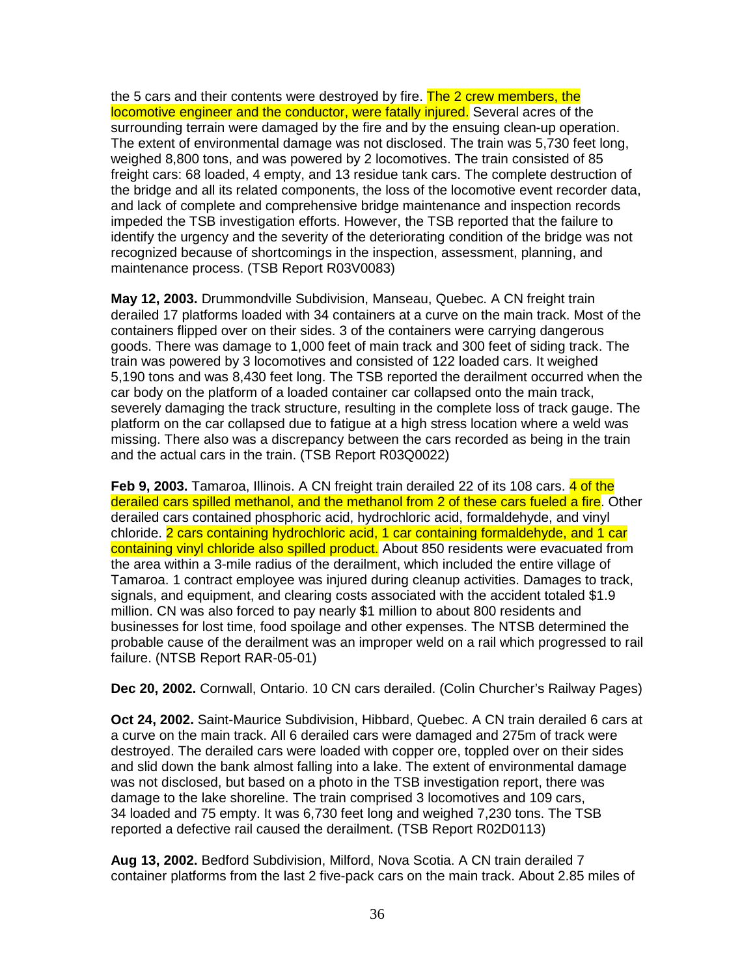the 5 cars and their contents were destroyed by fire. The 2 crew members, the locomotive engineer and the conductor, were fatally injured. Several acres of the surrounding terrain were damaged by the fire and by the ensuing clean-up operation. The extent of environmental damage was not disclosed. The train was 5,730 feet long, weighed 8,800 tons, and was powered by 2 locomotives. The train consisted of 85 freight cars: 68 loaded, 4 empty, and 13 residue tank cars. The complete destruction of the bridge and all its related components, the loss of the locomotive event recorder data, and lack of complete and comprehensive bridge maintenance and inspection records impeded the TSB investigation efforts. However, the TSB reported that the failure to identify the urgency and the severity of the deteriorating condition of the bridge was not recognized because of shortcomings in the inspection, assessment, planning, and maintenance process. (TSB Report R03V0083)

**May 12, 2003.** Drummondville Subdivision, Manseau, Quebec. A CN freight train derailed 17 platforms loaded with 34 containers at a curve on the main track. Most of the containers flipped over on their sides. 3 of the containers were carrying dangerous goods. There was damage to 1,000 feet of main track and 300 feet of siding track. The train was powered by 3 locomotives and consisted of 122 loaded cars. It weighed 5,190 tons and was 8,430 feet long. The TSB reported the derailment occurred when the car body on the platform of a loaded container car collapsed onto the main track, severely damaging the track structure, resulting in the complete loss of track gauge. The platform on the car collapsed due to fatigue at a high stress location where a weld was missing. There also was a discrepancy between the cars recorded as being in the train and the actual cars in the train. (TSB Report R03Q0022)

**Feb 9, 2003.** Tamaroa, Illinois. A CN freight train derailed 22 of its 108 cars. 4 of the derailed cars spilled methanol, and the methanol from 2 of these cars fueled a fire. Other derailed cars contained phosphoric acid, hydrochloric acid, formaldehyde, and vinyl chloride. 2 cars containing hydrochloric acid, 1 car containing formaldehyde, and 1 car containing vinyl chloride also spilled product. About 850 residents were evacuated from the area within a 3-mile radius of the derailment, which included the entire village of Tamaroa. 1 contract employee was injured during cleanup activities. Damages to track, signals, and equipment, and clearing costs associated with the accident totaled \$1.9 million. CN was also forced to pay nearly \$1 million to about 800 residents and businesses for lost time, food spoilage and other expenses. The NTSB determined the probable cause of the derailment was an improper weld on a rail which progressed to rail failure. (NTSB Report RAR-05-01)

**Dec 20, 2002.** Cornwall, Ontario. 10 CN cars derailed. (Colin Churcher's Railway Pages)

**Oct 24, 2002.** Saint-Maurice Subdivision, Hibbard, Quebec. A CN train derailed 6 cars at a curve on the main track. All 6 derailed cars were damaged and 275m of track were destroyed. The derailed cars were loaded with copper ore, toppled over on their sides and slid down the bank almost falling into a lake. The extent of environmental damage was not disclosed, but based on a photo in the TSB investigation report, there was damage to the lake shoreline. The train comprised 3 locomotives and 109 cars, 34 loaded and 75 empty. It was 6,730 feet long and weighed 7,230 tons. The TSB reported a defective rail caused the derailment. (TSB Report R02D0113)

**Aug 13, 2002.** Bedford Subdivision, Milford, Nova Scotia. A CN train derailed 7 container platforms from the last 2 five-pack cars on the main track. About 2.85 miles of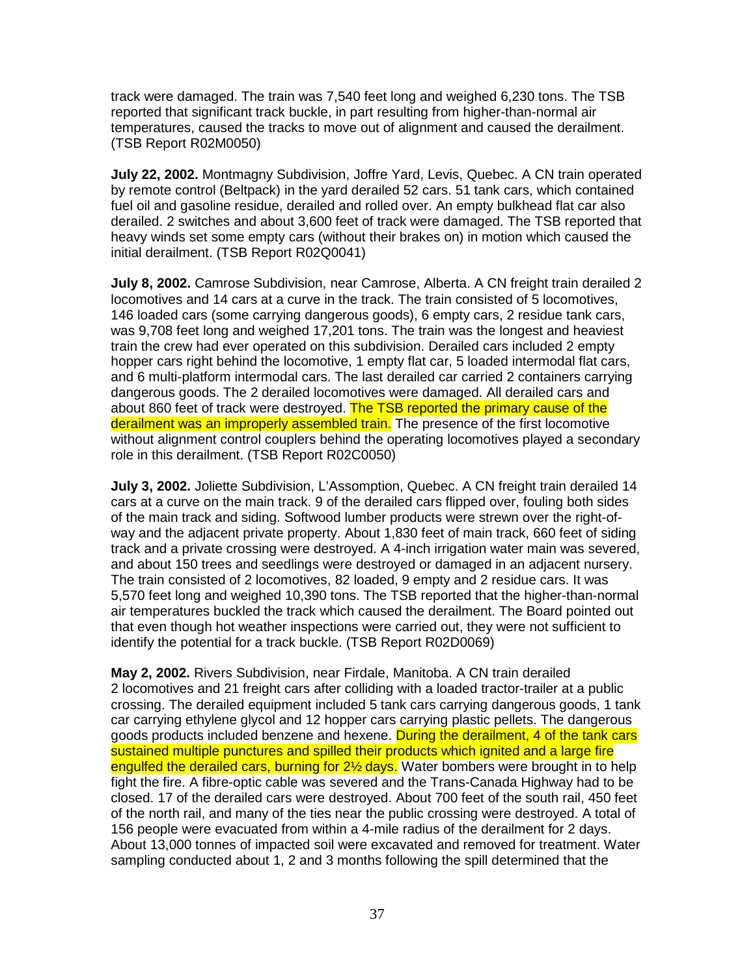track were damaged. The train was 7,540 feet long and weighed 6,230 tons. The TSB reported that significant track buckle, in part resulting from higher-than-normal air temperatures, caused the tracks to move out of alignment and caused the derailment. (TSB Report R02M0050)

**July 22, 2002.** Montmagny Subdivision, Joffre Yard, Levis, Quebec. A CN train operated by remote control (Beltpack) in the yard derailed 52 cars. 51 tank cars, which contained fuel oil and gasoline residue, derailed and rolled over. An empty bulkhead flat car also derailed. 2 switches and about 3,600 feet of track were damaged. The TSB reported that heavy winds set some empty cars (without their brakes on) in motion which caused the initial derailment. (TSB Report R02Q0041)

**July 8, 2002.** Camrose Subdivision, near Camrose, Alberta. A CN freight train derailed 2 locomotives and 14 cars at a curve in the track. The train consisted of 5 locomotives, 146 loaded cars (some carrying dangerous goods), 6 empty cars, 2 residue tank cars, was 9,708 feet long and weighed 17,201 tons. The train was the longest and heaviest train the crew had ever operated on this subdivision. Derailed cars included 2 empty hopper cars right behind the locomotive, 1 empty flat car, 5 loaded intermodal flat cars, and 6 multi-platform intermodal cars. The last derailed car carried 2 containers carrying dangerous goods. The 2 derailed locomotives were damaged. All derailed cars and about 860 feet of track were destroyed. The TSB reported the primary cause of the derailment was an improperly assembled train. The presence of the first locomotive without alignment control couplers behind the operating locomotives played a secondary role in this derailment. (TSB Report R02C0050)

**July 3, 2002.** Joliette Subdivision, L'Assomption, Quebec. A CN freight train derailed 14 cars at a curve on the main track. 9 of the derailed cars flipped over, fouling both sides of the main track and siding. Softwood lumber products were strewn over the right-ofway and the adjacent private property. About 1,830 feet of main track, 660 feet of siding track and a private crossing were destroyed. A 4-inch irrigation water main was severed, and about 150 trees and seedlings were destroyed or damaged in an adjacent nursery. The train consisted of 2 locomotives, 82 loaded, 9 empty and 2 residue cars. It was 5,570 feet long and weighed 10,390 tons. The TSB reported that the higher-than-normal air temperatures buckled the track which caused the derailment. The Board pointed out that even though hot weather inspections were carried out, they were not sufficient to identify the potential for a track buckle. (TSB Report R02D0069)

**May 2, 2002.** Rivers Subdivision, near Firdale, Manitoba. A CN train derailed 2 locomotives and 21 freight cars after colliding with a loaded tractor-trailer at a public crossing. The derailed equipment included 5 tank cars carrying dangerous goods, 1 tank car carrying ethylene glycol and 12 hopper cars carrying plastic pellets. The dangerous goods products included benzene and hexene. During the derailment, 4 of the tank cars sustained multiple punctures and spilled their products which ignited and a large fire engulfed the derailed cars, burning for 2<sup>1/2</sup> days. Water bombers were brought in to help fight the fire. A fibre-optic cable was severed and the Trans-Canada Highway had to be closed. 17 of the derailed cars were destroyed. About 700 feet of the south rail, 450 feet of the north rail, and many of the ties near the public crossing were destroyed. A total of 156 people were evacuated from within a 4-mile radius of the derailment for 2 days. About 13,000 tonnes of impacted soil were excavated and removed for treatment. Water sampling conducted about 1, 2 and 3 months following the spill determined that the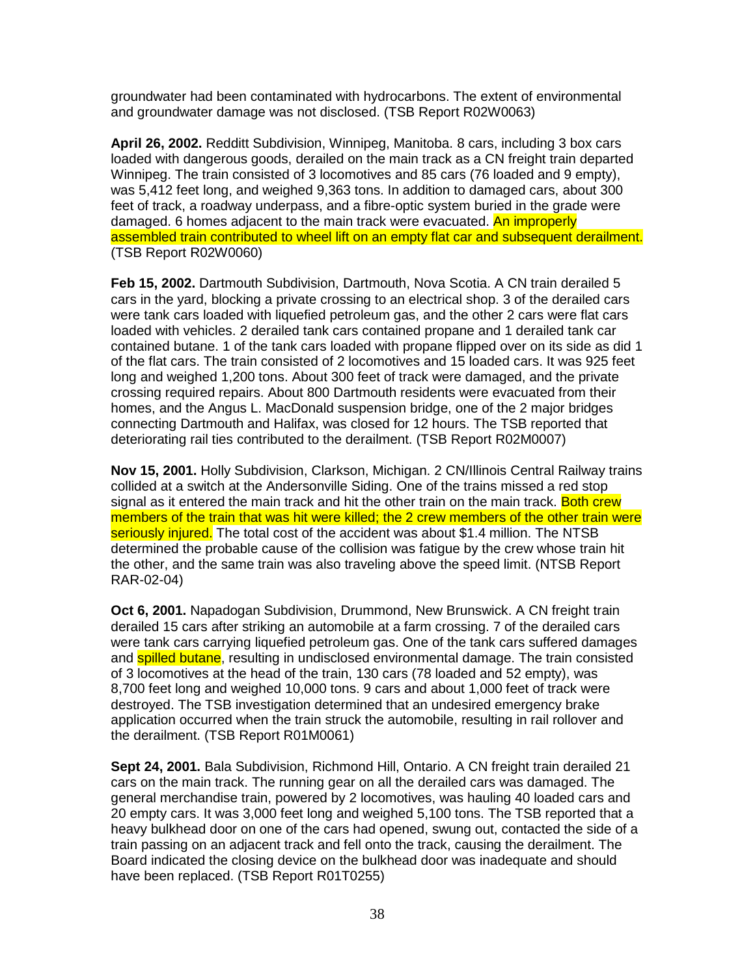groundwater had been contaminated with hydrocarbons. The extent of environmental and groundwater damage was not disclosed. (TSB Report R02W0063)

**April 26, 2002.** Redditt Subdivision, Winnipeg, Manitoba. 8 cars, including 3 box cars loaded with dangerous goods, derailed on the main track as a CN freight train departed Winnipeg. The train consisted of 3 locomotives and 85 cars (76 loaded and 9 empty), was 5,412 feet long, and weighed 9,363 tons. In addition to damaged cars, about 300 feet of track, a roadway underpass, and a fibre-optic system buried in the grade were damaged. 6 homes adjacent to the main track were evacuated. An improperly assembled train contributed to wheel lift on an empty flat car and subsequent derailment. (TSB Report R02W0060)

**Feb 15, 2002.** Dartmouth Subdivision, Dartmouth, Nova Scotia. A CN train derailed 5 cars in the yard, blocking a private crossing to an electrical shop. 3 of the derailed cars were tank cars loaded with liquefied petroleum gas, and the other 2 cars were flat cars loaded with vehicles. 2 derailed tank cars contained propane and 1 derailed tank car contained butane. 1 of the tank cars loaded with propane flipped over on its side as did 1 of the flat cars. The train consisted of 2 locomotives and 15 loaded cars. It was 925 feet long and weighed 1,200 tons. About 300 feet of track were damaged, and the private crossing required repairs. About 800 Dartmouth residents were evacuated from their homes, and the Angus L. MacDonald suspension bridge, one of the 2 major bridges connecting Dartmouth and Halifax, was closed for 12 hours. The TSB reported that deteriorating rail ties contributed to the derailment. (TSB Report R02M0007)

**Nov 15, 2001.** Holly Subdivision, Clarkson, Michigan. 2 CN/Illinois Central Railway trains collided at a switch at the Andersonville Siding. One of the trains missed a red stop signal as it entered the main track and hit the other train on the main track. Both crew members of the train that was hit were killed; the 2 crew members of the other train were seriously injured. The total cost of the accident was about \$1.4 million. The NTSB determined the probable cause of the collision was fatigue by the crew whose train hit the other, and the same train was also traveling above the speed limit. (NTSB Report RAR-02-04)

**Oct 6, 2001.** Napadogan Subdivision, Drummond, New Brunswick. A CN freight train derailed 15 cars after striking an automobile at a farm crossing. 7 of the derailed cars were tank cars carrying liquefied petroleum gas. One of the tank cars suffered damages and **spilled butane**, resulting in undisclosed environmental damage. The train consisted of 3 locomotives at the head of the train, 130 cars (78 loaded and 52 empty), was 8,700 feet long and weighed 10,000 tons. 9 cars and about 1,000 feet of track were destroyed. The TSB investigation determined that an undesired emergency brake application occurred when the train struck the automobile, resulting in rail rollover and the derailment. (TSB Report R01M0061)

**Sept 24, 2001.** Bala Subdivision, Richmond Hill, Ontario. A CN freight train derailed 21 cars on the main track. The running gear on all the derailed cars was damaged. The general merchandise train, powered by 2 locomotives, was hauling 40 loaded cars and 20 empty cars. It was 3,000 feet long and weighed 5,100 tons. The TSB reported that a heavy bulkhead door on one of the cars had opened, swung out, contacted the side of a train passing on an adjacent track and fell onto the track, causing the derailment. The Board indicated the closing device on the bulkhead door was inadequate and should have been replaced. (TSB Report R01T0255)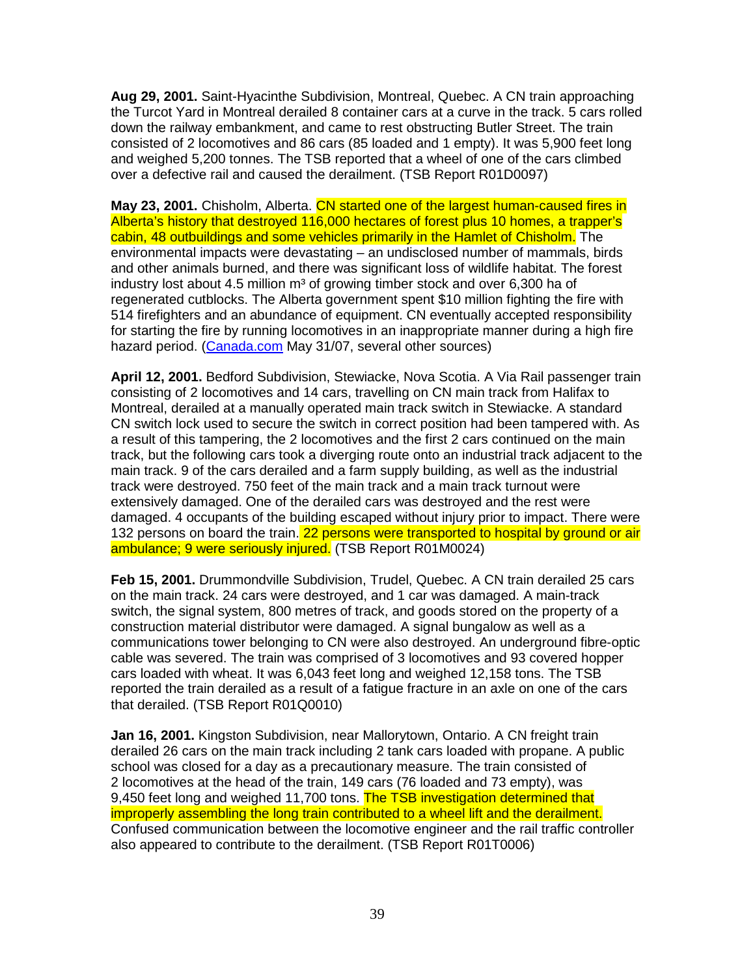**Aug 29, 2001.** Saint-Hyacinthe Subdivision, Montreal, Quebec. A CN train approaching the Turcot Yard in Montreal derailed 8 container cars at a curve in the track. 5 cars rolled down the railway embankment, and came to rest obstructing Butler Street. The train consisted of 2 locomotives and 86 cars (85 loaded and 1 empty). It was 5,900 feet long and weighed 5,200 tonnes. The TSB reported that a wheel of one of the cars climbed over a defective rail and caused the derailment. (TSB Report R01D0097)

**May 23, 2001.** Chisholm, Alberta. CN started one of the largest human-caused fires in Alberta's history that destroyed 116,000 hectares of forest plus 10 homes, a trapper's cabin, 48 outbuildings and some vehicles primarily in the Hamlet of Chisholm. The environmental impacts were devastating – an undisclosed number of mammals, birds and other animals burned, and there was significant loss of wildlife habitat. The forest industry lost about 4.5 million  $m<sup>3</sup>$  of growing timber stock and over 6,300 ha of regenerated cutblocks. The Alberta government spent \$10 million fighting the fire with 514 firefighters and an abundance of equipment. CN eventually accepted responsibility for starting the fire by running locomotives in an inappropriate manner during a high fire hazard period. (Canada.com May 31/07, several other sources)

**April 12, 2001.** Bedford Subdivision, Stewiacke, Nova Scotia. A Via Rail passenger train consisting of 2 locomotives and 14 cars, travelling on CN main track from Halifax to Montreal, derailed at a manually operated main track switch in Stewiacke. A standard CN switch lock used to secure the switch in correct position had been tampered with. As a result of this tampering, the 2 locomotives and the first 2 cars continued on the main track, but the following cars took a diverging route onto an industrial track adjacent to the main track. 9 of the cars derailed and a farm supply building, as well as the industrial track were destroyed. 750 feet of the main track and a main track turnout were extensively damaged. One of the derailed cars was destroyed and the rest were damaged. 4 occupants of the building escaped without injury prior to impact. There were 132 persons on board the train. 22 persons were transported to hospital by ground or air ambulance; 9 were seriously injured. (TSB Report R01M0024)

**Feb 15, 2001.** Drummondville Subdivision, Trudel, Quebec. A CN train derailed 25 cars on the main track. 24 cars were destroyed, and 1 car was damaged. A main-track switch, the signal system, 800 metres of track, and goods stored on the property of a construction material distributor were damaged. A signal bungalow as well as a communications tower belonging to CN were also destroyed. An underground fibre-optic cable was severed. The train was comprised of 3 locomotives and 93 covered hopper cars loaded with wheat. It was 6,043 feet long and weighed 12,158 tons. The TSB reported the train derailed as a result of a fatigue fracture in an axle on one of the cars that derailed. (TSB Report R01Q0010)

**Jan 16, 2001.** Kingston Subdivision, near Mallorytown, Ontario. A CN freight train derailed 26 cars on the main track including 2 tank cars loaded with propane. A public school was closed for a day as a precautionary measure. The train consisted of 2 locomotives at the head of the train, 149 cars (76 loaded and 73 empty), was 9,450 feet long and weighed 11,700 tons. The TSB investigation determined that improperly assembling the long train contributed to a wheel lift and the derailment. Confused communication between the locomotive engineer and the rail traffic controller also appeared to contribute to the derailment. (TSB Report R01T0006)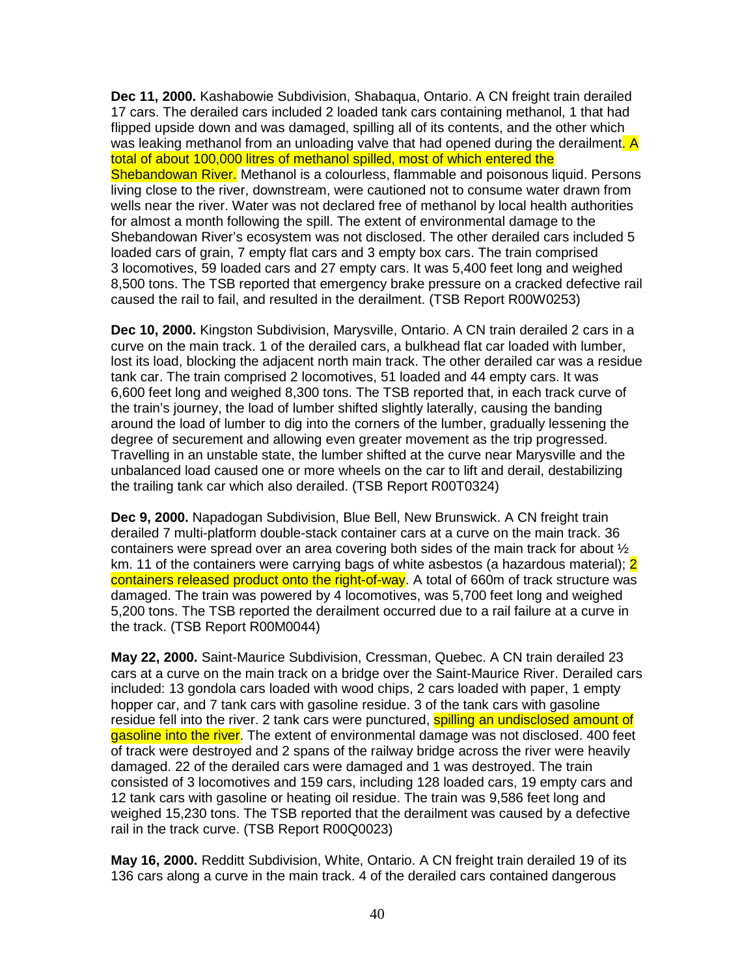**Dec 11, 2000.** Kashabowie Subdivision, Shabaqua, Ontario. A CN freight train derailed 17 cars. The derailed cars included 2 loaded tank cars containing methanol, 1 that had flipped upside down and was damaged, spilling all of its contents, and the other which was leaking methanol from an unloading valve that had opened during the derailment. A total of about 100,000 litres of methanol spilled, most of which entered the Shebandowan River. Methanol is a colourless, flammable and poisonous liquid. Persons living close to the river, downstream, were cautioned not to consume water drawn from wells near the river. Water was not declared free of methanol by local health authorities for almost a month following the spill. The extent of environmental damage to the Shebandowan River's ecosystem was not disclosed. The other derailed cars included 5 loaded cars of grain, 7 empty flat cars and 3 empty box cars. The train comprised 3 locomotives, 59 loaded cars and 27 empty cars. It was 5,400 feet long and weighed 8,500 tons. The TSB reported that emergency brake pressure on a cracked defective rail caused the rail to fail, and resulted in the derailment. (TSB Report R00W0253)

**Dec 10, 2000.** Kingston Subdivision, Marysville, Ontario. A CN train derailed 2 cars in a curve on the main track. 1 of the derailed cars, a bulkhead flat car loaded with lumber, lost its load, blocking the adjacent north main track. The other derailed car was a residue tank car. The train comprised 2 locomotives, 51 loaded and 44 empty cars. It was 6,600 feet long and weighed 8,300 tons. The TSB reported that, in each track curve of the train's journey, the load of lumber shifted slightly laterally, causing the banding around the load of lumber to dig into the corners of the lumber, gradually lessening the degree of securement and allowing even greater movement as the trip progressed. Travelling in an unstable state, the lumber shifted at the curve near Marysville and the unbalanced load caused one or more wheels on the car to lift and derail, destabilizing the trailing tank car which also derailed. (TSB Report R00T0324)

**Dec 9, 2000.** Napadogan Subdivision, Blue Bell, New Brunswick. A CN freight train derailed 7 multi-platform double-stack container cars at a curve on the main track. 36 containers were spread over an area covering both sides of the main track for about ½ km. 11 of the containers were carrying bags of white asbestos (a hazardous material); 2 containers released product onto the right-of-way. A total of 660m of track structure was damaged. The train was powered by 4 locomotives, was 5,700 feet long and weighed 5,200 tons. The TSB reported the derailment occurred due to a rail failure at a curve in the track. (TSB Report R00M0044)

**May 22, 2000.** Saint-Maurice Subdivision, Cressman, Quebec. A CN train derailed 23 cars at a curve on the main track on a bridge over the Saint-Maurice River. Derailed cars included: 13 gondola cars loaded with wood chips, 2 cars loaded with paper, 1 empty hopper car, and 7 tank cars with gasoline residue. 3 of the tank cars with gasoline residue fell into the river. 2 tank cars were punctured, spilling an undisclosed amount of gasoline into the river. The extent of environmental damage was not disclosed. 400 feet of track were destroyed and 2 spans of the railway bridge across the river were heavily damaged. 22 of the derailed cars were damaged and 1 was destroyed. The train consisted of 3 locomotives and 159 cars, including 128 loaded cars, 19 empty cars and 12 tank cars with gasoline or heating oil residue. The train was 9,586 feet long and weighed 15,230 tons. The TSB reported that the derailment was caused by a defective rail in the track curve. (TSB Report R00Q0023)

**May 16, 2000.** Redditt Subdivision, White, Ontario. A CN freight train derailed 19 of its 136 cars along a curve in the main track. 4 of the derailed cars contained dangerous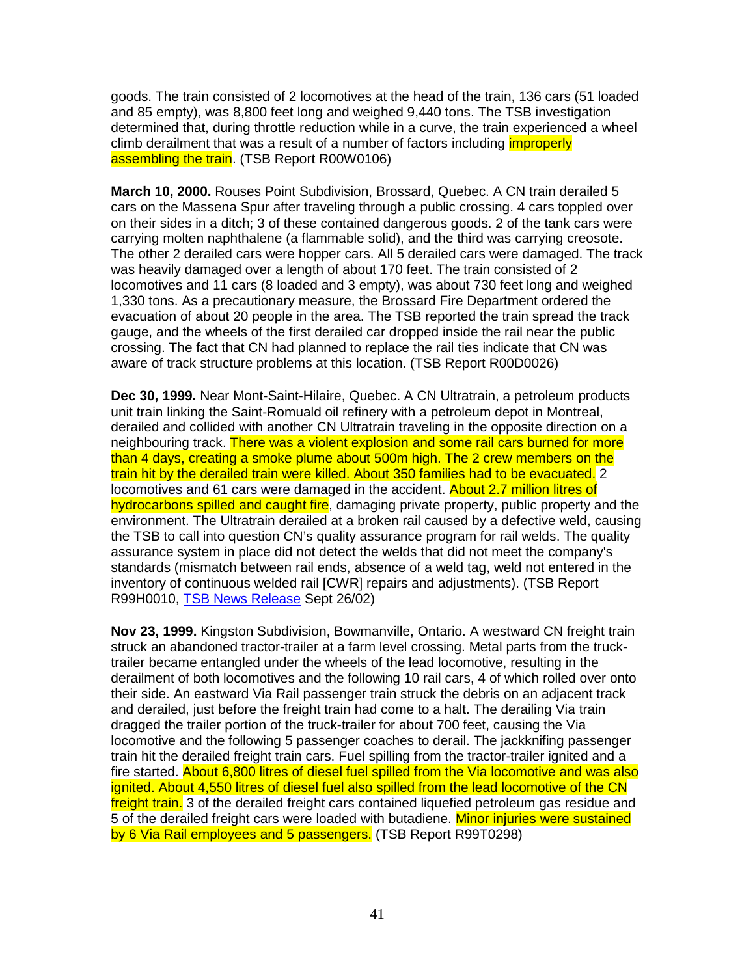goods. The train consisted of 2 locomotives at the head of the train, 136 cars (51 loaded and 85 empty), was 8,800 feet long and weighed 9,440 tons. The TSB investigation determined that, during throttle reduction while in a curve, the train experienced a wheel climb derailment that was a result of a number of factors including *improperly* assembling the train. (TSB Report R00W0106)

**March 10, 2000.** Rouses Point Subdivision, Brossard, Quebec. A CN train derailed 5 cars on the Massena Spur after traveling through a public crossing. 4 cars toppled over on their sides in a ditch; 3 of these contained dangerous goods. 2 of the tank cars were carrying molten naphthalene (a flammable solid), and the third was carrying creosote. The other 2 derailed cars were hopper cars. All 5 derailed cars were damaged. The track was heavily damaged over a length of about 170 feet. The train consisted of 2 locomotives and 11 cars (8 loaded and 3 empty), was about 730 feet long and weighed 1,330 tons. As a precautionary measure, the Brossard Fire Department ordered the evacuation of about 20 people in the area. The TSB reported the train spread the track gauge, and the wheels of the first derailed car dropped inside the rail near the public crossing. The fact that CN had planned to replace the rail ties indicate that CN was aware of track structure problems at this location. (TSB Report R00D0026)

**Dec 30, 1999.** Near Mont-Saint-Hilaire, Quebec. A CN Ultratrain, a petroleum products unit train linking the Saint-Romuald oil refinery with a petroleum depot in Montreal, derailed and collided with another CN Ultratrain traveling in the opposite direction on a neighbouring track. There was a violent explosion and some rail cars burned for more than 4 days, creating a smoke plume about 500m high. The 2 crew members on the train hit by the derailed train were killed. About 350 families had to be evacuated. 2 locomotives and 61 cars were damaged in the accident. About 2.7 million litres of hydrocarbons spilled and caught fire, damaging private property, public property and the environment. The Ultratrain derailed at a broken rail caused by a defective weld, causing the TSB to call into question CN's quality assurance program for rail welds. The quality assurance system in place did not detect the welds that did not meet the company's standards (mismatch between rail ends, absence of a weld tag, weld not entered in the inventory of continuous welded rail [CWR] repairs and adjustments). (TSB Report R99H0010, TSB News Release Sept 26/02)

**Nov 23, 1999.** Kingston Subdivision, Bowmanville, Ontario. A westward CN freight train struck an abandoned tractor-trailer at a farm level crossing. Metal parts from the trucktrailer became entangled under the wheels of the lead locomotive, resulting in the derailment of both locomotives and the following 10 rail cars, 4 of which rolled over onto their side. An eastward Via Rail passenger train struck the debris on an adjacent track and derailed, just before the freight train had come to a halt. The derailing Via train dragged the trailer portion of the truck-trailer for about 700 feet, causing the Via locomotive and the following 5 passenger coaches to derail. The jackknifing passenger train hit the derailed freight train cars. Fuel spilling from the tractor-trailer ignited and a fire started. About 6,800 litres of diesel fuel spilled from the Via locomotive and was also ignited. About 4,550 litres of diesel fuel also spilled from the lead locomotive of the CN freight train. 3 of the derailed freight cars contained liquefied petroleum gas residue and 5 of the derailed freight cars were loaded with butadiene. Minor injuries were sustained by 6 Via Rail employees and 5 passengers. (TSB Report R99T0298)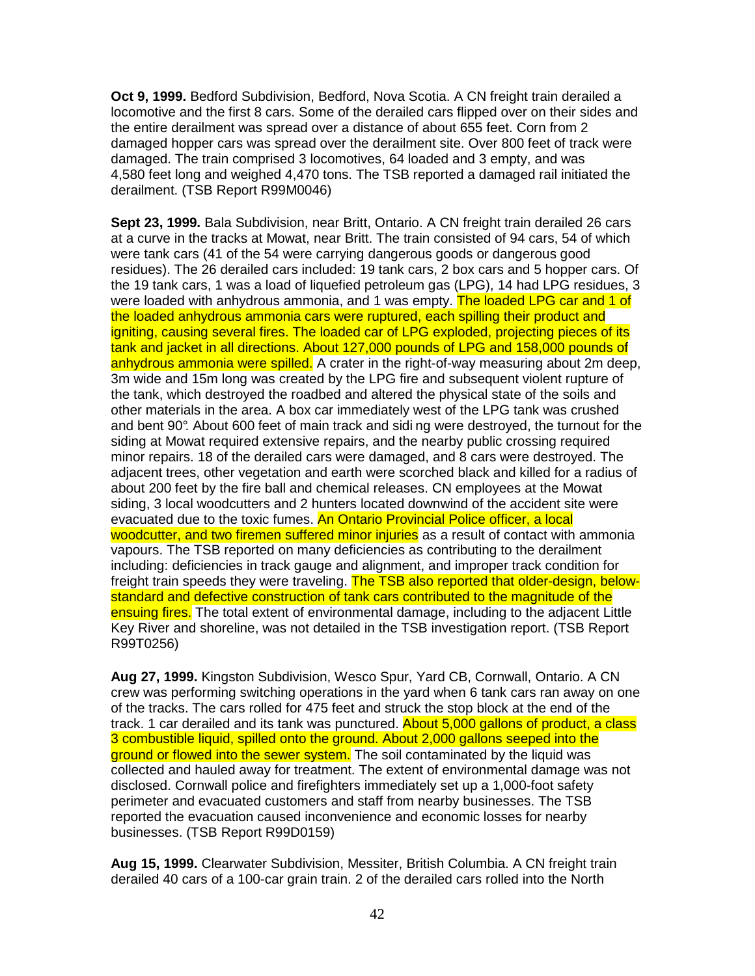**Oct 9, 1999.** Bedford Subdivision, Bedford, Nova Scotia. A CN freight train derailed a locomotive and the first 8 cars. Some of the derailed cars flipped over on their sides and the entire derailment was spread over a distance of about 655 feet. Corn from 2 damaged hopper cars was spread over the derailment site. Over 800 feet of track were damaged. The train comprised 3 locomotives, 64 loaded and 3 empty, and was 4,580 feet long and weighed 4,470 tons. The TSB reported a damaged rail initiated the derailment. (TSB Report R99M0046)

**Sept 23, 1999.** Bala Subdivision, near Britt, Ontario. A CN freight train derailed 26 cars at a curve in the tracks at Mowat, near Britt. The train consisted of 94 cars, 54 of which were tank cars (41 of the 54 were carrying dangerous goods or dangerous good residues). The 26 derailed cars included: 19 tank cars, 2 box cars and 5 hopper cars. Of the 19 tank cars, 1 was a load of liquefied petroleum gas (LPG), 14 had LPG residues, 3 were loaded with anhydrous ammonia, and 1 was empty. The loaded LPG car and 1 of the loaded anhydrous ammonia cars were ruptured, each spilling their product and igniting, causing several fires. The loaded car of LPG exploded, projecting pieces of its tank and jacket in all directions. About 127,000 pounds of LPG and 158,000 pounds of anhydrous ammonia were spilled. A crater in the right-of-way measuring about 2m deep, 3m wide and 15m long was created by the LPG fire and subsequent violent rupture of the tank, which destroyed the roadbed and altered the physical state of the soils and other materials in the area. A box car immediately west of the LPG tank was crushed and bent 90°. About 600 feet of main track and sidi ng were destroyed, the turnout for the siding at Mowat required extensive repairs, and the nearby public crossing required minor repairs. 18 of the derailed cars were damaged, and 8 cars were destroyed. The adjacent trees, other vegetation and earth were scorched black and killed for a radius of about 200 feet by the fire ball and chemical releases. CN employees at the Mowat siding, 3 local woodcutters and 2 hunters located downwind of the accident site were evacuated due to the toxic fumes. An Ontario Provincial Police officer, a local woodcutter, and two firemen suffered minor injuries as a result of contact with ammonia vapours. The TSB reported on many deficiencies as contributing to the derailment including: deficiencies in track gauge and alignment, and improper track condition for freight train speeds they were traveling. The TSB also reported that older-design, belowstandard and defective construction of tank cars contributed to the magnitude of the ensuing fires. The total extent of environmental damage, including to the adjacent Little Key River and shoreline, was not detailed in the TSB investigation report. (TSB Report R99T0256)

**Aug 27, 1999.** Kingston Subdivision, Wesco Spur, Yard CB, Cornwall, Ontario. A CN crew was performing switching operations in the yard when 6 tank cars ran away on one of the tracks. The cars rolled for 475 feet and struck the stop block at the end of the track. 1 car derailed and its tank was punctured. About 5,000 gallons of product, a class 3 combustible liquid, spilled onto the ground. About 2,000 gallons seeped into the ground or flowed into the sewer system. The soil contaminated by the liquid was collected and hauled away for treatment. The extent of environmental damage was not disclosed. Cornwall police and firefighters immediately set up a 1,000-foot safety perimeter and evacuated customers and staff from nearby businesses. The TSB reported the evacuation caused inconvenience and economic losses for nearby businesses. (TSB Report R99D0159)

**Aug 15, 1999.** Clearwater Subdivision, Messiter, British Columbia. A CN freight train derailed 40 cars of a 100-car grain train. 2 of the derailed cars rolled into the North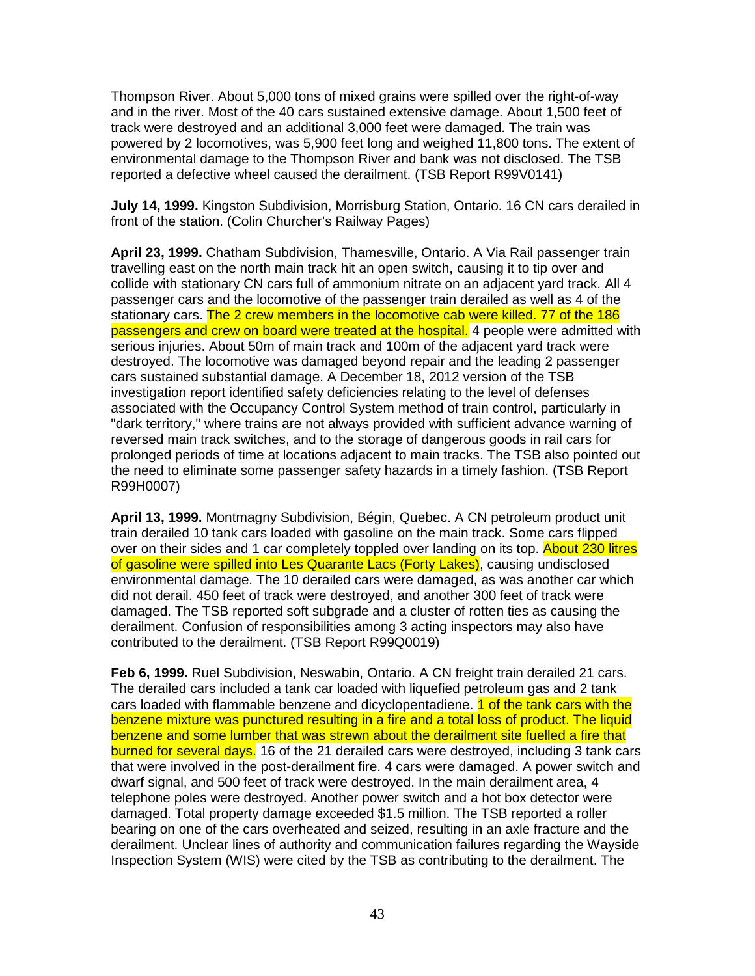Thompson River. About 5,000 tons of mixed grains were spilled over the right-of-way and in the river. Most of the 40 cars sustained extensive damage. About 1,500 feet of track were destroyed and an additional 3,000 feet were damaged. The train was powered by 2 locomotives, was 5,900 feet long and weighed 11,800 tons. The extent of environmental damage to the Thompson River and bank was not disclosed. The TSB reported a defective wheel caused the derailment. (TSB Report R99V0141)

**July 14, 1999.** Kingston Subdivision, Morrisburg Station, Ontario. 16 CN cars derailed in front of the station. (Colin Churcher's Railway Pages)

**April 23, 1999.** Chatham Subdivision, Thamesville, Ontario. A Via Rail passenger train travelling east on the north main track hit an open switch, causing it to tip over and collide with stationary CN cars full of ammonium nitrate on an adjacent yard track. All 4 passenger cars and the locomotive of the passenger train derailed as well as 4 of the stationary cars. The 2 crew members in the locomotive cab were killed. 77 of the 186 passengers and crew on board were treated at the hospital. 4 people were admitted with serious injuries. About 50m of main track and 100m of the adjacent yard track were destroyed. The locomotive was damaged beyond repair and the leading 2 passenger cars sustained substantial damage. A December 18, 2012 version of the TSB investigation report identified safety deficiencies relating to the level of defenses associated with the Occupancy Control System method of train control, particularly in "dark territory," where trains are not always provided with sufficient advance warning of reversed main track switches, and to the storage of dangerous goods in rail cars for prolonged periods of time at locations adjacent to main tracks. The TSB also pointed out the need to eliminate some passenger safety hazards in a timely fashion. (TSB Report R99H0007)

**April 13, 1999.** Montmagny Subdivision, Bégin, Quebec. A CN petroleum product unit train derailed 10 tank cars loaded with gasoline on the main track. Some cars flipped over on their sides and 1 car completely toppled over landing on its top. About 230 litres of gasoline were spilled into Les Quarante Lacs (Forty Lakes), causing undisclosed environmental damage. The 10 derailed cars were damaged, as was another car which did not derail. 450 feet of track were destroyed, and another 300 feet of track were damaged. The TSB reported soft subgrade and a cluster of rotten ties as causing the derailment. Confusion of responsibilities among 3 acting inspectors may also have contributed to the derailment. (TSB Report R99Q0019)

**Feb 6, 1999.** Ruel Subdivision, Neswabin, Ontario. A CN freight train derailed 21 cars. The derailed cars included a tank car loaded with liquefied petroleum gas and 2 tank cars loaded with flammable benzene and dicyclopentadiene. 1 of the tank cars with the benzene mixture was punctured resulting in a fire and a total loss of product. The liquid benzene and some lumber that was strewn about the derailment site fuelled a fire that burned for several days. 16 of the 21 derailed cars were destroyed, including 3 tank cars that were involved in the post-derailment fire. 4 cars were damaged. A power switch and dwarf signal, and 500 feet of track were destroyed. In the main derailment area, 4 telephone poles were destroyed. Another power switch and a hot box detector were damaged. Total property damage exceeded \$1.5 million. The TSB reported a roller bearing on one of the cars overheated and seized, resulting in an axle fracture and the derailment. Unclear lines of authority and communication failures regarding the Wayside Inspection System (WIS) were cited by the TSB as contributing to the derailment. The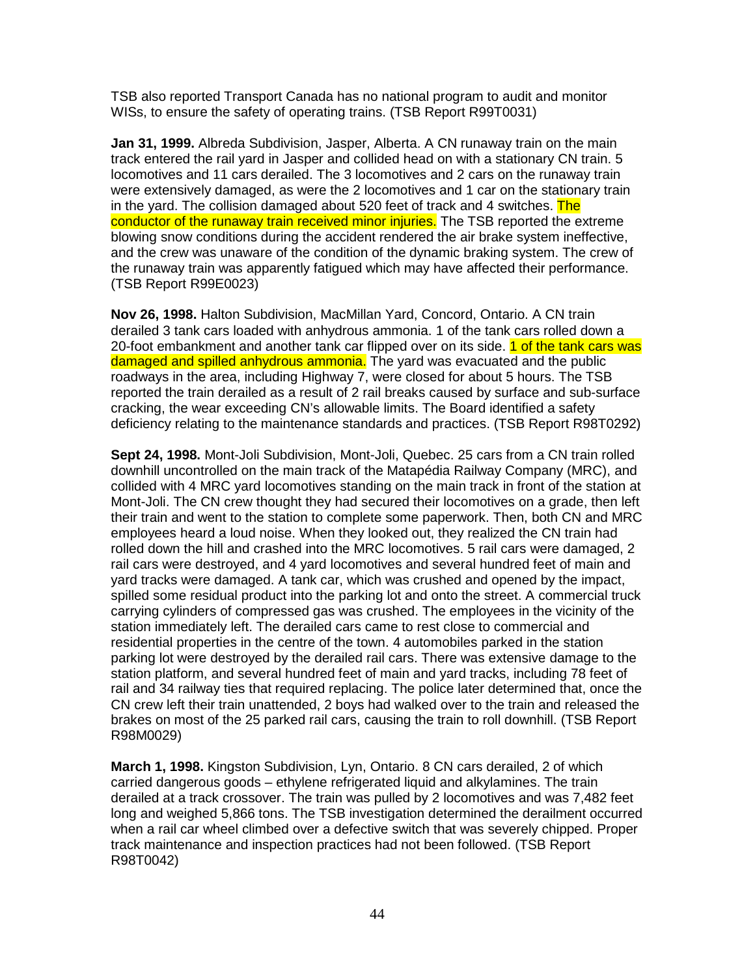TSB also reported Transport Canada has no national program to audit and monitor WISs, to ensure the safety of operating trains. (TSB Report R99T0031)

**Jan 31, 1999.** Albreda Subdivision, Jasper, Alberta. A CN runaway train on the main track entered the rail yard in Jasper and collided head on with a stationary CN train. 5 locomotives and 11 cars derailed. The 3 locomotives and 2 cars on the runaway train were extensively damaged, as were the 2 locomotives and 1 car on the stationary train in the yard. The collision damaged about 520 feet of track and 4 switches. The conductor of the runaway train received minor injuries. The TSB reported the extreme blowing snow conditions during the accident rendered the air brake system ineffective, and the crew was unaware of the condition of the dynamic braking system. The crew of the runaway train was apparently fatigued which may have affected their performance. (TSB Report R99E0023)

**Nov 26, 1998.** Halton Subdivision, MacMillan Yard, Concord, Ontario. A CN train derailed 3 tank cars loaded with anhydrous ammonia. 1 of the tank cars rolled down a 20-foot embankment and another tank car flipped over on its side. 1 of the tank cars was damaged and spilled anhydrous ammonia. The yard was evacuated and the public roadways in the area, including Highway 7, were closed for about 5 hours. The TSB reported the train derailed as a result of 2 rail breaks caused by surface and sub-surface cracking, the wear exceeding CN's allowable limits. The Board identified a safety deficiency relating to the maintenance standards and practices. (TSB Report R98T0292)

**Sept 24, 1998.** Mont-Joli Subdivision, Mont-Joli, Quebec. 25 cars from a CN train rolled downhill uncontrolled on the main track of the Matapédia Railway Company (MRC), and collided with 4 MRC yard locomotives standing on the main track in front of the station at Mont-Joli. The CN crew thought they had secured their locomotives on a grade, then left their train and went to the station to complete some paperwork. Then, both CN and MRC employees heard a loud noise. When they looked out, they realized the CN train had rolled down the hill and crashed into the MRC locomotives. 5 rail cars were damaged, 2 rail cars were destroyed, and 4 yard locomotives and several hundred feet of main and yard tracks were damaged. A tank car, which was crushed and opened by the impact, spilled some residual product into the parking lot and onto the street. A commercial truck carrying cylinders of compressed gas was crushed. The employees in the vicinity of the station immediately left. The derailed cars came to rest close to commercial and residential properties in the centre of the town. 4 automobiles parked in the station parking lot were destroyed by the derailed rail cars. There was extensive damage to the station platform, and several hundred feet of main and yard tracks, including 78 feet of rail and 34 railway ties that required replacing. The police later determined that, once the CN crew left their train unattended, 2 boys had walked over to the train and released the brakes on most of the 25 parked rail cars, causing the train to roll downhill. (TSB Report R98M0029)

**March 1, 1998.** Kingston Subdivision, Lyn, Ontario. 8 CN cars derailed, 2 of which carried dangerous goods – ethylene refrigerated liquid and alkylamines. The train derailed at a track crossover. The train was pulled by 2 locomotives and was 7,482 feet long and weighed 5,866 tons. The TSB investigation determined the derailment occurred when a rail car wheel climbed over a defective switch that was severely chipped. Proper track maintenance and inspection practices had not been followed. (TSB Report R98T0042)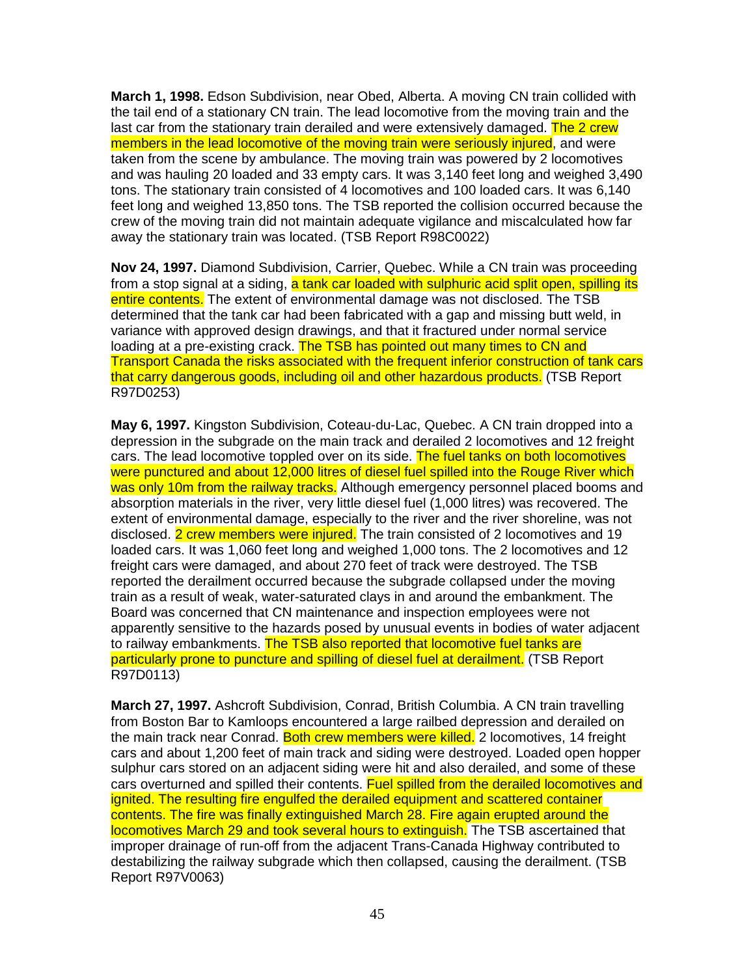**March 1, 1998.** Edson Subdivision, near Obed, Alberta. A moving CN train collided with the tail end of a stationary CN train. The lead locomotive from the moving train and the last car from the stationary train derailed and were extensively damaged. The 2 crew members in the lead locomotive of the moving train were seriously injured, and were taken from the scene by ambulance. The moving train was powered by 2 locomotives and was hauling 20 loaded and 33 empty cars. It was 3,140 feet long and weighed 3,490 tons. The stationary train consisted of 4 locomotives and 100 loaded cars. It was 6,140 feet long and weighed 13,850 tons. The TSB reported the collision occurred because the crew of the moving train did not maintain adequate vigilance and miscalculated how far away the stationary train was located. (TSB Report R98C0022)

**Nov 24, 1997.** Diamond Subdivision, Carrier, Quebec. While a CN train was proceeding from a stop signal at a siding, a tank car loaded with sulphuric acid split open, spilling its entire contents. The extent of environmental damage was not disclosed. The TSB determined that the tank car had been fabricated with a gap and missing butt weld, in variance with approved design drawings, and that it fractured under normal service loading at a pre-existing crack. The TSB has pointed out many times to CN and Transport Canada the risks associated with the frequent inferior construction of tank cars that carry dangerous goods, including oil and other hazardous products. (TSB Report R97D0253)

**May 6, 1997.** Kingston Subdivision, Coteau-du-Lac, Quebec. A CN train dropped into a depression in the subgrade on the main track and derailed 2 locomotives and 12 freight cars. The lead locomotive toppled over on its side. The fuel tanks on both locomotives were punctured and about 12,000 litres of diesel fuel spilled into the Rouge River which was only 10m from the railway tracks. Although emergency personnel placed booms and absorption materials in the river, very little diesel fuel (1,000 litres) was recovered. The extent of environmental damage, especially to the river and the river shoreline, was not disclosed. 2 crew members were injured. The train consisted of 2 locomotives and 19 loaded cars. It was 1,060 feet long and weighed 1,000 tons. The 2 locomotives and 12 freight cars were damaged, and about 270 feet of track were destroyed. The TSB reported the derailment occurred because the subgrade collapsed under the moving train as a result of weak, water-saturated clays in and around the embankment. The Board was concerned that CN maintenance and inspection employees were not apparently sensitive to the hazards posed by unusual events in bodies of water adjacent to railway embankments. The TSB also reported that locomotive fuel tanks are particularly prone to puncture and spilling of diesel fuel at derailment. (TSB Report R97D0113)

**March 27, 1997.** Ashcroft Subdivision, Conrad, British Columbia. A CN train travelling from Boston Bar to Kamloops encountered a large railbed depression and derailed on the main track near Conrad. Both crew members were killed. 2 locomotives, 14 freight cars and about 1,200 feet of main track and siding were destroyed. Loaded open hopper sulphur cars stored on an adjacent siding were hit and also derailed, and some of these cars overturned and spilled their contents. Fuel spilled from the derailed locomotives and ignited. The resulting fire engulfed the derailed equipment and scattered container contents. The fire was finally extinguished March 28. Fire again erupted around the locomotives March 29 and took several hours to extinguish. The TSB ascertained that improper drainage of run-off from the adjacent Trans-Canada Highway contributed to destabilizing the railway subgrade which then collapsed, causing the derailment. (TSB Report R97V0063)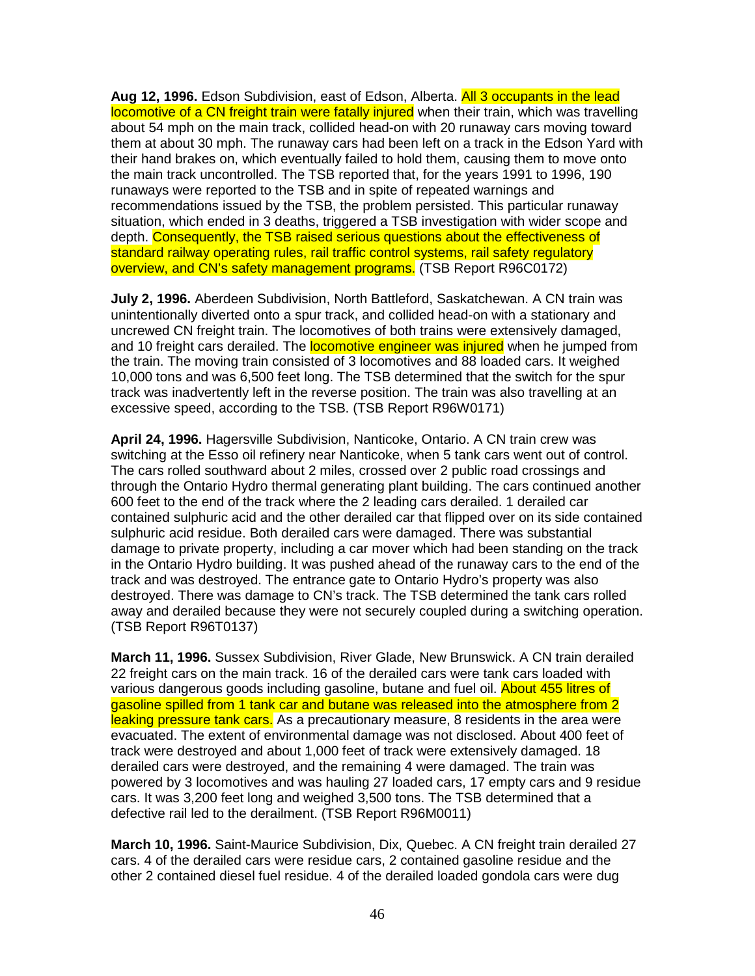**Aug 12, 1996.** Edson Subdivision, east of Edson, Alberta. All 3 occupants in the lead locomotive of a CN freight train were fatally injured when their train, which was travelling about 54 mph on the main track, collided head-on with 20 runaway cars moving toward them at about 30 mph. The runaway cars had been left on a track in the Edson Yard with their hand brakes on, which eventually failed to hold them, causing them to move onto the main track uncontrolled. The TSB reported that, for the years 1991 to 1996, 190 runaways were reported to the TSB and in spite of repeated warnings and recommendations issued by the TSB, the problem persisted. This particular runaway situation, which ended in 3 deaths, triggered a TSB investigation with wider scope and depth. Consequently, the TSB raised serious questions about the effectiveness of standard railway operating rules, rail traffic control systems, rail safety regulatory overview, and CN's safety management programs. (TSB Report R96C0172)

**July 2, 1996.** Aberdeen Subdivision, North Battleford, Saskatchewan. A CN train was unintentionally diverted onto a spur track, and collided head-on with a stationary and uncrewed CN freight train. The locomotives of both trains were extensively damaged, and 10 freight cars derailed. The **locomotive engineer was injured** when he jumped from the train. The moving train consisted of 3 locomotives and 88 loaded cars. It weighed 10,000 tons and was 6,500 feet long. The TSB determined that the switch for the spur track was inadvertently left in the reverse position. The train was also travelling at an excessive speed, according to the TSB. (TSB Report R96W0171)

**April 24, 1996.** Hagersville Subdivision, Nanticoke, Ontario. A CN train crew was switching at the Esso oil refinery near Nanticoke, when 5 tank cars went out of control. The cars rolled southward about 2 miles, crossed over 2 public road crossings and through the Ontario Hydro thermal generating plant building. The cars continued another 600 feet to the end of the track where the 2 leading cars derailed. 1 derailed car contained sulphuric acid and the other derailed car that flipped over on its side contained sulphuric acid residue. Both derailed cars were damaged. There was substantial damage to private property, including a car mover which had been standing on the track in the Ontario Hydro building. It was pushed ahead of the runaway cars to the end of the track and was destroyed. The entrance gate to Ontario Hydro's property was also destroyed. There was damage to CN's track. The TSB determined the tank cars rolled away and derailed because they were not securely coupled during a switching operation. (TSB Report R96T0137)

**March 11, 1996.** Sussex Subdivision, River Glade, New Brunswick. A CN train derailed 22 freight cars on the main track. 16 of the derailed cars were tank cars loaded with various dangerous goods including gasoline, butane and fuel oil. About 455 litres of gasoline spilled from 1 tank car and butane was released into the atmosphere from 2 leaking pressure tank cars. As a precautionary measure, 8 residents in the area were evacuated. The extent of environmental damage was not disclosed. About 400 feet of track were destroyed and about 1,000 feet of track were extensively damaged. 18 derailed cars were destroyed, and the remaining 4 were damaged. The train was powered by 3 locomotives and was hauling 27 loaded cars, 17 empty cars and 9 residue cars. It was 3,200 feet long and weighed 3,500 tons. The TSB determined that a defective rail led to the derailment. (TSB Report R96M0011)

**March 10, 1996.** Saint-Maurice Subdivision, Dix, Quebec. A CN freight train derailed 27 cars. 4 of the derailed cars were residue cars, 2 contained gasoline residue and the other 2 contained diesel fuel residue. 4 of the derailed loaded gondola cars were dug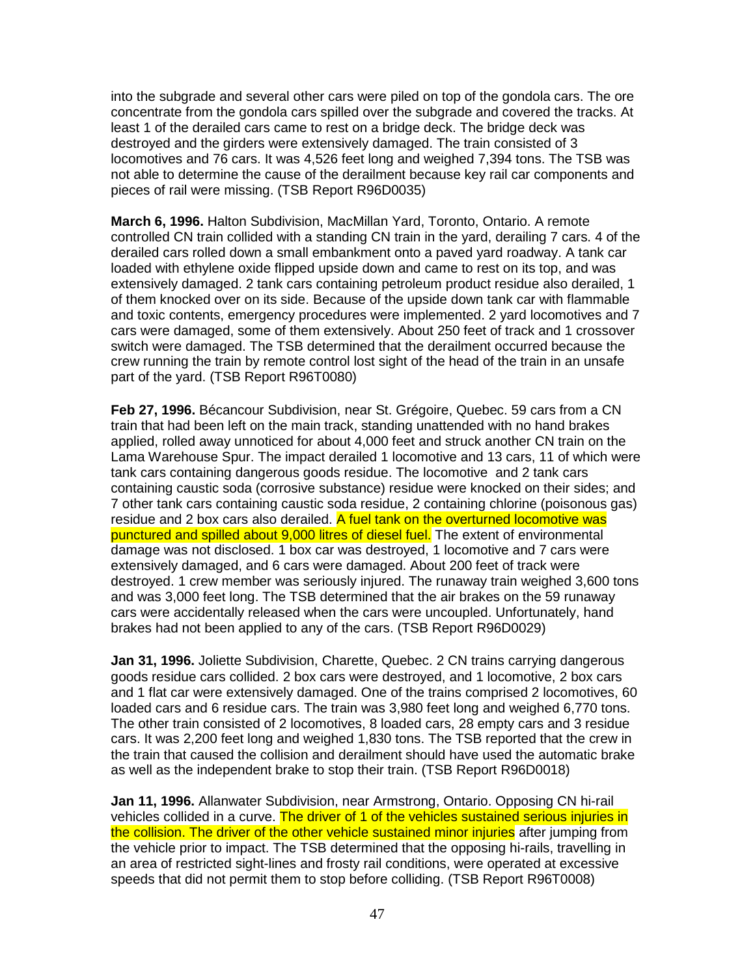into the subgrade and several other cars were piled on top of the gondola cars. The ore concentrate from the gondola cars spilled over the subgrade and covered the tracks. At least 1 of the derailed cars came to rest on a bridge deck. The bridge deck was destroyed and the girders were extensively damaged. The train consisted of 3 locomotives and 76 cars. It was 4,526 feet long and weighed 7,394 tons. The TSB was not able to determine the cause of the derailment because key rail car components and pieces of rail were missing. (TSB Report R96D0035)

**March 6, 1996.** Halton Subdivision, MacMillan Yard, Toronto, Ontario. A remote controlled CN train collided with a standing CN train in the yard, derailing 7 cars. 4 of the derailed cars rolled down a small embankment onto a paved yard roadway. A tank car loaded with ethylene oxide flipped upside down and came to rest on its top, and was extensively damaged. 2 tank cars containing petroleum product residue also derailed, 1 of them knocked over on its side. Because of the upside down tank car with flammable and toxic contents, emergency procedures were implemented. 2 yard locomotives and 7 cars were damaged, some of them extensively. About 250 feet of track and 1 crossover switch were damaged. The TSB determined that the derailment occurred because the crew running the train by remote control lost sight of the head of the train in an unsafe part of the yard. (TSB Report R96T0080)

**Feb 27, 1996.** Bécancour Subdivision, near St. Grégoire, Quebec. 59 cars from a CN train that had been left on the main track, standing unattended with no hand brakes applied, rolled away unnoticed for about 4,000 feet and struck another CN train on the Lama Warehouse Spur. The impact derailed 1 locomotive and 13 cars, 11 of which were tank cars containing dangerous goods residue. The locomotive and 2 tank cars containing caustic soda (corrosive substance) residue were knocked on their sides; and 7 other tank cars containing caustic soda residue, 2 containing chlorine (poisonous gas) residue and 2 box cars also derailed. A fuel tank on the overturned locomotive was punctured and spilled about 9,000 litres of diesel fuel. The extent of environmental damage was not disclosed. 1 box car was destroyed, 1 locomotive and 7 cars were extensively damaged, and 6 cars were damaged. About 200 feet of track were destroyed. 1 crew member was seriously injured. The runaway train weighed 3,600 tons and was 3,000 feet long. The TSB determined that the air brakes on the 59 runaway cars were accidentally released when the cars were uncoupled. Unfortunately, hand brakes had not been applied to any of the cars. (TSB Report R96D0029)

**Jan 31, 1996.** Joliette Subdivision, Charette, Quebec. 2 CN trains carrying dangerous goods residue cars collided. 2 box cars were destroyed, and 1 locomotive, 2 box cars and 1 flat car were extensively damaged. One of the trains comprised 2 locomotives, 60 loaded cars and 6 residue cars. The train was 3,980 feet long and weighed 6,770 tons. The other train consisted of 2 locomotives, 8 loaded cars, 28 empty cars and 3 residue cars. It was 2,200 feet long and weighed 1,830 tons. The TSB reported that the crew in the train that caused the collision and derailment should have used the automatic brake as well as the independent brake to stop their train. (TSB Report R96D0018)

**Jan 11, 1996.** Allanwater Subdivision, near Armstrong, Ontario. Opposing CN hi-rail vehicles collided in a curve. The driver of 1 of the vehicles sustained serious injuries in the collision. The driver of the other vehicle sustained minor injuries after jumping from the vehicle prior to impact. The TSB determined that the opposing hi-rails, travelling in an area of restricted sight-lines and frosty rail conditions, were operated at excessive speeds that did not permit them to stop before colliding. (TSB Report R96T0008)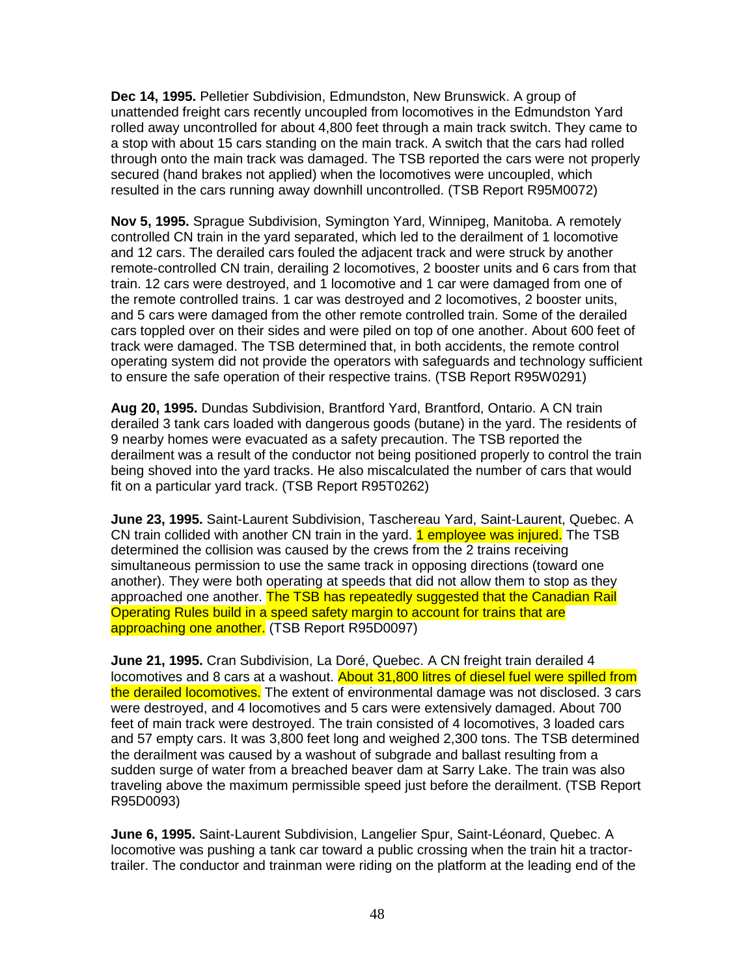**Dec 14, 1995.** Pelletier Subdivision, Edmundston, New Brunswick. A group of unattended freight cars recently uncoupled from locomotives in the Edmundston Yard rolled away uncontrolled for about 4,800 feet through a main track switch. They came to a stop with about 15 cars standing on the main track. A switch that the cars had rolled through onto the main track was damaged. The TSB reported the cars were not properly secured (hand brakes not applied) when the locomotives were uncoupled, which resulted in the cars running away downhill uncontrolled. (TSB Report R95M0072)

**Nov 5, 1995.** Sprague Subdivision, Symington Yard, Winnipeg, Manitoba. A remotely controlled CN train in the yard separated, which led to the derailment of 1 locomotive and 12 cars. The derailed cars fouled the adjacent track and were struck by another remote-controlled CN train, derailing 2 locomotives, 2 booster units and 6 cars from that train. 12 cars were destroyed, and 1 locomotive and 1 car were damaged from one of the remote controlled trains. 1 car was destroyed and 2 locomotives, 2 booster units, and 5 cars were damaged from the other remote controlled train. Some of the derailed cars toppled over on their sides and were piled on top of one another. About 600 feet of track were damaged. The TSB determined that, in both accidents, the remote control operating system did not provide the operators with safeguards and technology sufficient to ensure the safe operation of their respective trains. (TSB Report R95W0291)

**Aug 20, 1995.** Dundas Subdivision, Brantford Yard, Brantford, Ontario. A CN train derailed 3 tank cars loaded with dangerous goods (butane) in the yard. The residents of 9 nearby homes were evacuated as a safety precaution. The TSB reported the derailment was a result of the conductor not being positioned properly to control the train being shoved into the yard tracks. He also miscalculated the number of cars that would fit on a particular yard track. (TSB Report R95T0262)

**June 23, 1995.** Saint-Laurent Subdivision, Taschereau Yard, Saint-Laurent, Quebec. A CN train collided with another CN train in the yard. 1 employee was injured. The TSB determined the collision was caused by the crews from the 2 trains receiving simultaneous permission to use the same track in opposing directions (toward one another). They were both operating at speeds that did not allow them to stop as they approached one another. The TSB has repeatedly suggested that the Canadian Rail Operating Rules build in a speed safety margin to account for trains that are approaching one another. (TSB Report R95D0097)

**June 21, 1995.** Cran Subdivision, La Doré, Quebec. A CN freight train derailed 4 locomotives and 8 cars at a washout. About 31,800 litres of diesel fuel were spilled from the derailed locomotives. The extent of environmental damage was not disclosed. 3 cars were destroyed, and 4 locomotives and 5 cars were extensively damaged. About 700 feet of main track were destroyed. The train consisted of 4 locomotives, 3 loaded cars and 57 empty cars. It was 3,800 feet long and weighed 2,300 tons. The TSB determined the derailment was caused by a washout of subgrade and ballast resulting from a sudden surge of water from a breached beaver dam at Sarry Lake. The train was also traveling above the maximum permissible speed just before the derailment. (TSB Report R95D0093)

**June 6, 1995.** Saint-Laurent Subdivision, Langelier Spur, Saint-Léonard, Quebec. A locomotive was pushing a tank car toward a public crossing when the train hit a tractortrailer. The conductor and trainman were riding on the platform at the leading end of the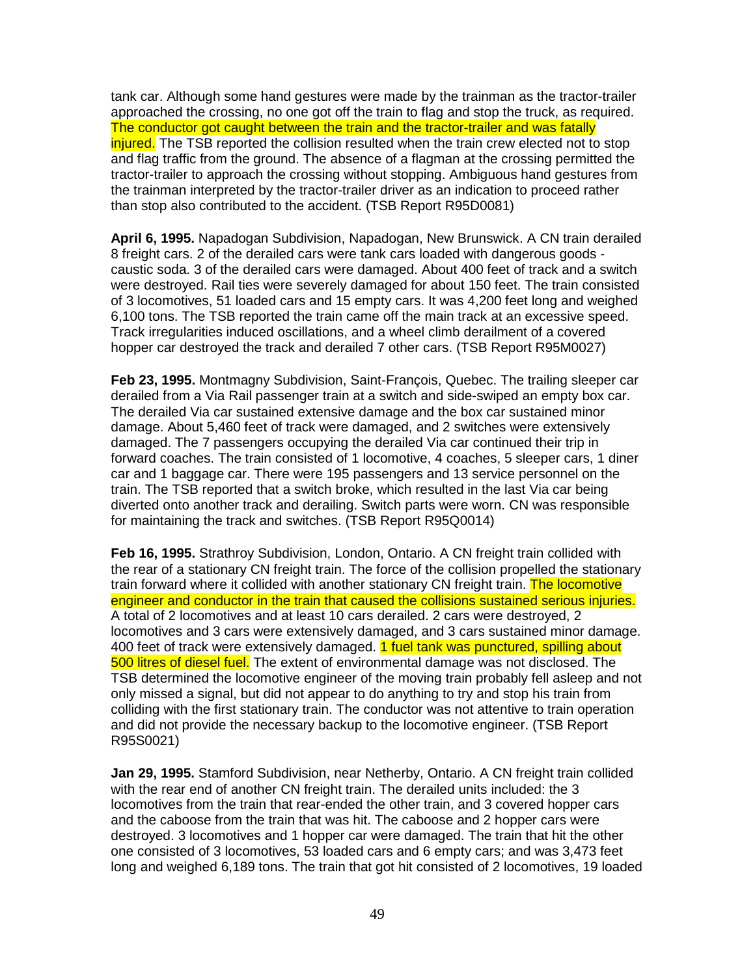tank car. Although some hand gestures were made by the trainman as the tractor-trailer approached the crossing, no one got off the train to flag and stop the truck, as required. The conductor got caught between the train and the tractor-trailer and was fatally injured. The TSB reported the collision resulted when the train crew elected not to stop and flag traffic from the ground. The absence of a flagman at the crossing permitted the tractor-trailer to approach the crossing without stopping. Ambiguous hand gestures from the trainman interpreted by the tractor-trailer driver as an indication to proceed rather than stop also contributed to the accident. (TSB Report R95D0081)

**April 6, 1995.** Napadogan Subdivision, Napadogan, New Brunswick. A CN train derailed 8 freight cars. 2 of the derailed cars were tank cars loaded with dangerous goods caustic soda. 3 of the derailed cars were damaged. About 400 feet of track and a switch were destroyed. Rail ties were severely damaged for about 150 feet. The train consisted of 3 locomotives, 51 loaded cars and 15 empty cars. It was 4,200 feet long and weighed 6,100 tons. The TSB reported the train came off the main track at an excessive speed. Track irregularities induced oscillations, and a wheel climb derailment of a covered hopper car destroyed the track and derailed 7 other cars. (TSB Report R95M0027)

**Feb 23, 1995.** Montmagny Subdivision, Saint-François, Quebec. The trailing sleeper car derailed from a Via Rail passenger train at a switch and side-swiped an empty box car. The derailed Via car sustained extensive damage and the box car sustained minor damage. About 5,460 feet of track were damaged, and 2 switches were extensively damaged. The 7 passengers occupying the derailed Via car continued their trip in forward coaches. The train consisted of 1 locomotive, 4 coaches, 5 sleeper cars, 1 diner car and 1 baggage car. There were 195 passengers and 13 service personnel on the train. The TSB reported that a switch broke, which resulted in the last Via car being diverted onto another track and derailing. Switch parts were worn. CN was responsible for maintaining the track and switches. (TSB Report R95Q0014)

**Feb 16, 1995.** Strathroy Subdivision, London, Ontario. A CN freight train collided with the rear of a stationary CN freight train. The force of the collision propelled the stationary train forward where it collided with another stationary CN freight train. The locomotive engineer and conductor in the train that caused the collisions sustained serious injuries. A total of 2 locomotives and at least 10 cars derailed. 2 cars were destroyed, 2 locomotives and 3 cars were extensively damaged, and 3 cars sustained minor damage. 400 feet of track were extensively damaged. 1 fuel tank was punctured, spilling about 500 litres of diesel fuel. The extent of environmental damage was not disclosed. The TSB determined the locomotive engineer of the moving train probably fell asleep and not only missed a signal, but did not appear to do anything to try and stop his train from colliding with the first stationary train. The conductor was not attentive to train operation and did not provide the necessary backup to the locomotive engineer. (TSB Report R95S0021)

**Jan 29, 1995.** Stamford Subdivision, near Netherby, Ontario. A CN freight train collided with the rear end of another CN freight train. The derailed units included: the 3 locomotives from the train that rear-ended the other train, and 3 covered hopper cars and the caboose from the train that was hit. The caboose and 2 hopper cars were destroyed. 3 locomotives and 1 hopper car were damaged. The train that hit the other one consisted of 3 locomotives, 53 loaded cars and 6 empty cars; and was 3,473 feet long and weighed 6,189 tons. The train that got hit consisted of 2 locomotives, 19 loaded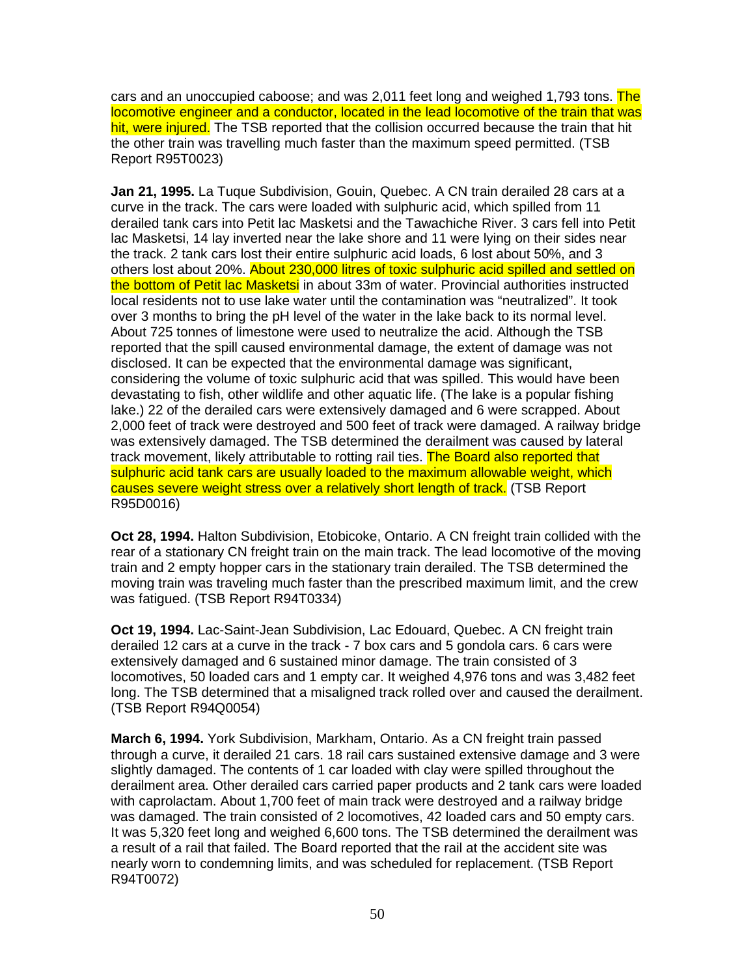cars and an unoccupied caboose; and was 2,011 feet long and weighed 1,793 tons. The locomotive engineer and a conductor, located in the lead locomotive of the train that was hit, were injured. The TSB reported that the collision occurred because the train that hit the other train was travelling much faster than the maximum speed permitted. (TSB Report R95T0023)

**Jan 21, 1995.** La Tuque Subdivision, Gouin, Quebec. A CN train derailed 28 cars at a curve in the track. The cars were loaded with sulphuric acid, which spilled from 11 derailed tank cars into Petit lac Masketsi and the Tawachiche River. 3 cars fell into Petit lac Masketsi, 14 lay inverted near the lake shore and 11 were lying on their sides near the track. 2 tank cars lost their entire sulphuric acid loads, 6 lost about 50%, and 3 others lost about 20%. About 230,000 litres of toxic sulphuric acid spilled and settled on the bottom of Petit lac Masketsi in about 33m of water. Provincial authorities instructed local residents not to use lake water until the contamination was "neutralized". It took over 3 months to bring the pH level of the water in the lake back to its normal level. About 725 tonnes of limestone were used to neutralize the acid. Although the TSB reported that the spill caused environmental damage, the extent of damage was not disclosed. It can be expected that the environmental damage was significant, considering the volume of toxic sulphuric acid that was spilled. This would have been devastating to fish, other wildlife and other aquatic life. (The lake is a popular fishing lake.) 22 of the derailed cars were extensively damaged and 6 were scrapped. About 2,000 feet of track were destroyed and 500 feet of track were damaged. A railway bridge was extensively damaged. The TSB determined the derailment was caused by lateral track movement, likely attributable to rotting rail ties. The Board also reported that sulphuric acid tank cars are usually loaded to the maximum allowable weight, which causes severe weight stress over a relatively short length of track. (TSB Report R95D0016)

**Oct 28, 1994.** Halton Subdivision, Etobicoke, Ontario. A CN freight train collided with the rear of a stationary CN freight train on the main track. The lead locomotive of the moving train and 2 empty hopper cars in the stationary train derailed. The TSB determined the moving train was traveling much faster than the prescribed maximum limit, and the crew was fatigued. (TSB Report R94T0334)

**Oct 19, 1994.** Lac-Saint-Jean Subdivision, Lac Edouard, Quebec. A CN freight train derailed 12 cars at a curve in the track - 7 box cars and 5 gondola cars. 6 cars were extensively damaged and 6 sustained minor damage. The train consisted of 3 locomotives, 50 loaded cars and 1 empty car. It weighed 4,976 tons and was 3,482 feet long. The TSB determined that a misaligned track rolled over and caused the derailment. (TSB Report R94Q0054)

**March 6, 1994.** York Subdivision, Markham, Ontario. As a CN freight train passed through a curve, it derailed 21 cars. 18 rail cars sustained extensive damage and 3 were slightly damaged. The contents of 1 car loaded with clay were spilled throughout the derailment area. Other derailed cars carried paper products and 2 tank cars were loaded with caprolactam. About 1,700 feet of main track were destroyed and a railway bridge was damaged. The train consisted of 2 locomotives, 42 loaded cars and 50 empty cars. It was 5,320 feet long and weighed 6,600 tons. The TSB determined the derailment was a result of a rail that failed. The Board reported that the rail at the accident site was nearly worn to condemning limits, and was scheduled for replacement. (TSB Report R94T0072)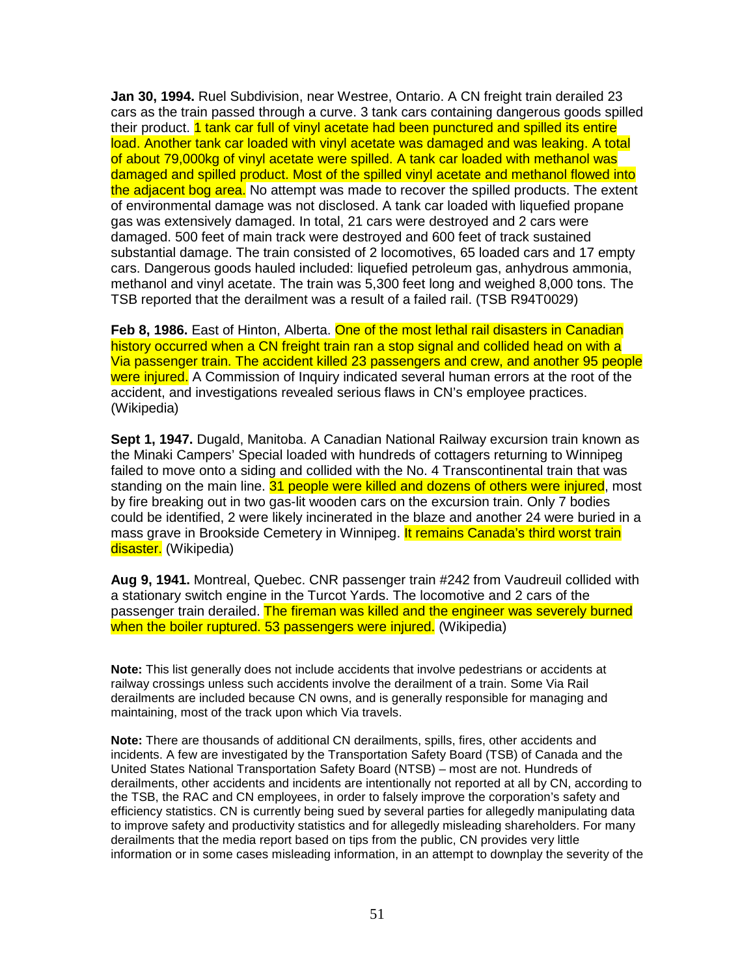**Jan 30, 1994.** Ruel Subdivision, near Westree, Ontario. A CN freight train derailed 23 cars as the train passed through a curve. 3 tank cars containing dangerous goods spilled their product. 1 tank car full of vinyl acetate had been punctured and spilled its entire load. Another tank car loaded with vinyl acetate was damaged and was leaking. A total of about 79,000kg of vinyl acetate were spilled. A tank car loaded with methanol was damaged and spilled product. Most of the spilled vinyl acetate and methanol flowed into the adjacent bog area. No attempt was made to recover the spilled products. The extent of environmental damage was not disclosed. A tank car loaded with liquefied propane gas was extensively damaged. In total, 21 cars were destroyed and 2 cars were damaged. 500 feet of main track were destroyed and 600 feet of track sustained substantial damage. The train consisted of 2 locomotives, 65 loaded cars and 17 empty cars. Dangerous goods hauled included: liquefied petroleum gas, anhydrous ammonia, methanol and vinyl acetate. The train was 5,300 feet long and weighed 8,000 tons. The TSB reported that the derailment was a result of a failed rail. (TSB R94T0029)

**Feb 8, 1986.** East of Hinton, Alberta. One of the most lethal rail disasters in Canadian history occurred when a CN freight train ran a stop signal and collided head on with a Via passenger train. The accident killed 23 passengers and crew, and another 95 people were injured. A Commission of Inquiry indicated several human errors at the root of the accident, and investigations revealed serious flaws in CN's employee practices. (Wikipedia)

**Sept 1, 1947.** Dugald, Manitoba. A Canadian National Railway excursion train known as the Minaki Campers' Special loaded with hundreds of cottagers returning to Winnipeg failed to move onto a siding and collided with the No. 4 Transcontinental train that was standing on the main line. 31 people were killed and dozens of others were injured, most by fire breaking out in two gas-lit wooden cars on the excursion train. Only 7 bodies could be identified, 2 were likely incinerated in the blaze and another 24 were buried in a mass grave in Brookside Cemetery in Winnipeg. It remains Canada's third worst train disaster. (Wikipedia)

**Aug 9, 1941.** Montreal, Quebec. CNR passenger train #242 from Vaudreuil collided with a stationary switch engine in the Turcot Yards. The locomotive and 2 cars of the passenger train derailed. The fireman was killed and the engineer was severely burned when the boiler ruptured. 53 passengers were injured. (Wikipedia)

**Note:** This list generally does not include accidents that involve pedestrians or accidents at railway crossings unless such accidents involve the derailment of a train. Some Via Rail derailments are included because CN owns, and is generally responsible for managing and maintaining, most of the track upon which Via travels.

**Note:** There are thousands of additional CN derailments, spills, fires, other accidents and incidents. A few are investigated by the Transportation Safety Board (TSB) of Canada and the United States National Transportation Safety Board (NTSB) – most are not. Hundreds of derailments, other accidents and incidents are intentionally not reported at all by CN, according to the TSB, the RAC and CN employees, in order to falsely improve the corporation's safety and efficiency statistics. CN is currently being sued by several parties for allegedly manipulating data to improve safety and productivity statistics and for allegedly misleading shareholders. For many derailments that the media report based on tips from the public, CN provides very little information or in some cases misleading information, in an attempt to downplay the severity of the